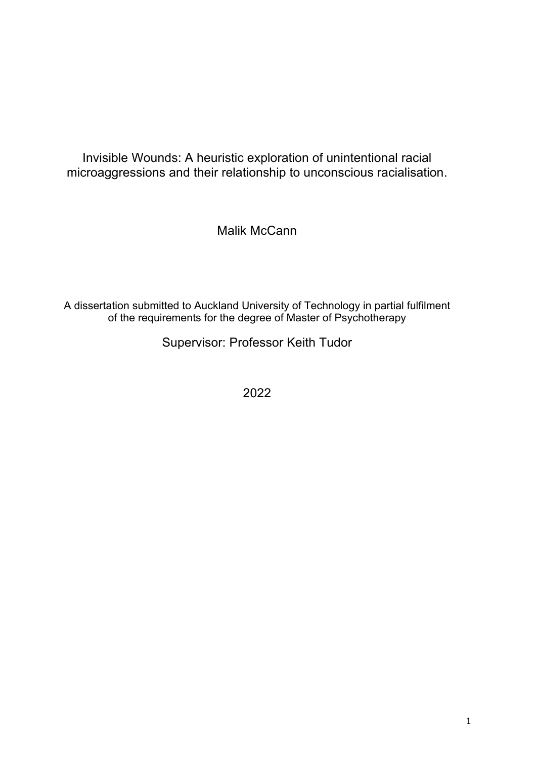Invisible Wounds: A heuristic exploration of unintentional racial microaggressions and their relationship to unconscious racialisation.

Malik McCann

A dissertation submitted to Auckland University of Technology in partial fulfilment of the requirements for the degree of Master of Psychotherapy

Supervisor: Professor Keith Tudor

2022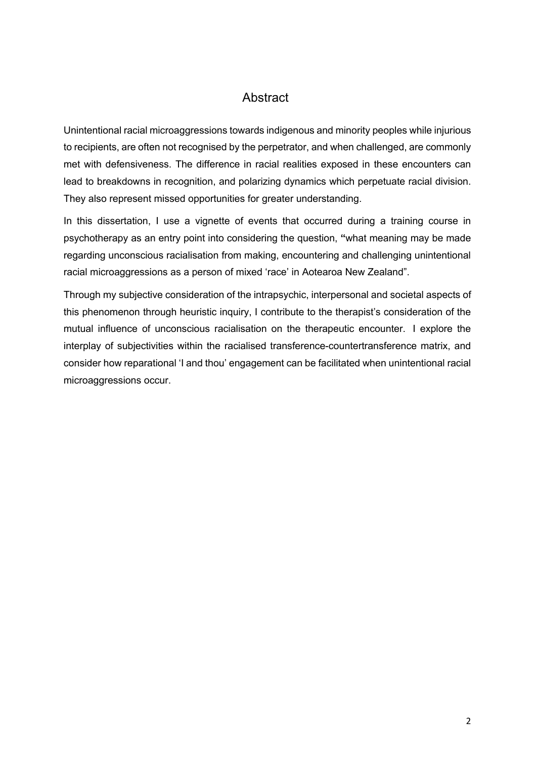# **Abstract**

Unintentional racial microaggressions towards indigenous and minority peoples while injurious to recipients, are often not recognised by the perpetrator, and when challenged, are commonly met with defensiveness. The difference in racial realities exposed in these encounters can lead to breakdowns in recognition, and polarizing dynamics which perpetuate racial division. They also represent missed opportunities for greater understanding.

In this dissertation, I use a vignette of events that occurred during a training course in psychotherapy as an entry point into considering the question, **"**what meaning may be made regarding unconscious racialisation from making, encountering and challenging unintentional racial microaggressions as a person of mixed 'race' in Aotearoa New Zealand".

Through my subjective consideration of the intrapsychic, interpersonal and societal aspects of this phenomenon through heuristic inquiry, I contribute to the therapist's consideration of the mutual influence of unconscious racialisation on the therapeutic encounter. I explore the interplay of subjectivities within the racialised transference-countertransference matrix, and consider how reparational 'I and thou' engagement can be facilitated when unintentional racial microaggressions occur.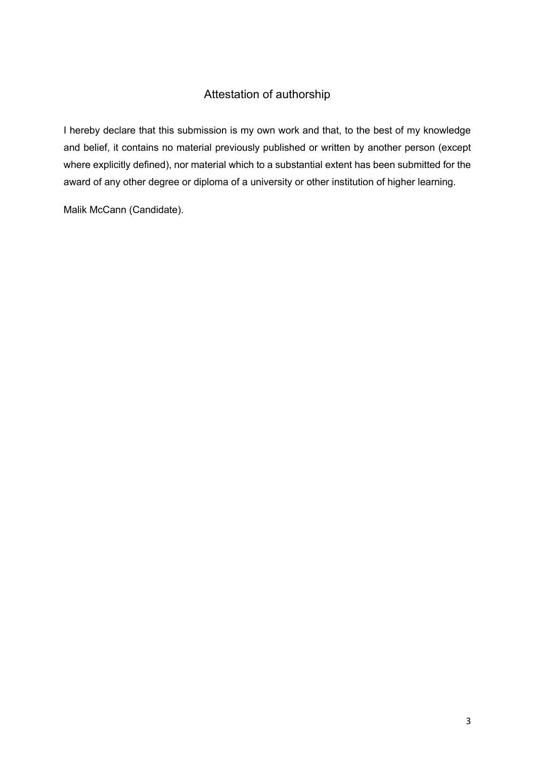# Attestation of authorship

I hereby declare that this submission is my own work and that, to the best of my knowledge and belief, it contains no material previously published or written by another person (except where explicitly defined), nor material which to a substantial extent has been submitted for the award of any other degree or diploma of a university or other institution of higher learning.

Malik McCann (Candidate).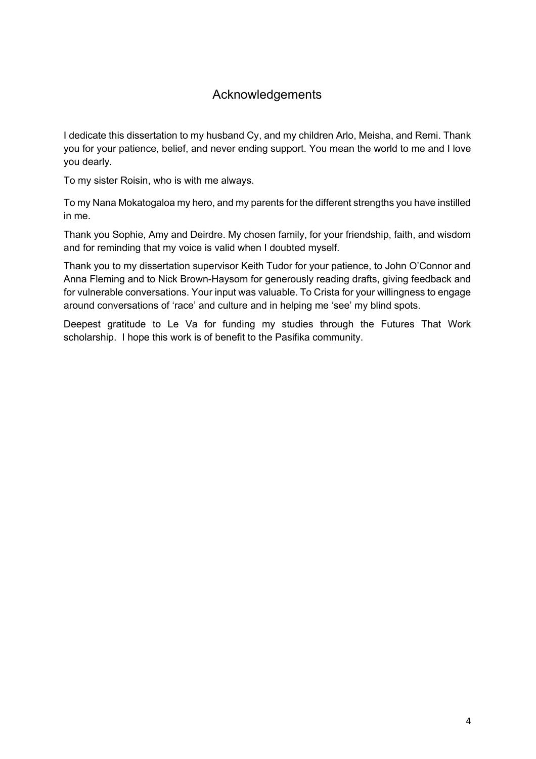# Acknowledgements

I dedicate this dissertation to my husband Cy, and my children Arlo, Meisha, and Remi. Thank you for your patience, belief, and never ending support. You mean the world to me and I love you dearly.

To my sister Roisin, who is with me always.

To my Nana Mokatogaloa my hero, and my parents for the different strengths you have instilled in me.

Thank you Sophie, Amy and Deirdre. My chosen family, for your friendship, faith, and wisdom and for reminding that my voice is valid when I doubted myself.

Thank you to my dissertation supervisor Keith Tudor for your patience, to John O'Connor and Anna Fleming and to Nick Brown-Haysom for generously reading drafts, giving feedback and for vulnerable conversations. Your input was valuable. To Crista for your willingness to engage around conversations of 'race' and culture and in helping me 'see' my blind spots.

Deepest gratitude to Le Va for funding my studies through the Futures That Work scholarship. I hope this work is of benefit to the Pasifika community.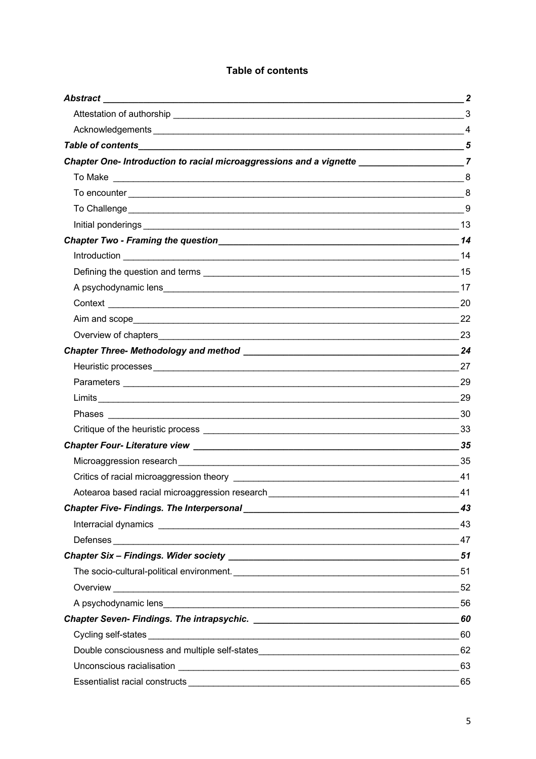# **Table of contents**

|                                                                                                                                                                                                                                      | $\boldsymbol{2}$ |
|--------------------------------------------------------------------------------------------------------------------------------------------------------------------------------------------------------------------------------------|------------------|
|                                                                                                                                                                                                                                      |                  |
|                                                                                                                                                                                                                                      |                  |
|                                                                                                                                                                                                                                      |                  |
| Chapter One- Introduction to racial microaggressions and a vignette ______________________7                                                                                                                                          |                  |
|                                                                                                                                                                                                                                      |                  |
|                                                                                                                                                                                                                                      |                  |
|                                                                                                                                                                                                                                      |                  |
|                                                                                                                                                                                                                                      |                  |
|                                                                                                                                                                                                                                      |                  |
|                                                                                                                                                                                                                                      |                  |
|                                                                                                                                                                                                                                      |                  |
|                                                                                                                                                                                                                                      |                  |
|                                                                                                                                                                                                                                      |                  |
|                                                                                                                                                                                                                                      |                  |
|                                                                                                                                                                                                                                      |                  |
|                                                                                                                                                                                                                                      |                  |
|                                                                                                                                                                                                                                      |                  |
|                                                                                                                                                                                                                                      |                  |
|                                                                                                                                                                                                                                      |                  |
| Phases <b>Committee Committee Committee Committee Committee Committee Committee Committee Committee Committee Committee Committee Committee Committee Committee Committee Committee Committee Committee Committee Committee Comm</b> |                  |
|                                                                                                                                                                                                                                      |                  |
|                                                                                                                                                                                                                                      |                  |
|                                                                                                                                                                                                                                      |                  |
|                                                                                                                                                                                                                                      | 41               |
| Aotearoa based racial microaggression research                                                                                                                                                                                       | 41               |
|                                                                                                                                                                                                                                      | 43               |
|                                                                                                                                                                                                                                      |                  |
|                                                                                                                                                                                                                                      | 47               |
|                                                                                                                                                                                                                                      |                  |
|                                                                                                                                                                                                                                      |                  |
| Overview 52                                                                                                                                                                                                                          |                  |
|                                                                                                                                                                                                                                      |                  |
|                                                                                                                                                                                                                                      |                  |
|                                                                                                                                                                                                                                      |                  |
|                                                                                                                                                                                                                                      |                  |
|                                                                                                                                                                                                                                      |                  |
|                                                                                                                                                                                                                                      | 65               |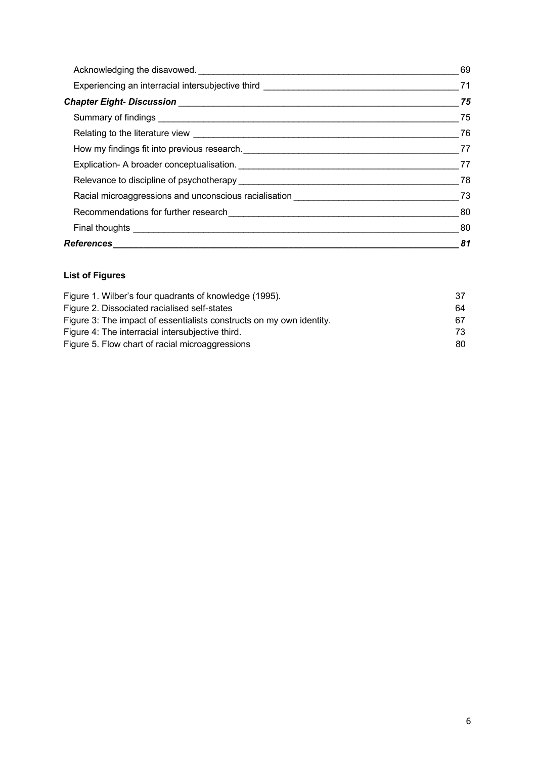|                                                                                                                        | 69  |
|------------------------------------------------------------------------------------------------------------------------|-----|
|                                                                                                                        |     |
|                                                                                                                        | 75  |
|                                                                                                                        | 75  |
|                                                                                                                        |     |
|                                                                                                                        |     |
|                                                                                                                        |     |
|                                                                                                                        | 78  |
| Racial microaggressions and unconscious racialisation <b>Constitution</b> and the material constant of the material of | 73  |
|                                                                                                                        | -80 |
|                                                                                                                        | 80  |
|                                                                                                                        |     |

# **List of Figures**

| Figure 1. Wilber's four quadrants of knowledge (1995).               | 37  |
|----------------------------------------------------------------------|-----|
| Figure 2. Dissociated racialised self-states                         | 64  |
| Figure 3: The impact of essentialists constructs on my own identity. | 67. |
| Figure 4: The interracial intersubjective third.                     | 73. |
| Figure 5. Flow chart of racial microaggressions                      | 80. |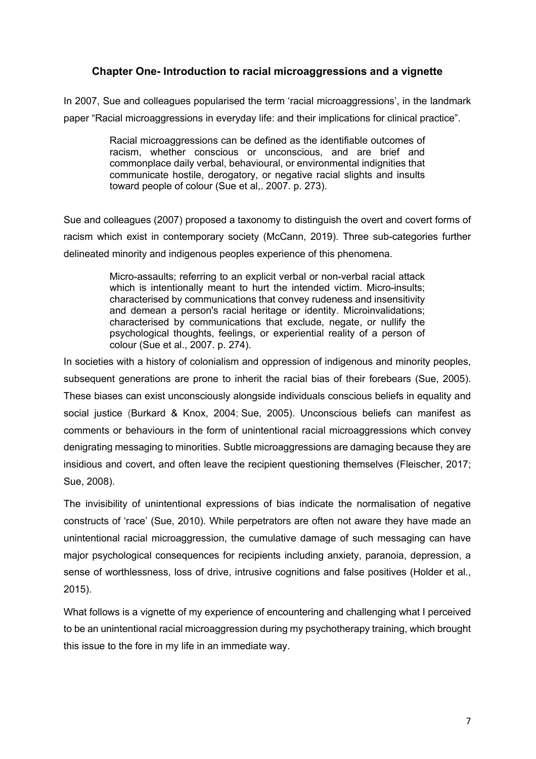# **Chapter One- Introduction to racial microaggressions and a vignette**

In 2007, Sue and colleagues popularised the term 'racial microaggressions', in the landmark paper "Racial microaggressions in everyday life: and their implications for clinical practice".

> Racial microaggressions can be defined as the identifiable outcomes of racism, whether conscious or unconscious, and are brief and commonplace daily verbal, behavioural, or environmental indignities that communicate hostile, derogatory, or negative racial slights and insults toward people of colour (Sue et al,. 2007. p. 273).

Sue and colleagues (2007) proposed a taxonomy to distinguish the overt and covert forms of racism which exist in contemporary society (McCann, 2019). Three sub-categories further delineated minority and indigenous peoples experience of this phenomena.

> Micro-assaults; referring to an explicit verbal or non-verbal racial attack which is intentionally meant to hurt the intended victim. Micro-insults; characterised by communications that convey rudeness and insensitivity and demean a person's racial heritage or identity. Microinvalidations; characterised by communications that exclude, negate, or nullify the psychological thoughts, feelings, or experiential reality of a person of colour (Sue et al., 2007. p. 274).

In societies with a history of colonialism and oppression of indigenous and minority peoples, subsequent generations are prone to inherit the racial bias of their forebears (Sue, 2005). These biases can exist unconsciously alongside individuals conscious beliefs in equality and social justice (Burkard & Knox, 2004; Sue, 2005). Unconscious beliefs can manifest as comments or behaviours in the form of unintentional racial microaggressions which convey denigrating messaging to minorities. Subtle microaggressions are damaging because they are insidious and covert, and often leave the recipient questioning themselves (Fleischer, 2017; Sue, 2008).

The invisibility of unintentional expressions of bias indicate the normalisation of negative constructs of 'race' (Sue, 2010). While perpetrators are often not aware they have made an unintentional racial microaggression, the cumulative damage of such messaging can have major psychological consequences for recipients including anxiety, paranoia, depression, a sense of worthlessness, loss of drive, intrusive cognitions and false positives (Holder et al., 2015).

What follows is a vignette of my experience of encountering and challenging what I perceived to be an unintentional racial microaggression during my psychotherapy training, which brought this issue to the fore in my life in an immediate way.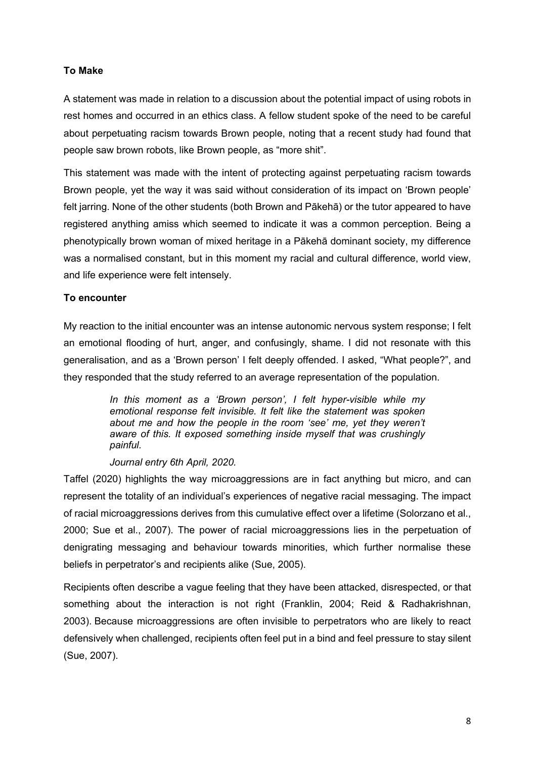# **To Make**

A statement was made in relation to a discussion about the potential impact of using robots in rest homes and occurred in an ethics class. A fellow student spoke of the need to be careful about perpetuating racism towards Brown people, noting that a recent study had found that people saw brown robots, like Brown people, as "more shit".

This statement was made with the intent of protecting against perpetuating racism towards Brown people, yet the way it was said without consideration of its impact on 'Brown people' felt jarring. None of the other students (both Brown and Pākehā) or the tutor appeared to have registered anything amiss which seemed to indicate it was a common perception. Being a phenotypically brown woman of mixed heritage in a Pākehā dominant society, my difference was a normalised constant, but in this moment my racial and cultural difference, world view, and life experience were felt intensely.

## **To encounter**

My reaction to the initial encounter was an intense autonomic nervous system response; I felt an emotional flooding of hurt, anger, and confusingly, shame. I did not resonate with this generalisation, and as a 'Brown person' I felt deeply offended. I asked, "What people?", and they responded that the study referred to an average representation of the population.

> *In this moment as a 'Brown person', I felt hyper-visible while my emotional response felt invisible. It felt like the statement was spoken about me and how the people in the room 'see' me, yet they weren't aware of this. It exposed something inside myself that was crushingly painful.*

## *Journal entry 6th April, 2020.*

Taffel (2020) highlights the way microaggressions are in fact anything but micro, and can represent the totality of an individual's experiences of negative racial messaging. The impact of racial microaggressions derives from this cumulative effect over a lifetime (Solorzano et al., 2000; Sue et al., 2007). The power of racial microaggressions lies in the perpetuation of denigrating messaging and behaviour towards minorities, which further normalise these beliefs in perpetrator's and recipients alike (Sue, 2005).

Recipients often describe a vague feeling that they have been attacked, disrespected, or that something about the interaction is not right (Franklin, 2004; Reid & Radhakrishnan, 2003). Because microaggressions are often invisible to perpetrators who are likely to react defensively when challenged, recipients often feel put in a bind and feel pressure to stay silent (Sue, 2007).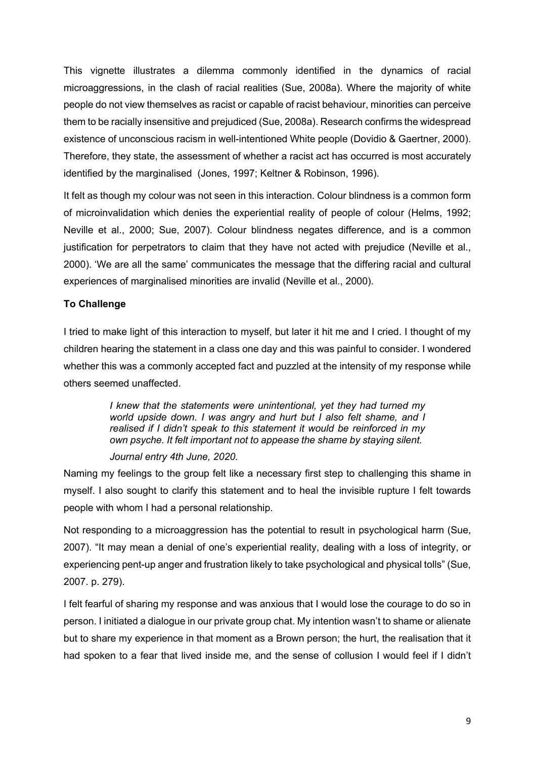This vignette illustrates a dilemma commonly identified in the dynamics of racial microaggressions, in the clash of racial realities (Sue, 2008a). Where the majority of white people do not view themselves as racist or capable of racist behaviour, minorities can perceive them to be racially insensitive and prejudiced (Sue, 2008a). Research confirms the widespread existence of unconscious racism in well-intentioned White people (Dovidio & Gaertner, 2000). Therefore, they state, the assessment of whether a racist act has occurred is most accurately identified by the marginalised (Jones, 1997; Keltner & Robinson, 1996).

It felt as though my colour was not seen in this interaction. Colour blindness is a common form of microinvalidation which denies the experiential reality of people of colour (Helms, 1992; Neville et al., 2000; Sue, 2007). Colour blindness negates difference, and is a common justification for perpetrators to claim that they have not acted with prejudice (Neville et al., 2000). 'We are all the same' communicates the message that the differing racial and cultural experiences of marginalised minorities are invalid (Neville et al., 2000).

# **To Challenge**

I tried to make light of this interaction to myself, but later it hit me and I cried. I thought of my children hearing the statement in a class one day and this was painful to consider. I wondered whether this was a commonly accepted fact and puzzled at the intensity of my response while others seemed unaffected.

> *I knew that the statements were unintentional, yet they had turned my world upside down. I was angry and hurt but I also felt shame, and I realised if I didn't speak to this statement it would be reinforced in my own psyche. It felt important not to appease the shame by staying silent.*

#### *Journal entry 4th June, 2020.*

Naming my feelings to the group felt like a necessary first step to challenging this shame in myself. I also sought to clarify this statement and to heal the invisible rupture I felt towards people with whom I had a personal relationship.

Not responding to a microaggression has the potential to result in psychological harm (Sue, 2007). "It may mean a denial of one's experiential reality, dealing with a loss of integrity, or experiencing pent-up anger and frustration likely to take psychological and physical tolls" (Sue, 2007. p. 279).

I felt fearful of sharing my response and was anxious that I would lose the courage to do so in person. I initiated a dialogue in our private group chat. My intention wasn't to shame or alienate but to share my experience in that moment as a Brown person; the hurt, the realisation that it had spoken to a fear that lived inside me, and the sense of collusion I would feel if I didn't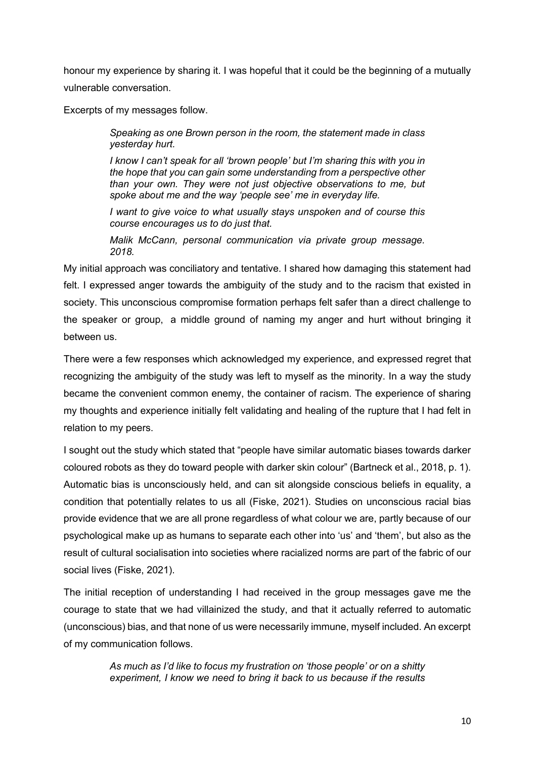honour my experience by sharing it. I was hopeful that it could be the beginning of a mutually vulnerable conversation.

Excerpts of my messages follow.

*Speaking as one Brown person in the room, the statement made in class yesterday hurt.*

*I know I can't speak for all 'brown people' but I'm sharing this with you in the hope that you can gain some understanding from a perspective other than your own. They were not just objective observations to me, but spoke about me and the way 'people see' me in everyday life.*

*I want to give voice to what usually stays unspoken and of course this course encourages us to do just that.*

*Malik McCann, personal communication via private group message. 2018.*

My initial approach was conciliatory and tentative. I shared how damaging this statement had felt. I expressed anger towards the ambiguity of the study and to the racism that existed in society. This unconscious compromise formation perhaps felt safer than a direct challenge to the speaker or group, a middle ground of naming my anger and hurt without bringing it between us.

There were a few responses which acknowledged my experience, and expressed regret that recognizing the ambiguity of the study was left to myself as the minority. In a way the study became the convenient common enemy, the container of racism. The experience of sharing my thoughts and experience initially felt validating and healing of the rupture that I had felt in relation to my peers.

I sought out the study which stated that "people have similar automatic biases towards darker coloured robots as they do toward people with darker skin colour" (Bartneck et al., 2018, p. 1). Automatic bias is unconsciously held, and can sit alongside conscious beliefs in equality, a condition that potentially relates to us all (Fiske, 2021). Studies on unconscious racial bias provide evidence that we are all prone regardless of what colour we are, partly because of our psychological make up as humans to separate each other into 'us' and 'them', but also as the result of cultural socialisation into societies where racialized norms are part of the fabric of our social lives (Fiske, 2021).

The initial reception of understanding I had received in the group messages gave me the courage to state that we had villainized the study, and that it actually referred to automatic (unconscious) bias, and that none of us were necessarily immune, myself included. An excerpt of my communication follows.

> *As much as I'd like to focus my frustration on 'those people' or on a shitty experiment, I know we need to bring it back to us because if the results*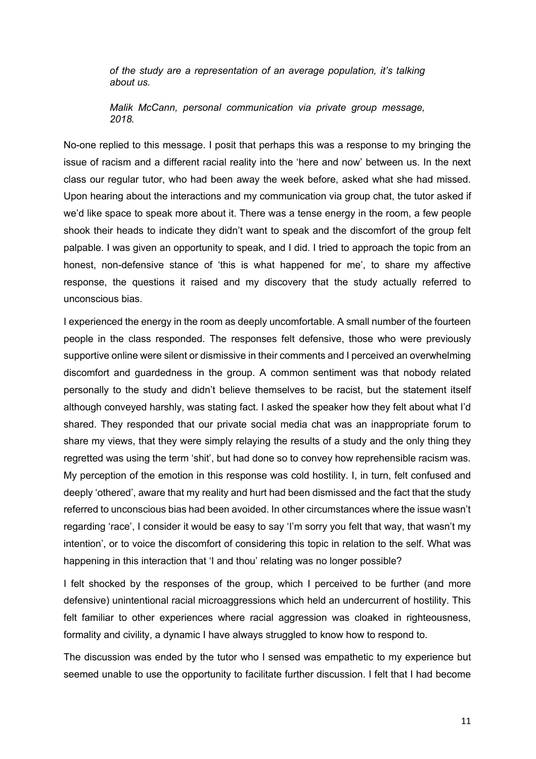*of the study are a representation of an average population, it's talking about us.*

*Malik McCann, personal communication via private group message, 2018.*

No-one replied to this message. I posit that perhaps this was a response to my bringing the issue of racism and a different racial reality into the 'here and now' between us. In the next class our regular tutor, who had been away the week before, asked what she had missed. Upon hearing about the interactions and my communication via group chat, the tutor asked if we'd like space to speak more about it. There was a tense energy in the room, a few people shook their heads to indicate they didn't want to speak and the discomfort of the group felt palpable. I was given an opportunity to speak, and I did. I tried to approach the topic from an honest, non-defensive stance of 'this is what happened for me', to share my affective response, the questions it raised and my discovery that the study actually referred to unconscious bias.

I experienced the energy in the room as deeply uncomfortable. A small number of the fourteen people in the class responded. The responses felt defensive, those who were previously supportive online were silent or dismissive in their comments and I perceived an overwhelming discomfort and guardedness in the group. A common sentiment was that nobody related personally to the study and didn't believe themselves to be racist, but the statement itself although conveyed harshly, was stating fact. I asked the speaker how they felt about what I'd shared. They responded that our private social media chat was an inappropriate forum to share my views, that they were simply relaying the results of a study and the only thing they regretted was using the term 'shit', but had done so to convey how reprehensible racism was. My perception of the emotion in this response was cold hostility. I, in turn, felt confused and deeply 'othered', aware that my reality and hurt had been dismissed and the fact that the study referred to unconscious bias had been avoided. In other circumstances where the issue wasn't regarding 'race', I consider it would be easy to say 'I'm sorry you felt that way, that wasn't my intention', or to voice the discomfort of considering this topic in relation to the self. What was happening in this interaction that 'I and thou' relating was no longer possible?

I felt shocked by the responses of the group, which I perceived to be further (and more defensive) unintentional racial microaggressions which held an undercurrent of hostility. This felt familiar to other experiences where racial aggression was cloaked in righteousness, formality and civility, a dynamic I have always struggled to know how to respond to.

The discussion was ended by the tutor who I sensed was empathetic to my experience but seemed unable to use the opportunity to facilitate further discussion. I felt that I had become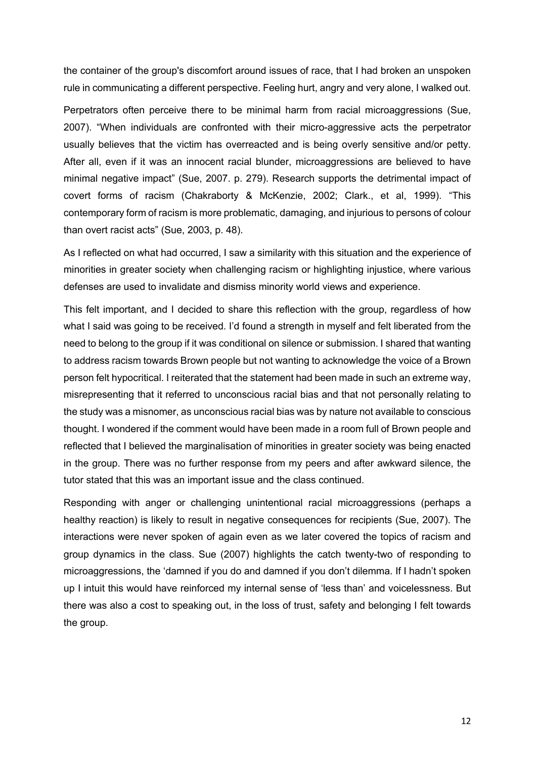the container of the group's discomfort around issues of race, that I had broken an unspoken rule in communicating a different perspective. Feeling hurt, angry and very alone, I walked out.

Perpetrators often perceive there to be minimal harm from racial microaggressions (Sue, 2007). "When individuals are confronted with their micro-aggressive acts the perpetrator usually believes that the victim has overreacted and is being overly sensitive and/or petty. After all, even if it was an innocent racial blunder, microaggressions are believed to have minimal negative impact" (Sue, 2007. p. 279). Research supports the detrimental impact of covert forms of racism (Chakraborty & McKenzie, 2002; Clark., et al, 1999). "This contemporary form of racism is more problematic, damaging, and injurious to persons of colour than overt racist acts" (Sue, 2003, p. 48).

As I reflected on what had occurred, I saw a similarity with this situation and the experience of minorities in greater society when challenging racism or highlighting injustice, where various defenses are used to invalidate and dismiss minority world views and experience.

This felt important, and I decided to share this reflection with the group, regardless of how what I said was going to be received. I'd found a strength in myself and felt liberated from the need to belong to the group if it was conditional on silence or submission. I shared that wanting to address racism towards Brown people but not wanting to acknowledge the voice of a Brown person felt hypocritical. I reiterated that the statement had been made in such an extreme way, misrepresenting that it referred to unconscious racial bias and that not personally relating to the study was a misnomer, as unconscious racial bias was by nature not available to conscious thought. I wondered if the comment would have been made in a room full of Brown people and reflected that I believed the marginalisation of minorities in greater society was being enacted in the group. There was no further response from my peers and after awkward silence, the tutor stated that this was an important issue and the class continued.

Responding with anger or challenging unintentional racial microaggressions (perhaps a healthy reaction) is likely to result in negative consequences for recipients (Sue, 2007). The interactions were never spoken of again even as we later covered the topics of racism and group dynamics in the class. Sue (2007) highlights the catch twenty-two of responding to microaggressions, the 'damned if you do and damned if you don't dilemma. If I hadn't spoken up I intuit this would have reinforced my internal sense of 'less than' and voicelessness. But there was also a cost to speaking out, in the loss of trust, safety and belonging I felt towards the group.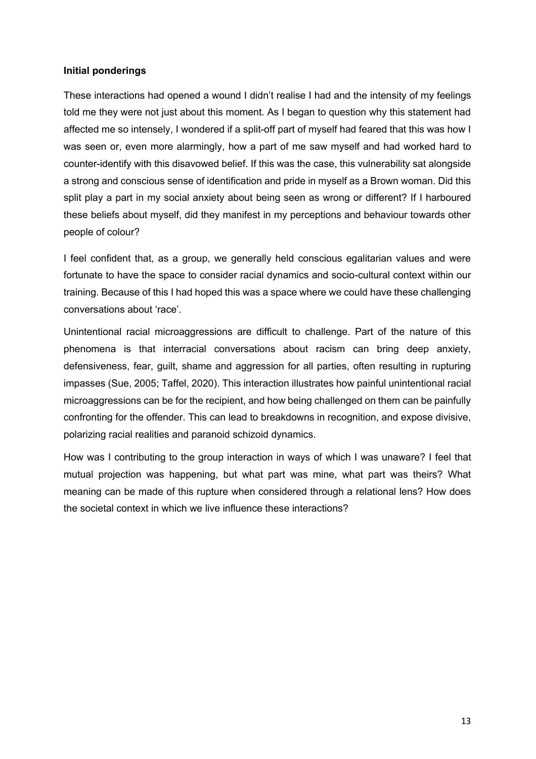## **Initial ponderings**

These interactions had opened a wound I didn't realise I had and the intensity of my feelings told me they were not just about this moment. As I began to question why this statement had affected me so intensely, I wondered if a split-off part of myself had feared that this was how I was seen or, even more alarmingly, how a part of me saw myself and had worked hard to counter-identify with this disavowed belief. If this was the case, this vulnerability sat alongside a strong and conscious sense of identification and pride in myself as a Brown woman. Did this split play a part in my social anxiety about being seen as wrong or different? If I harboured these beliefs about myself, did they manifest in my perceptions and behaviour towards other people of colour?

I feel confident that, as a group, we generally held conscious egalitarian values and were fortunate to have the space to consider racial dynamics and socio-cultural context within our training. Because of this I had hoped this was a space where we could have these challenging conversations about 'race'.

Unintentional racial microaggressions are difficult to challenge. Part of the nature of this phenomena is that interracial conversations about racism can bring deep anxiety, defensiveness, fear, guilt, shame and aggression for all parties, often resulting in rupturing impasses (Sue, 2005; Taffel, 2020). This interaction illustrates how painful unintentional racial microaggressions can be for the recipient, and how being challenged on them can be painfully confronting for the offender. This can lead to breakdowns in recognition, and expose divisive, polarizing racial realities and paranoid schizoid dynamics.

How was I contributing to the group interaction in ways of which I was unaware? I feel that mutual projection was happening, but what part was mine, what part was theirs? What meaning can be made of this rupture when considered through a relational lens? How does the societal context in which we live influence these interactions?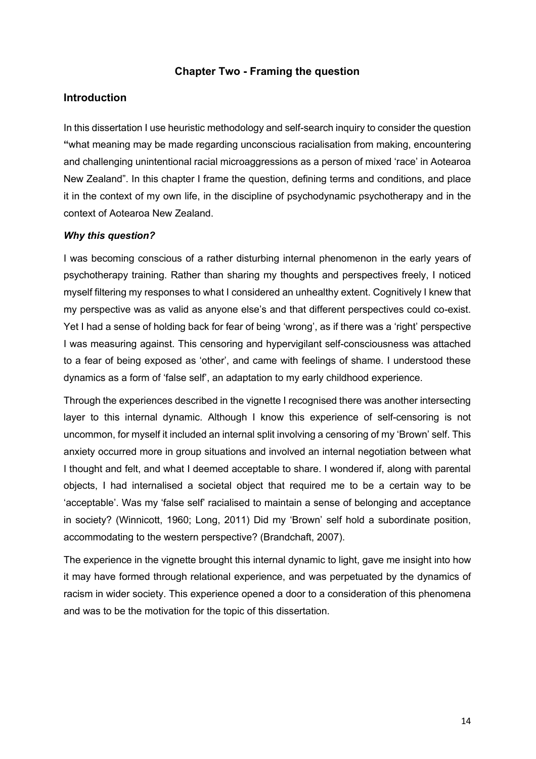# **Chapter Two - Framing the question**

# **Introduction**

In this dissertation I use heuristic methodology and self-search inquiry to consider the question **"**what meaning may be made regarding unconscious racialisation from making, encountering and challenging unintentional racial microaggressions as a person of mixed 'race' in Aotearoa New Zealand". In this chapter I frame the question, defining terms and conditions, and place it in the context of my own life, in the discipline of psychodynamic psychotherapy and in the context of Aotearoa New Zealand.

#### *Why this question?*

I was becoming conscious of a rather disturbing internal phenomenon in the early years of psychotherapy training. Rather than sharing my thoughts and perspectives freely, I noticed myself filtering my responses to what I considered an unhealthy extent. Cognitively I knew that my perspective was as valid as anyone else's and that different perspectives could co-exist. Yet I had a sense of holding back for fear of being 'wrong', as if there was a 'right' perspective I was measuring against. This censoring and hypervigilant self-consciousness was attached to a fear of being exposed as 'other', and came with feelings of shame. I understood these dynamics as a form of 'false self', an adaptation to my early childhood experience.

Through the experiences described in the vignette I recognised there was another intersecting layer to this internal dynamic. Although I know this experience of self-censoring is not uncommon, for myself it included an internal split involving a censoring of my 'Brown' self. This anxiety occurred more in group situations and involved an internal negotiation between what I thought and felt, and what I deemed acceptable to share. I wondered if, along with parental objects, I had internalised a societal object that required me to be a certain way to be 'acceptable'. Was my 'false self' racialised to maintain a sense of belonging and acceptance in society? (Winnicott, 1960; Long, 2011) Did my 'Brown' self hold a subordinate position, accommodating to the western perspective? (Brandchaft, 2007).

The experience in the vignette brought this internal dynamic to light, gave me insight into how it may have formed through relational experience, and was perpetuated by the dynamics of racism in wider society. This experience opened a door to a consideration of this phenomena and was to be the motivation for the topic of this dissertation.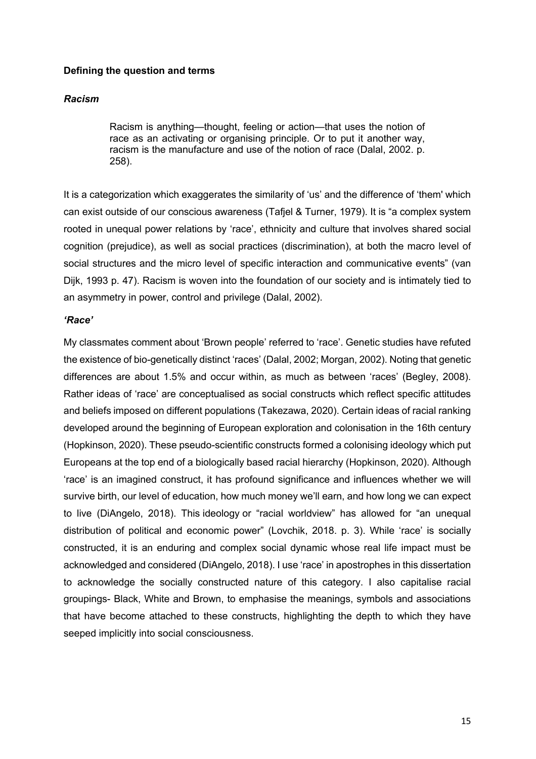#### **Defining the question and terms**

#### *Racism*

Racism is anything—thought, feeling or action—that uses the notion of race as an activating or organising principle. Or to put it another way, racism is the manufacture and use of the notion of race (Dalal, 2002. p. 258).

It is a categorization which exaggerates the similarity of 'us' and the difference of 'them' which can exist outside of our conscious awareness (Tafjel & Turner, 1979). It is "a complex system rooted in unequal power relations by 'race', ethnicity and culture that involves shared social cognition (prejudice), as well as social practices (discrimination), at both the macro level of social structures and the micro level of specific interaction and communicative events" (van Dijk, 1993 p. 47). Racism is woven into the foundation of our society and is intimately tied to an asymmetry in power, control and privilege (Dalal, 2002).

### *'Race'*

My classmates comment about 'Brown people' referred to 'race'. Genetic studies have refuted the existence of bio-genetically distinct 'races' (Dalal, 2002; Morgan, 2002). Noting that genetic differences are about 1.5% and occur within, as much as between 'races' (Begley, 2008). Rather ideas of 'race' are conceptualised as social constructs which reflect specific attitudes and beliefs imposed on different populations (Takezawa, 2020). Certain ideas of racial ranking developed around the beginning of European exploration and colonisation in the 16th century (Hopkinson, 2020). These pseudo-scientific constructs formed a colonising ideology which put Europeans at the top end of a biologically based racial hierarchy (Hopkinson, 2020). Although 'race' is an imagined construct, it has profound significance and influences whether we will survive birth, our level of education, how much money we'll earn, and how long we can expect to live (DiAngelo, 2018). This ideology or "racial worldview" has allowed for "an unequal distribution of political and economic power" (Lovchik, 2018. p. 3). While 'race' is socially constructed, it is an enduring and complex social dynamic whose real life impact must be acknowledged and considered (DiAngelo, 2018). I use 'race' in apostrophes in this dissertation to acknowledge the socially constructed nature of this category. I also capitalise racial groupings- Black, White and Brown, to emphasise the meanings, symbols and associations that have become attached to these constructs, highlighting the depth to which they have seeped implicitly into social consciousness.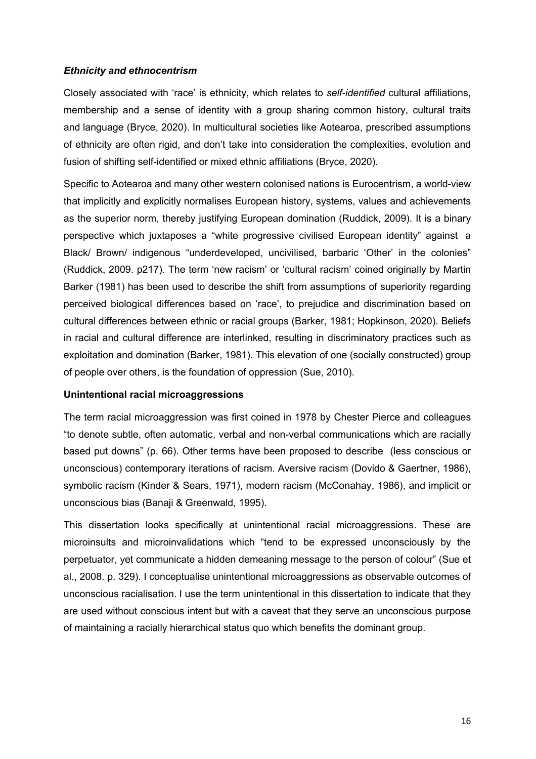### *Ethnicity and ethnocentrism*

Closely associated with 'race' is ethnicity, which relates to *self-identified* cultural affiliations, membership and a sense of identity with a group sharing common history, cultural traits and language (Bryce, 2020). In multicultural societies like Aotearoa, prescribed assumptions of ethnicity are often rigid, and don't take into consideration the complexities, evolution and fusion of shifting self-identified or mixed ethnic affiliations (Bryce, 2020).

Specific to Aotearoa and many other western colonised nations is Eurocentrism, a world-view that implicitly and explicitly normalises European history, systems, values and achievements as the superior norm, thereby justifying European domination (Ruddick, 2009). It is a binary perspective which juxtaposes a "white progressive civilised European identity" against a Black/ Brown/ indigenous "underdeveloped, uncivilised, barbaric 'Other' in the colonies" (Ruddick, 2009. p217). The term 'new racism' or 'cultural racism' coined originally by Martin Barker (1981) has been used to describe the shift from assumptions of superiority regarding perceived biological differences based on 'race', to prejudice and discrimination based on cultural differences between ethnic or racial groups (Barker, 1981; Hopkinson, 2020). Beliefs in racial and cultural difference are interlinked, resulting in discriminatory practices such as exploitation and domination (Barker, 1981). This elevation of one (socially constructed) group of people over others, is the foundation of oppression (Sue, 2010).

## **Unintentional racial microaggressions**

The term racial microaggression was first coined in 1978 by Chester Pierce and colleagues "to denote subtle, often automatic, verbal and non-verbal communications which are racially based put downs" (p. 66). Other terms have been proposed to describe (less conscious or unconscious) contemporary iterations of racism. Aversive racism (Dovido & Gaertner, 1986), symbolic racism (Kinder & Sears, 1971), modern racism (McConahay, 1986), and implicit or unconscious bias (Banaji & Greenwald, 1995).

This dissertation looks specifically at unintentional racial microaggressions. These are microinsults and microinvalidations which "tend to be expressed unconsciously by the perpetuator, yet communicate a hidden demeaning message to the person of colour" (Sue et al., 2008. p. 329). I conceptualise unintentional microaggressions as observable outcomes of unconscious racialisation. I use the term unintentional in this dissertation to indicate that they are used without conscious intent but with a caveat that they serve an unconscious purpose of maintaining a racially hierarchical status quo which benefits the dominant group.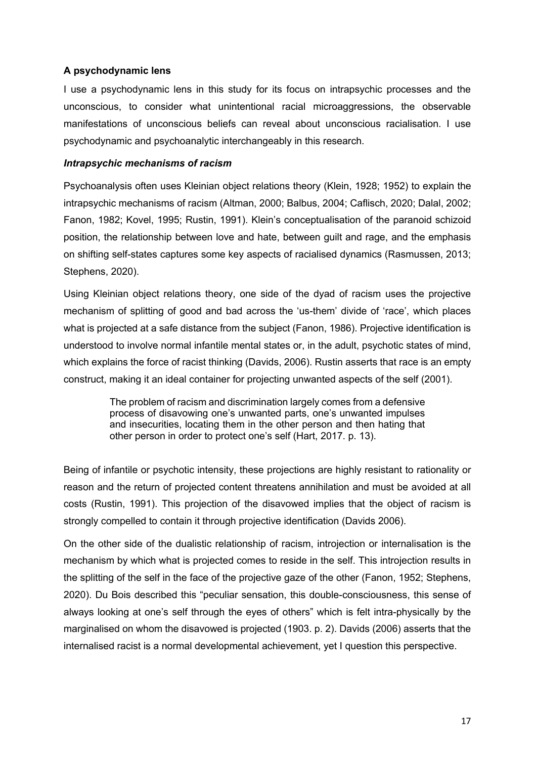# **A psychodynamic lens**

I use a psychodynamic lens in this study for its focus on intrapsychic processes and the unconscious, to consider what unintentional racial microaggressions, the observable manifestations of unconscious beliefs can reveal about unconscious racialisation. I use psychodynamic and psychoanalytic interchangeably in this research.

## *Intrapsychic mechanisms of racism*

Psychoanalysis often uses Kleinian object relations theory (Klein, 1928; 1952) to explain the intrapsychic mechanisms of racism (Altman, 2000; Balbus, 2004; Caflisch, 2020; Dalal, 2002; Fanon, 1982; Kovel, 1995; Rustin, 1991). Klein's conceptualisation of the paranoid schizoid position, the relationship between love and hate, between guilt and rage, and the emphasis on shifting self-states captures some key aspects of racialised dynamics (Rasmussen, 2013; Stephens, 2020).

Using Kleinian object relations theory, one side of the dyad of racism uses the projective mechanism of splitting of good and bad across the 'us-them' divide of 'race', which places what is projected at a safe distance from the subject (Fanon, 1986). Projective identification is understood to involve normal infantile mental states or, in the adult, psychotic states of mind, which explains the force of racist thinking (Davids, 2006). Rustin asserts that race is an empty construct, making it an ideal container for projecting unwanted aspects of the self (2001).

> The problem of racism and discrimination largely comes from a defensive process of disavowing one's unwanted parts, one's unwanted impulses and insecurities, locating them in the other person and then hating that other person in order to protect one's self (Hart, 2017. p. 13).

Being of infantile or psychotic intensity, these projections are highly resistant to rationality or reason and the return of projected content threatens annihilation and must be avoided at all costs (Rustin, 1991). This projection of the disavowed implies that the object of racism is strongly compelled to contain it through projective identification (Davids 2006).

On the other side of the dualistic relationship of racism, introjection or internalisation is the mechanism by which what is projected comes to reside in the self. This introjection results in the splitting of the self in the face of the projective gaze of the other (Fanon, 1952; Stephens, 2020). Du Bois described this "peculiar sensation, this double-consciousness, this sense of always looking at one's self through the eyes of others" which is felt intra-physically by the marginalised on whom the disavowed is projected (1903. p. 2). Davids (2006) asserts that the internalised racist is a normal developmental achievement, yet I question this perspective.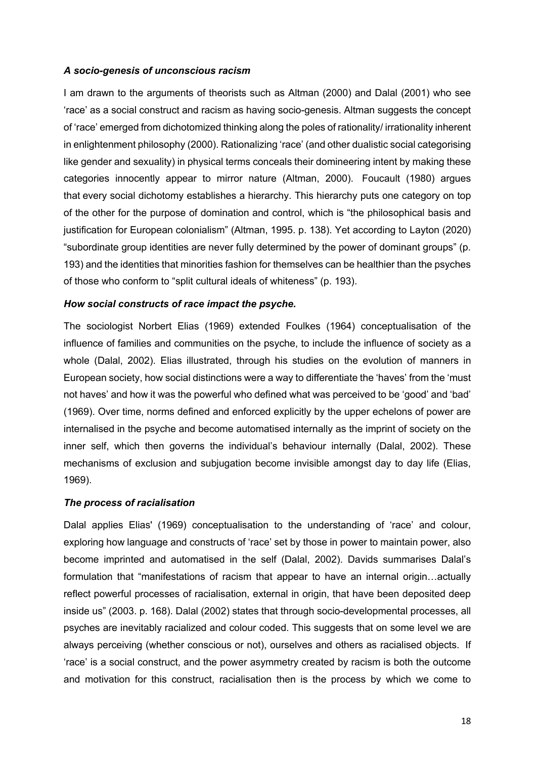## *A socio-genesis of unconscious racism*

I am drawn to the arguments of theorists such as Altman (2000) and Dalal (2001) who see 'race' as a social construct and racism as having socio-genesis. Altman suggests the concept of 'race' emerged from dichotomized thinking along the poles of rationality/ irrationality inherent in enlightenment philosophy (2000). Rationalizing 'race' (and other dualistic social categorising like gender and sexuality) in physical terms conceals their domineering intent by making these categories innocently appear to mirror nature (Altman, 2000). Foucault (1980) argues that every social dichotomy establishes a hierarchy. This hierarchy puts one category on top of the other for the purpose of domination and control, which is "the philosophical basis and justification for European colonialism" (Altman, 1995. p. 138). Yet according to Layton (2020) "subordinate group identities are never fully determined by the power of dominant groups" (p. 193) and the identities that minorities fashion for themselves can be healthier than the psyches of those who conform to "split cultural ideals of whiteness" (p. 193).

# *How social constructs of race impact the psyche.*

The sociologist Norbert Elias (1969) extended Foulkes (1964) conceptualisation of the influence of families and communities on the psyche, to include the influence of society as a whole (Dalal, 2002). Elias illustrated, through his studies on the evolution of manners in European society, how social distinctions were a way to differentiate the 'haves' from the 'must not haves' and how it was the powerful who defined what was perceived to be 'good' and 'bad' (1969). Over time, norms defined and enforced explicitly by the upper echelons of power are internalised in the psyche and become automatised internally as the imprint of society on the inner self, which then governs the individual's behaviour internally (Dalal, 2002). These mechanisms of exclusion and subjugation become invisible amongst day to day life (Elias, 1969).

## *The process of racialisation*

Dalal applies Elias' (1969) conceptualisation to the understanding of 'race' and colour, exploring how language and constructs of 'race' set by those in power to maintain power, also become imprinted and automatised in the self (Dalal, 2002). Davids summarises Dalal's formulation that "manifestations of racism that appear to have an internal origin…actually reflect powerful processes of racialisation, external in origin, that have been deposited deep inside us" (2003. p. 168). Dalal (2002) states that through socio-developmental processes, all psyches are inevitably racialized and colour coded. This suggests that on some level we are always perceiving (whether conscious or not), ourselves and others as racialised objects. If 'race' is a social construct, and the power asymmetry created by racism is both the outcome and motivation for this construct, racialisation then is the process by which we come to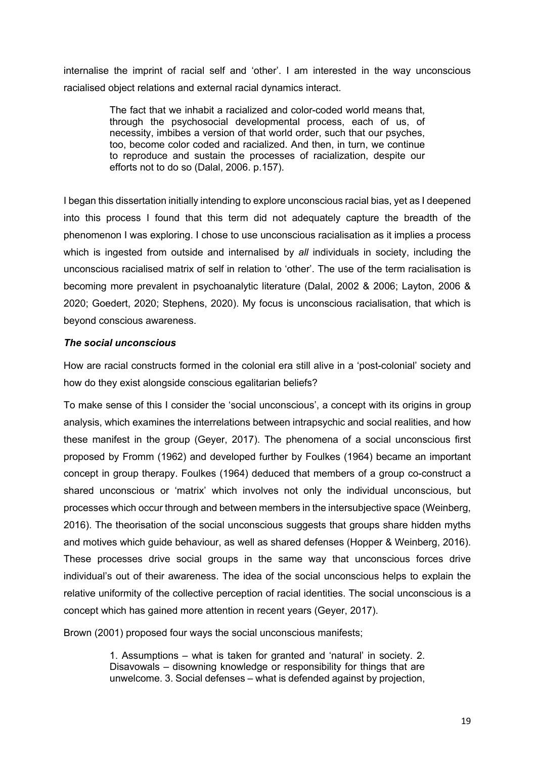internalise the imprint of racial self and 'other'. I am interested in the way unconscious racialised object relations and external racial dynamics interact.

> The fact that we inhabit a racialized and color-coded world means that, through the psychosocial developmental process, each of us, of necessity, imbibes a version of that world order, such that our psyches, too, become color coded and racialized. And then, in turn, we continue to reproduce and sustain the processes of racialization, despite our efforts not to do so (Dalal, 2006. p.157).

I began this dissertation initially intending to explore unconscious racial bias, yet as I deepened into this process I found that this term did not adequately capture the breadth of the phenomenon I was exploring. I chose to use unconscious racialisation as it implies a process which is ingested from outside and internalised by *all* individuals in society, including the unconscious racialised matrix of self in relation to 'other'. The use of the term racialisation is becoming more prevalent in psychoanalytic literature (Dalal, 2002 & 2006; Layton, 2006 & 2020; Goedert, 2020; Stephens, 2020). My focus is unconscious racialisation, that which is beyond conscious awareness.

# *The social unconscious*

How are racial constructs formed in the colonial era still alive in a 'post-colonial' society and how do they exist alongside conscious egalitarian beliefs?

To make sense of this I consider the 'social unconscious', a concept with its origins in group analysis, which examines the interrelations between intrapsychic and social realities, and how these manifest in the group (Geyer, 2017). The phenomena of a social unconscious first proposed by Fromm (1962) and developed further by Foulkes (1964) became an important concept in group therapy. Foulkes (1964) deduced that members of a group co-construct a shared unconscious or 'matrix' which involves not only the individual unconscious, but processes which occur through and between members in the intersubjective space (Weinberg, 2016). The theorisation of the social unconscious suggests that groups share hidden myths and motives which guide behaviour, as well as shared defenses (Hopper & Weinberg, 2016). These processes drive social groups in the same way that unconscious forces drive individual's out of their awareness. The idea of the social unconscious helps to explain the relative uniformity of the collective perception of racial identities. The social unconscious is a concept which has gained more attention in recent years (Geyer, 2017).

Brown (2001) proposed four ways the social unconscious manifests;

1. Assumptions – what is taken for granted and 'natural' in society. 2. Disavowals – disowning knowledge or responsibility for things that are unwelcome. 3. Social defenses – what is defended against by projection,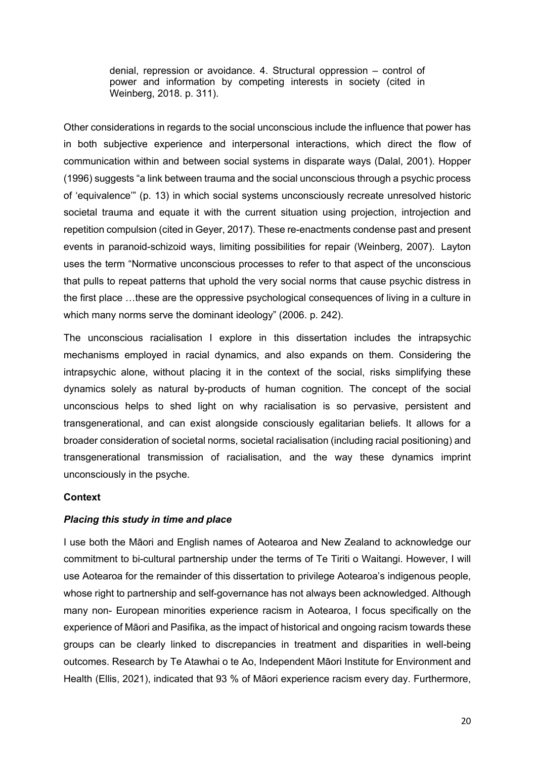denial, repression or avoidance. 4. Structural oppression – control of power and information by competing interests in society (cited in Weinberg, 2018. p. 311).

Other considerations in regards to the social unconscious include the influence that power has in both subjective experience and interpersonal interactions, which direct the flow of communication within and between social systems in disparate ways (Dalal, 2001). Hopper (1996) suggests "a link between trauma and the social unconscious through a psychic process of 'equivalence'" (p. 13) in which social systems unconsciously recreate unresolved historic societal trauma and equate it with the current situation using projection, introjection and repetition compulsion (cited in Geyer, 2017). These re-enactments condense past and present events in paranoid-schizoid ways, limiting possibilities for repair (Weinberg, 2007). Layton uses the term "Normative unconscious processes to refer to that aspect of the unconscious that pulls to repeat patterns that uphold the very social norms that cause psychic distress in the first place …these are the oppressive psychological consequences of living in a culture in which many norms serve the dominant ideology" (2006. p. 242).

The unconscious racialisation I explore in this dissertation includes the intrapsychic mechanisms employed in racial dynamics, and also expands on them. Considering the intrapsychic alone, without placing it in the context of the social, risks simplifying these dynamics solely as natural by-products of human cognition. The concept of the social unconscious helps to shed light on why racialisation is so pervasive, persistent and transgenerational, and can exist alongside consciously egalitarian beliefs. It allows for a broader consideration of societal norms, societal racialisation (including racial positioning) and transgenerational transmission of racialisation, and the way these dynamics imprint unconsciously in the psyche.

## **Context**

## *Placing this study in time and place*

I use both the Māori and English names of Aotearoa and New Zealand to acknowledge our commitment to bi-cultural partnership under the terms of Te Tiriti o Waitangi. However, I will use Aotearoa for the remainder of this dissertation to privilege Aotearoa's indigenous people, whose right to partnership and self-governance has not always been acknowledged. Although many non- European minorities experience racism in Aotearoa, I focus specifically on the experience of Māori and Pasifika, as the impact of historical and ongoing racism towards these groups can be clearly linked to discrepancies in treatment and disparities in well-being outcomes. Research by Te Atawhai o te Ao, Independent Māori Institute for Environment and Health (Ellis, 2021), indicated that 93 % of Māori experience racism every day. Furthermore,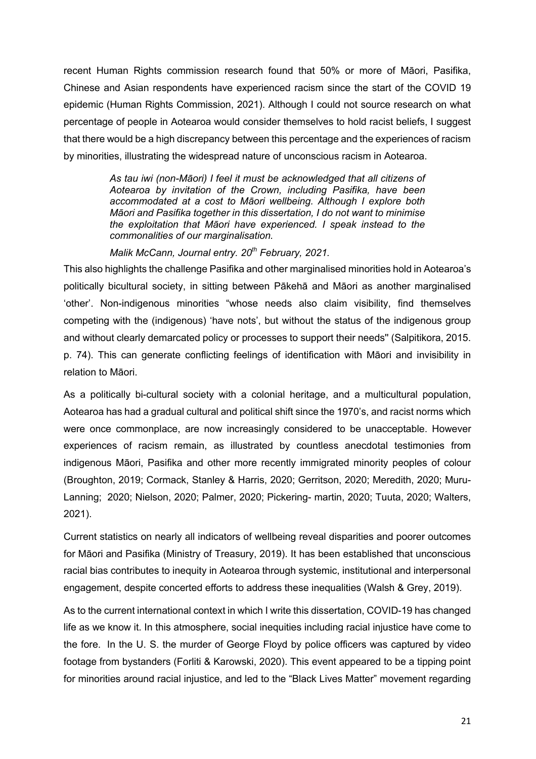recent Human Rights commission research found that 50% or more of Māori, Pasifika, Chinese and Asian respondents have experienced racism since the start of the COVID 19 epidemic (Human Rights Commission, 2021). Although I could not source research on what percentage of people in Aotearoa would consider themselves to hold racist beliefs, I suggest that there would be a high discrepancy between this percentage and the experiences of racism by minorities, illustrating the widespread nature of unconscious racism in Aotearoa.

> *As tau iwi (non-Māori) I feel it must be acknowledged that all citizens of Aotearoa by invitation of the Crown, including Pasifika, have been accommodated at a cost to Māori wellbeing. Although I explore both Māori and Pasifika together in this dissertation, I do not want to minimise the exploitation that Māori have experienced. I speak instead to the commonalities of our marginalisation.*

*Malik McCann, Journal entry. 20th February, 2021.* 

This also highlights the challenge Pasifika and other marginalised minorities hold in Aotearoa's politically bicultural society, in sitting between Pākehā and Māori as another marginalised 'other'. Non-indigenous minorities "whose needs also claim visibility, find themselves competing with the (indigenous) 'have nots', but without the status of the indigenous group and without clearly demarcated policy or processes to support their needs'' (Salpitikora, 2015. p. 74). This can generate conflicting feelings of identification with Māori and invisibility in relation to Māori.

As a politically bi-cultural society with a colonial heritage, and a multicultural population, Aotearoa has had a gradual cultural and political shift since the 1970's, and racist norms which were once commonplace, are now increasingly considered to be unacceptable. However experiences of racism remain, as illustrated by countless anecdotal testimonies from indigenous Māori, Pasifika and other more recently immigrated minority peoples of colour (Broughton, 2019; Cormack, Stanley & Harris, 2020; Gerritson, 2020; Meredith, 2020; Muru-Lanning; 2020; Nielson, 2020; Palmer, 2020; Pickering- martin, 2020; Tuuta, 2020; Walters, 2021).

Current statistics on nearly all indicators of wellbeing reveal disparities and poorer outcomes for Māori and Pasifika (Ministry of Treasury, 2019). It has been established that unconscious racial bias contributes to inequity in Aotearoa through systemic, institutional and interpersonal engagement, despite concerted efforts to address these inequalities (Walsh & Grey, 2019).

As to the current international context in which I write this dissertation, COVID-19 has changed life as we know it. In this atmosphere, social inequities including racial injustice have come to the fore. In the U. S. the murder of George Floyd by police officers was captured by video footage from bystanders (Forliti & Karowski, 2020). This event appeared to be a tipping point for minorities around racial injustice, and led to the "Black Lives Matter" movement regarding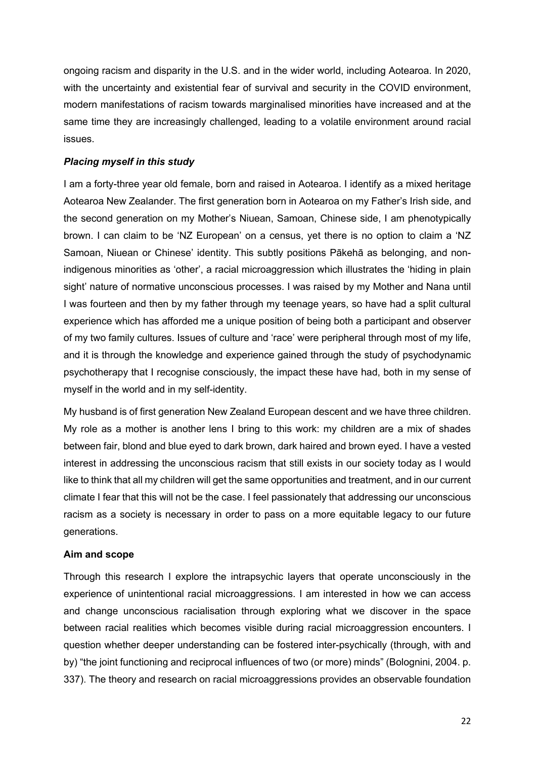ongoing racism and disparity in the U.S. and in the wider world, including Aotearoa. In 2020, with the uncertainty and existential fear of survival and security in the COVID environment, modern manifestations of racism towards marginalised minorities have increased and at the same time they are increasingly challenged, leading to a volatile environment around racial issues.

## *Placing myself in this study*

I am a forty-three year old female, born and raised in Aotearoa. I identify as a mixed heritage Aotearoa New Zealander. The first generation born in Aotearoa on my Father's Irish side, and the second generation on my Mother's Niuean, Samoan, Chinese side, I am phenotypically brown. I can claim to be 'NZ European' on a census, yet there is no option to claim a 'NZ Samoan, Niuean or Chinese' identity. This subtly positions Pākehā as belonging, and nonindigenous minorities as 'other', a racial microaggression which illustrates the 'hiding in plain sight' nature of normative unconscious processes. I was raised by my Mother and Nana until I was fourteen and then by my father through my teenage years, so have had a split cultural experience which has afforded me a unique position of being both a participant and observer of my two family cultures. Issues of culture and 'race' were peripheral through most of my life, and it is through the knowledge and experience gained through the study of psychodynamic psychotherapy that I recognise consciously, the impact these have had, both in my sense of myself in the world and in my self-identity.

My husband is of first generation New Zealand European descent and we have three children. My role as a mother is another lens I bring to this work: my children are a mix of shades between fair, blond and blue eyed to dark brown, dark haired and brown eyed. I have a vested interest in addressing the unconscious racism that still exists in our society today as I would like to think that all my children will get the same opportunities and treatment, and in our current climate I fear that this will not be the case. I feel passionately that addressing our unconscious racism as a society is necessary in order to pass on a more equitable legacy to our future generations.

#### **Aim and scope**

Through this research I explore the intrapsychic layers that operate unconsciously in the experience of unintentional racial microaggressions. I am interested in how we can access and change unconscious racialisation through exploring what we discover in the space between racial realities which becomes visible during racial microaggression encounters. I question whether deeper understanding can be fostered inter-psychically (through, with and by) "the joint functioning and reciprocal influences of two (or more) minds" (Bolognini, 2004. p. 337). The theory and research on racial microaggressions provides an observable foundation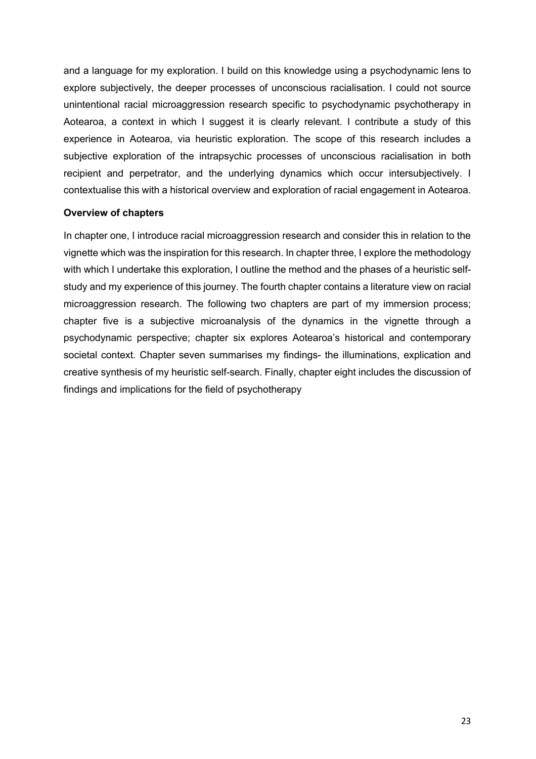and a language for my exploration. I build on this knowledge using a psychodynamic lens to explore subjectively, the deeper processes of unconscious racialisation. I could not source unintentional racial microaggression research specific to psychodynamic psychotherapy in Aotearoa, a context in which I suggest it is clearly relevant. I contribute a study of this experience in Aotearoa, via heuristic exploration. The scope of this research includes a subjective exploration of the intrapsychic processes of unconscious racialisation in both recipient and perpetrator, and the underlying dynamics which occur intersubjectively. I contextualise this with a historical overview and exploration of racial engagement in Aotearoa.

### **Overview of chapters**

In chapter one, I introduce racial microaggression research and consider this in relation to the vignette which was the inspiration for this research. In chapter three, I explore the methodology with which I undertake this exploration, I outline the method and the phases of a heuristic selfstudy and my experience of this journey. The fourth chapter contains a literature view on racial microaggression research. The following two chapters are part of my immersion process; chapter five is a subjective microanalysis of the dynamics in the vignette through a psychodynamic perspective; chapter six explores Aotearoa's historical and contemporary societal context. Chapter seven summarises my findings- the illuminations, explication and creative synthesis of my heuristic self-search. Finally, chapter eight includes the discussion of findings and implications for the field of psychotherapy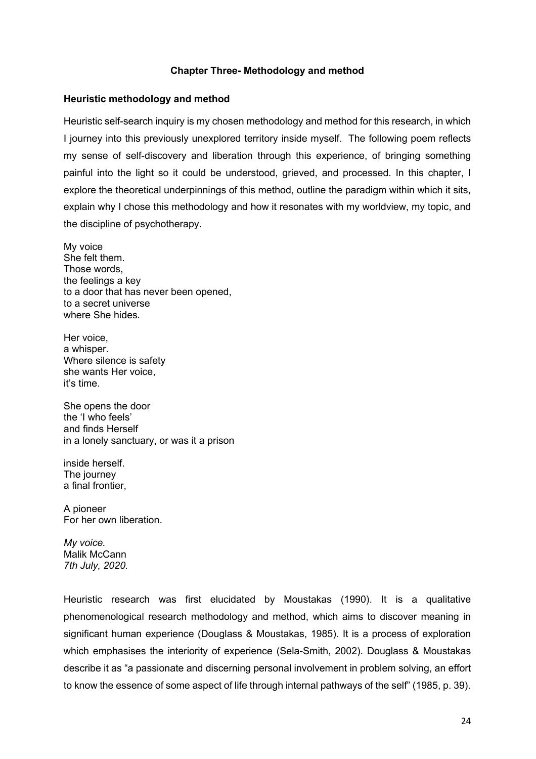### **Chapter Three- Methodology and method**

### **Heuristic methodology and method**

Heuristic self-search inquiry is my chosen methodology and method for this research, in which I journey into this previously unexplored territory inside myself. The following poem reflects my sense of self-discovery and liberation through this experience, of bringing something painful into the light so it could be understood, grieved, and processed. In this chapter, I explore the theoretical underpinnings of this method, outline the paradigm within which it sits, explain why I chose this methodology and how it resonates with my worldview, my topic, and the discipline of psychotherapy.

My voice She felt them. Those words, the feelings a key to a door that has never been opened, to a secret universe where She hides*.*

Her voice, a whisper. Where silence is safety she wants Her voice, it's time.

She opens the door the 'I who feels' and finds Herself in a lonely sanctuary, or was it a prison

inside herself. The journey a final frontier,

A pioneer For her own liberation.

*My voice.* Malik McCann *7th July, 2020.*

Heuristic research was first elucidated by Moustakas (1990). It is a qualitative phenomenological research methodology and method, which aims to discover meaning in significant human experience (Douglass & Moustakas, 1985). It is a process of exploration which emphasises the interiority of experience (Sela-Smith, 2002). Douglass & Moustakas describe it as "a passionate and discerning personal involvement in problem solving, an effort to know the essence of some aspect of life through internal pathways of the self" (1985, p. 39).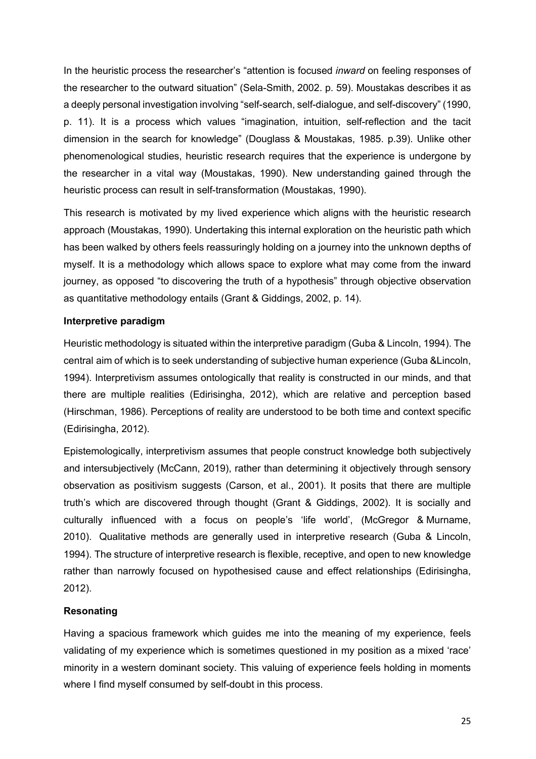In the heuristic process the researcher's "attention is focused *inward* on feeling responses of the researcher to the outward situation" (Sela-Smith, 2002. p. 59). Moustakas describes it as a deeply personal investigation involving "self-search, self-dialogue, and self-discovery" (1990, p. 11). It is a process which values "imagination, intuition, self-reflection and the tacit dimension in the search for knowledge" (Douglass & Moustakas, 1985. p.39). Unlike other phenomenological studies, heuristic research requires that the experience is undergone by the researcher in a vital way (Moustakas, 1990). New understanding gained through the heuristic process can result in self-transformation (Moustakas, 1990).

This research is motivated by my lived experience which aligns with the heuristic research approach (Moustakas, 1990). Undertaking this internal exploration on the heuristic path which has been walked by others feels reassuringly holding on a journey into the unknown depths of myself. It is a methodology which allows space to explore what may come from the inward journey, as opposed "to discovering the truth of a hypothesis" through objective observation as quantitative methodology entails (Grant & Giddings, 2002, p. 14).

## **Interpretive paradigm**

Heuristic methodology is situated within the interpretive paradigm (Guba & Lincoln, 1994). The central aim of which is to seek understanding of subjective human experience (Guba &Lincoln, 1994). Interpretivism assumes ontologically that reality is constructed in our minds, and that there are multiple realities (Edirisingha, 2012), which are relative and perception based (Hirschman, 1986). Perceptions of reality are understood to be both time and context specific (Edirisingha, 2012).

Epistemologically, interpretivism assumes that people construct knowledge both subjectively and intersubjectively (McCann, 2019), rather than determining it objectively through sensory observation as positivism suggests (Carson, et al., 2001). It posits that there are multiple truth's which are discovered through thought (Grant & Giddings, 2002). It is socially and culturally influenced with a focus on people's 'life world', (McGregor & Murname, 2010). Qualitative methods are generally used in interpretive research (Guba & Lincoln, 1994). The structure of interpretive research is flexible, receptive, and open to new knowledge rather than narrowly focused on hypothesised cause and effect relationships (Edirisingha, 2012).

## **Resonating**

Having a spacious framework which guides me into the meaning of my experience, feels validating of my experience which is sometimes questioned in my position as a mixed 'race' minority in a western dominant society. This valuing of experience feels holding in moments where I find myself consumed by self-doubt in this process.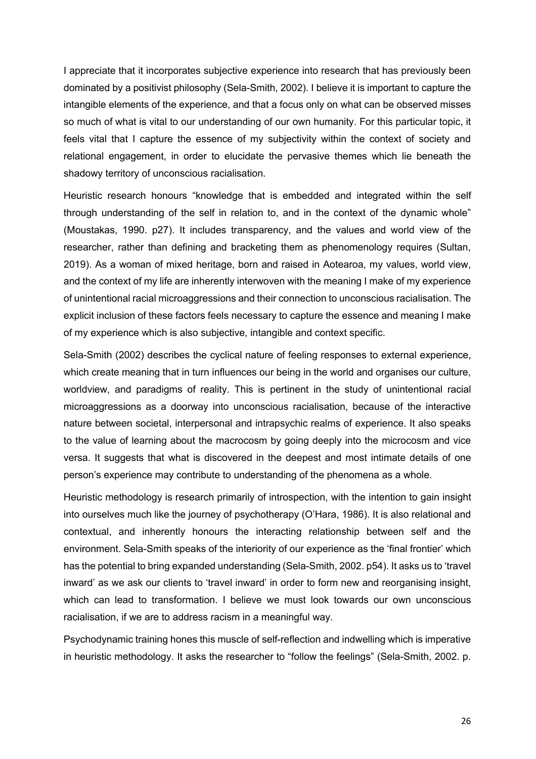I appreciate that it incorporates subjective experience into research that has previously been dominated by a positivist philosophy (Sela-Smith, 2002). I believe it is important to capture the intangible elements of the experience, and that a focus only on what can be observed misses so much of what is vital to our understanding of our own humanity. For this particular topic, it feels vital that I capture the essence of my subjectivity within the context of society and relational engagement, in order to elucidate the pervasive themes which lie beneath the shadowy territory of unconscious racialisation.

Heuristic research honours "knowledge that is embedded and integrated within the self through understanding of the self in relation to, and in the context of the dynamic whole" (Moustakas, 1990. p27). It includes transparency, and the values and world view of the researcher, rather than defining and bracketing them as phenomenology requires (Sultan, 2019). As a woman of mixed heritage, born and raised in Aotearoa, my values, world view, and the context of my life are inherently interwoven with the meaning I make of my experience of unintentional racial microaggressions and their connection to unconscious racialisation. The explicit inclusion of these factors feels necessary to capture the essence and meaning I make of my experience which is also subjective, intangible and context specific.

Sela-Smith (2002) describes the cyclical nature of feeling responses to external experience, which create meaning that in turn influences our being in the world and organises our culture, worldview, and paradigms of reality. This is pertinent in the study of unintentional racial microaggressions as a doorway into unconscious racialisation, because of the interactive nature between societal, interpersonal and intrapsychic realms of experience. It also speaks to the value of learning about the macrocosm by going deeply into the microcosm and vice versa. It suggests that what is discovered in the deepest and most intimate details of one person's experience may contribute to understanding of the phenomena as a whole.

Heuristic methodology is research primarily of introspection, with the intention to gain insight into ourselves much like the journey of psychotherapy (O'Hara, 1986). It is also relational and contextual, and inherently honours the interacting relationship between self and the environment. Sela-Smith speaks of the interiority of our experience as the 'final frontier' which has the potential to bring expanded understanding (Sela-Smith, 2002. p54). It asks us to 'travel inward' as we ask our clients to 'travel inward' in order to form new and reorganising insight, which can lead to transformation. I believe we must look towards our own unconscious racialisation, if we are to address racism in a meaningful way.

Psychodynamic training hones this muscle of self-reflection and indwelling which is imperative in heuristic methodology. It asks the researcher to "follow the feelings" (Sela-Smith, 2002. p.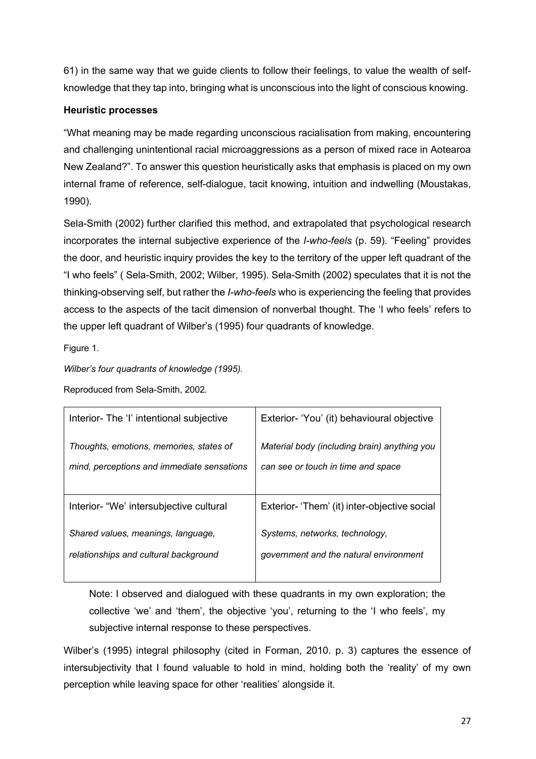61) in the same way that we guide clients to follow their feelings, to value the wealth of selfknowledge that they tap into, bringing what is unconscious into the light of conscious knowing.

# **Heuristic processes**

"What meaning may be made regarding unconscious racialisation from making, encountering and challenging unintentional racial microaggressions as a person of mixed race in Aotearoa New Zealand?". To answer this question heuristically asks that emphasis is placed on my own internal frame of reference, self-dialogue, tacit knowing, intuition and indwelling (Moustakas, 1990).

Sela-Smith (2002) further clarified this method, and extrapolated that psychological research incorporates the internal subjective experience of the *I-who-feels* (p. 59). "Feeling" provides the door, and heuristic inquiry provides the key to the territory of the upper left quadrant of the "I who feels" ( Sela-Smith, 2002; Wilber, 1995). Sela-Smith (2002) speculates that it is not the thinking-observing self, but rather the *I-who-feels* who is experiencing the feeling that provides access to the aspects of the tacit dimension of nonverbal thought. The 'I who feels' refers to the upper left quadrant of Wilber's (1995) four quadrants of knowledge.

Figure 1*.*

*Wilber's four quadrants of knowledge (1995).*

Reproduced from Sela-Smith, 2002*.*

| Interior- The 'I' intentional subjective   | Exterior- 'You' (it) behavioural objective   |
|--------------------------------------------|----------------------------------------------|
| Thoughts, emotions, memories, states of    | Material body (including brain) anything you |
| mind, perceptions and immediate sensations | can see or touch in time and space           |
| Interior- "We' intersubjective cultural    | Exterior- 'Them' (it) inter-objective social |
| Shared values, meanings, language,         | Systems, networks, technology,               |
| relationships and cultural background      | government and the natural environment       |

Note: I observed and dialogued with these quadrants in my own exploration; the collective 'we' and 'them', the objective 'you', returning to the 'I who feels', my subjective internal response to these perspectives.

Wilber's (1995) integral philosophy (cited in Forman, 2010. p. 3) captures the essence of intersubjectivity that I found valuable to hold in mind, holding both the 'reality' of my own perception while leaving space for other 'realities' alongside it.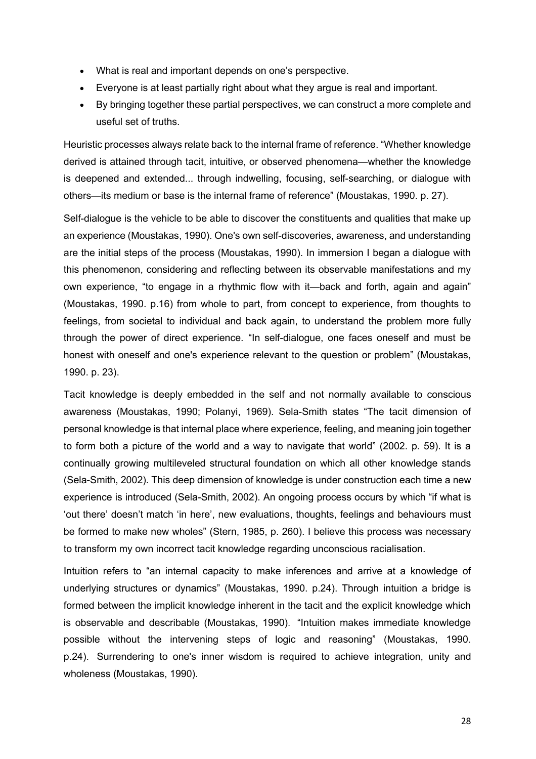- What is real and important depends on one's perspective.
- Everyone is at least partially right about what they argue is real and important.
- By bringing together these partial perspectives, we can construct a more complete and useful set of truths.

Heuristic processes always relate back to the internal frame of reference. "Whether knowledge derived is attained through tacit, intuitive, or observed phenomena—whether the knowledge is deepened and extended... through indwelling, focusing, self-searching, or dialogue with others—its medium or base is the internal frame of reference" (Moustakas, 1990. p. 27).

Self-dialogue is the vehicle to be able to discover the constituents and qualities that make up an experience (Moustakas, 1990). One's own self-discoveries, awareness, and understanding are the initial steps of the process (Moustakas, 1990). In immersion I began a dialogue with this phenomenon, considering and reflecting between its observable manifestations and my own experience, "to engage in a rhythmic flow with it—back and forth, again and again" (Moustakas, 1990. p.16) from whole to part, from concept to experience, from thoughts to feelings, from societal to individual and back again, to understand the problem more fully through the power of direct experience. "In self-dialogue, one faces oneself and must be honest with oneself and one's experience relevant to the question or problem" (Moustakas, 1990. p. 23).

Tacit knowledge is deeply embedded in the self and not normally available to conscious awareness (Moustakas, 1990; Polanyi, 1969). Sela-Smith states "The tacit dimension of personal knowledge is that internal place where experience, feeling, and meaning join together to form both a picture of the world and a way to navigate that world" (2002. p. 59). It is a continually growing multileveled structural foundation on which all other knowledge stands (Sela-Smith, 2002). This deep dimension of knowledge is under construction each time a new experience is introduced (Sela-Smith, 2002). An ongoing process occurs by which "if what is 'out there' doesn't match 'in here', new evaluations, thoughts, feelings and behaviours must be formed to make new wholes" (Stern, 1985, p. 260). I believe this process was necessary to transform my own incorrect tacit knowledge regarding unconscious racialisation.

Intuition refers to "an internal capacity to make inferences and arrive at a knowledge of underlying structures or dynamics" (Moustakas, 1990. p.24). Through intuition a bridge is formed between the implicit knowledge inherent in the tacit and the explicit knowledge which is observable and describable (Moustakas, 1990). "Intuition makes immediate knowledge possible without the intervening steps of logic and reasoning" (Moustakas, 1990. p.24). Surrendering to one's inner wisdom is required to achieve integration, unity and wholeness (Moustakas, 1990).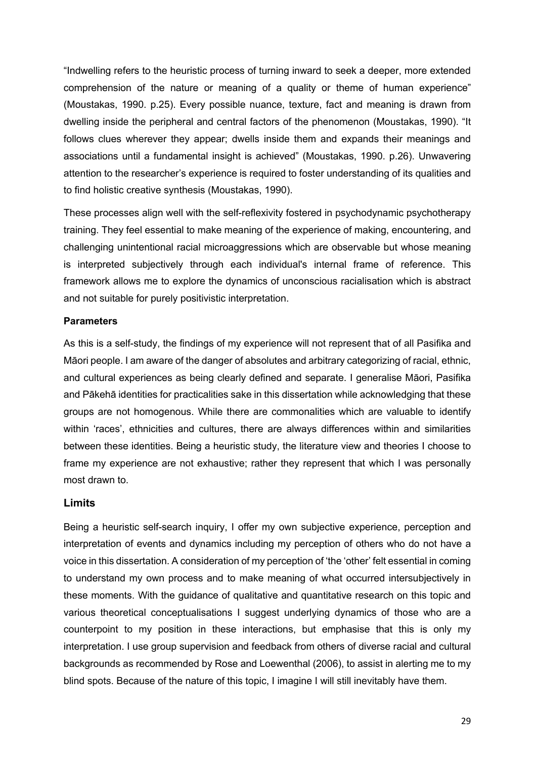"Indwelling refers to the heuristic process of turning inward to seek a deeper, more extended comprehension of the nature or meaning of a quality or theme of human experience" (Moustakas, 1990. p.25). Every possible nuance, texture, fact and meaning is drawn from dwelling inside the peripheral and central factors of the phenomenon (Moustakas, 1990). "It follows clues wherever they appear; dwells inside them and expands their meanings and associations until a fundamental insight is achieved" (Moustakas, 1990. p.26). Unwavering attention to the researcher's experience is required to foster understanding of its qualities and to find holistic creative synthesis (Moustakas, 1990).

These processes align well with the self-reflexivity fostered in psychodynamic psychotherapy training. They feel essential to make meaning of the experience of making, encountering, and challenging unintentional racial microaggressions which are observable but whose meaning is interpreted subjectively through each individual's internal frame of reference. This framework allows me to explore the dynamics of unconscious racialisation which is abstract and not suitable for purely positivistic interpretation.

#### **Parameters**

As this is a self-study, the findings of my experience will not represent that of all Pasifika and Māori people. I am aware of the danger of absolutes and arbitrary categorizing of racial, ethnic, and cultural experiences as being clearly defined and separate. I generalise Māori, Pasifika and Pākehā identities for practicalities sake in this dissertation while acknowledging that these groups are not homogenous. While there are commonalities which are valuable to identify within 'races', ethnicities and cultures, there are always differences within and similarities between these identities. Being a heuristic study, the literature view and theories I choose to frame my experience are not exhaustive; rather they represent that which I was personally most drawn to.

#### **Limits**

Being a heuristic self-search inquiry, I offer my own subjective experience, perception and interpretation of events and dynamics including my perception of others who do not have a voice in this dissertation. A consideration of my perception of 'the 'other' felt essential in coming to understand my own process and to make meaning of what occurred intersubjectively in these moments. With the guidance of qualitative and quantitative research on this topic and various theoretical conceptualisations I suggest underlying dynamics of those who are a counterpoint to my position in these interactions, but emphasise that this is only my interpretation. I use group supervision and feedback from others of diverse racial and cultural backgrounds as recommended by Rose and Loewenthal (2006), to assist in alerting me to my blind spots. Because of the nature of this topic, I imagine I will still inevitably have them.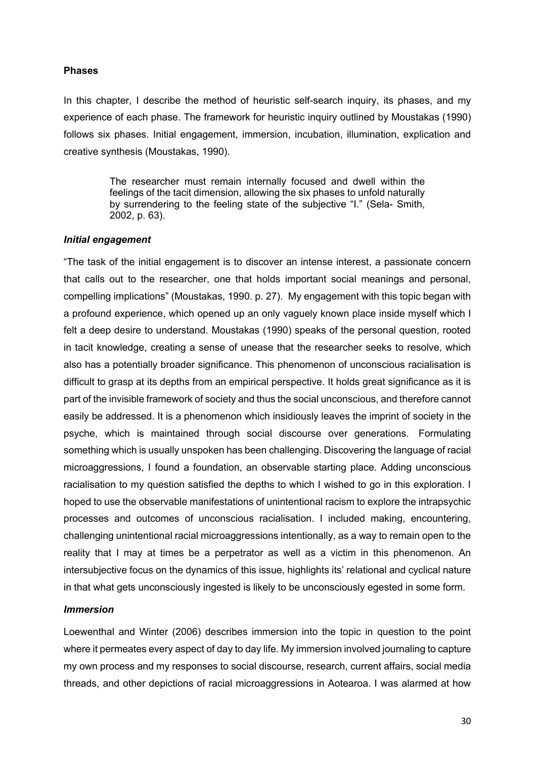#### **Phases**

In this chapter, I describe the method of heuristic self-search inquiry, its phases, and my experience of each phase. The framework for heuristic inquiry outlined by Moustakas (1990) follows six phases. Initial engagement, immersion, incubation, illumination, explication and creative synthesis (Moustakas, 1990).

> The researcher must remain internally focused and dwell within the feelings of the tacit dimension, allowing the six phases to unfold naturally by surrendering to the feeling state of the subjective "I." (Sela- Smith, 2002, p. 63).

#### *Initial engagement*

"The task of the initial engagement is to discover an intense interest, a passionate concern that calls out to the researcher, one that holds important social meanings and personal, compelling implications" (Moustakas, 1990. p. 27). My engagement with this topic began with a profound experience, which opened up an only vaguely known place inside myself which I felt a deep desire to understand. Moustakas (1990) speaks of the personal question, rooted in tacit knowledge, creating a sense of unease that the researcher seeks to resolve, which also has a potentially broader significance. This phenomenon of unconscious racialisation is difficult to grasp at its depths from an empirical perspective. It holds great significance as it is part of the invisible framework of society and thus the social unconscious, and therefore cannot easily be addressed. It is a phenomenon which insidiously leaves the imprint of society in the psyche, which is maintained through social discourse over generations. Formulating something which is usually unspoken has been challenging. Discovering the language of racial microaggressions, I found a foundation, an observable starting place. Adding unconscious racialisation to my question satisfied the depths to which I wished to go in this exploration. I hoped to use the observable manifestations of unintentional racism to explore the intrapsychic processes and outcomes of unconscious racialisation. I included making, encountering, challenging unintentional racial microaggressions intentionally, as a way to remain open to the reality that I may at times be a perpetrator as well as a victim in this phenomenon. An intersubjective focus on the dynamics of this issue, highlights its' relational and cyclical nature in that what gets unconsciously ingested is likely to be unconsciously egested in some form.

#### *Immersion*

Loewenthal and Winter (2006) describes immersion into the topic in question to the point where it permeates every aspect of day to day life. My immersion involved journaling to capture my own process and my responses to social discourse, research, current affairs, social media threads, and other depictions of racial microaggressions in Aotearoa. I was alarmed at how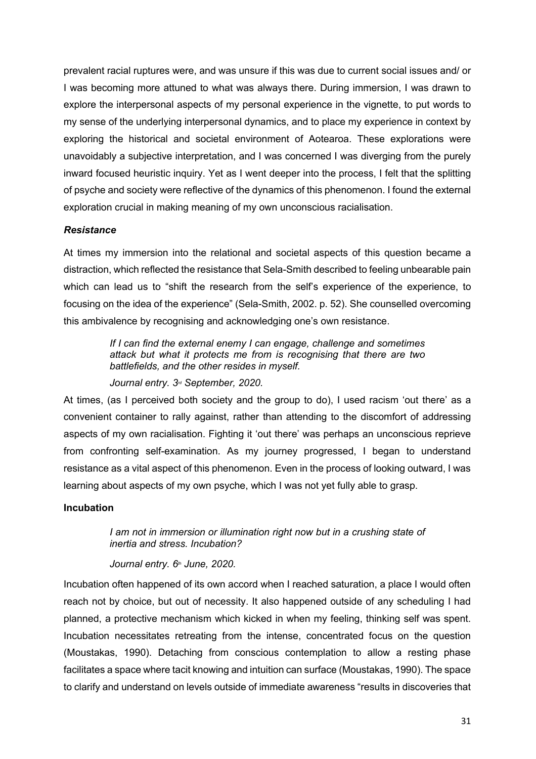prevalent racial ruptures were, and was unsure if this was due to current social issues and/ or I was becoming more attuned to what was always there. During immersion, I was drawn to explore the interpersonal aspects of my personal experience in the vignette, to put words to my sense of the underlying interpersonal dynamics, and to place my experience in context by exploring the historical and societal environment of Aotearoa. These explorations were unavoidably a subjective interpretation, and I was concerned I was diverging from the purely inward focused heuristic inquiry. Yet as I went deeper into the process, I felt that the splitting of psyche and society were reflective of the dynamics of this phenomenon. I found the external exploration crucial in making meaning of my own unconscious racialisation.

### *Resistance*

At times my immersion into the relational and societal aspects of this question became a distraction, which reflected the resistance that Sela-Smith described to feeling unbearable pain which can lead us to "shift the research from the self's experience of the experience, to focusing on the idea of the experience" (Sela-Smith, 2002. p. 52). She counselled overcoming this ambivalence by recognising and acknowledging one's own resistance.

> *If I can find the external enemy I can engage, challenge and sometimes attack but what it protects me from is recognising that there are two battlefields, and the other resides in myself.*

*Journal entry. 3rd September, 2020.*

At times, (as I perceived both society and the group to do), I used racism 'out there' as a convenient container to rally against, rather than attending to the discomfort of addressing aspects of my own racialisation. Fighting it 'out there' was perhaps an unconscious reprieve from confronting self-examination. As my journey progressed, I began to understand resistance as a vital aspect of this phenomenon. Even in the process of looking outward, I was learning about aspects of my own psyche, which I was not yet fully able to grasp.

## **Incubation**

*I am not in immersion or illumination right now but in a crushing state of inertia and stress. Incubation?*

#### *Journal entry. 6<sup>th</sup> June, 2020.*

Incubation often happened of its own accord when I reached saturation, a place I would often reach not by choice, but out of necessity. It also happened outside of any scheduling I had planned, a protective mechanism which kicked in when my feeling, thinking self was spent. Incubation necessitates retreating from the intense, concentrated focus on the question (Moustakas, 1990). Detaching from conscious contemplation to allow a resting phase facilitates a space where tacit knowing and intuition can surface (Moustakas, 1990). The space to clarify and understand on levels outside of immediate awareness "results in discoveries that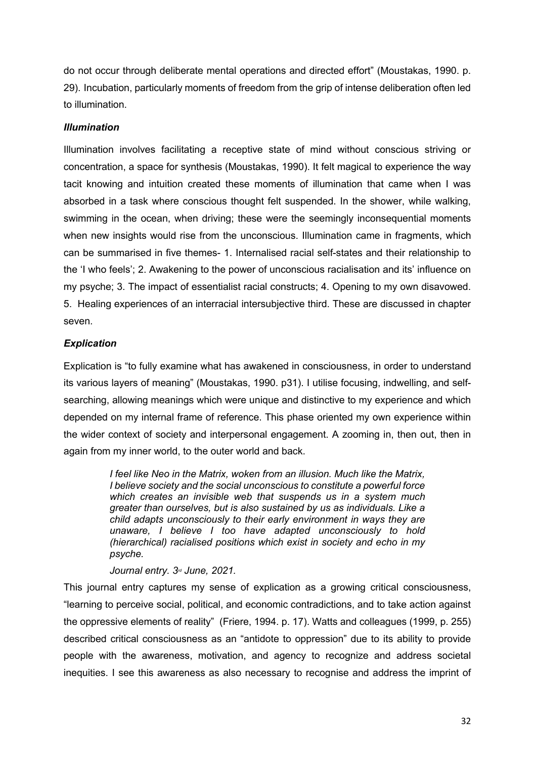do not occur through deliberate mental operations and directed effort" (Moustakas, 1990. p. 29). Incubation, particularly moments of freedom from the grip of intense deliberation often led to illumination.

## *Illumination*

Illumination involves facilitating a receptive state of mind without conscious striving or concentration, a space for synthesis (Moustakas, 1990). It felt magical to experience the way tacit knowing and intuition created these moments of illumination that came when I was absorbed in a task where conscious thought felt suspended. In the shower, while walking, swimming in the ocean, when driving; these were the seemingly inconsequential moments when new insights would rise from the unconscious. Illumination came in fragments, which can be summarised in five themes- 1. Internalised racial self-states and their relationship to the 'I who feels'; 2. Awakening to the power of unconscious racialisation and its' influence on my psyche; 3. The impact of essentialist racial constructs; 4. Opening to my own disavowed. 5. Healing experiences of an interracial intersubjective third. These are discussed in chapter seven.

## *Explication*

Explication is "to fully examine what has awakened in consciousness, in order to understand its various layers of meaning" (Moustakas, 1990. p31). I utilise focusing, indwelling, and selfsearching, allowing meanings which were unique and distinctive to my experience and which depended on my internal frame of reference. This phase oriented my own experience within the wider context of society and interpersonal engagement. A zooming in, then out, then in again from my inner world, to the outer world and back.

> *I feel like Neo in the Matrix, woken from an illusion. Much like the Matrix, I believe society and the social unconscious to constitute a powerful force which creates an invisible web that suspends us in a system much greater than ourselves, but is also sustained by us as individuals. Like a child adapts unconsciously to their early environment in ways they are unaware, I believe I too have adapted unconsciously to hold (hierarchical) racialised positions which exist in society and echo in my psyche.*

#### *Journal entry. 3rd June, 2021.*

This journal entry captures my sense of explication as a growing critical consciousness, "learning to perceive social, political, and economic contradictions, and to take action against the oppressive elements of reality" (Friere, 1994. p. 17). Watts and colleagues (1999, p. 255) described critical consciousness as an "antidote to oppression" due to its ability to provide people with the awareness, motivation, and agency to recognize and address societal inequities. I see this awareness as also necessary to recognise and address the imprint of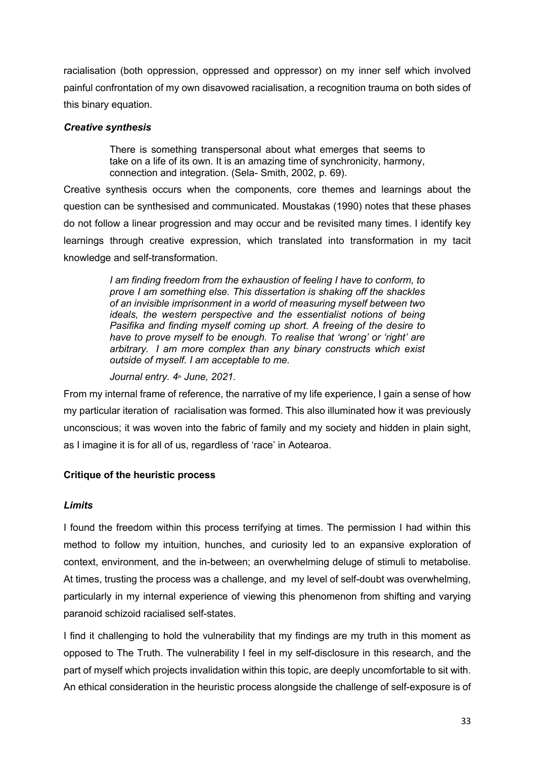racialisation (both oppression, oppressed and oppressor) on my inner self which involved painful confrontation of my own disavowed racialisation, a recognition trauma on both sides of this binary equation.

## *Creative synthesis*

There is something transpersonal about what emerges that seems to take on a life of its own. It is an amazing time of synchronicity, harmony, connection and integration. (Sela- Smith, 2002, p. 69).

Creative synthesis occurs when the components, core themes and learnings about the question can be synthesised and communicated. Moustakas (1990) notes that these phases do not follow a linear progression and may occur and be revisited many times. I identify key learnings through creative expression, which translated into transformation in my tacit knowledge and self-transformation.

> *I am finding freedom from the exhaustion of feeling I have to conform, to prove I am something else. This dissertation is shaking off the shackles of an invisible imprisonment in a world of measuring myself between two ideals, the western perspective and the essentialist notions of being Pasifika and finding myself coming up short. A freeing of the desire to have to prove myself to be enough. To realise that 'wrong' or 'right' are arbitrary. I am more complex than any binary constructs which exist outside of myself. I am acceptable to me.*

*Journal entry. 4th June, 2021.*

From my internal frame of reference, the narrative of my life experience, I gain a sense of how my particular iteration of racialisation was formed. This also illuminated how it was previously unconscious; it was woven into the fabric of family and my society and hidden in plain sight, as I imagine it is for all of us, regardless of 'race' in Aotearoa.

# **Critique of the heuristic process**

# *Limits*

I found the freedom within this process terrifying at times. The permission I had within this method to follow my intuition, hunches, and curiosity led to an expansive exploration of context, environment, and the in-between; an overwhelming deluge of stimuli to metabolise. At times, trusting the process was a challenge, and my level of self-doubt was overwhelming, particularly in my internal experience of viewing this phenomenon from shifting and varying paranoid schizoid racialised self-states.

I find it challenging to hold the vulnerability that my findings are my truth in this moment as opposed to The Truth. The vulnerability I feel in my self-disclosure in this research, and the part of myself which projects invalidation within this topic, are deeply uncomfortable to sit with. An ethical consideration in the heuristic process alongside the challenge of self-exposure is of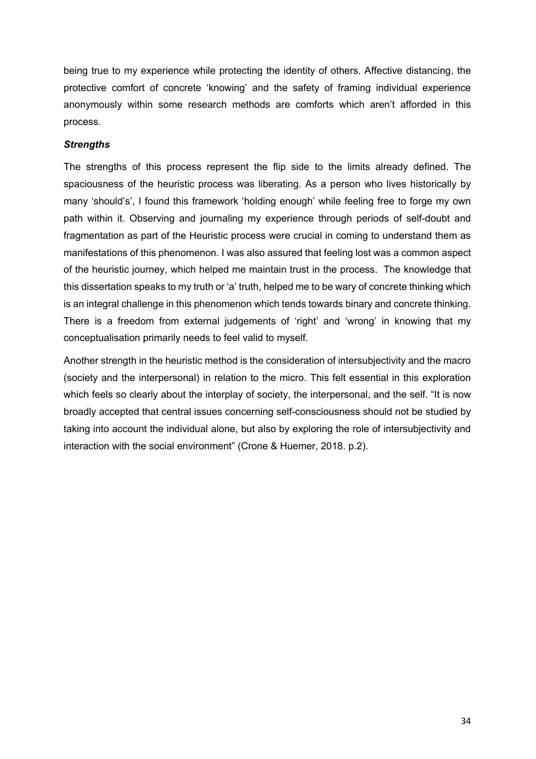being true to my experience while protecting the identity of others. Affective distancing, the protective comfort of concrete 'knowing' and the safety of framing individual experience anonymously within some research methods are comforts which aren't afforded in this process.

# *Strengths*

The strengths of this process represent the flip side to the limits already defined. The spaciousness of the heuristic process was liberating. As a person who lives historically by many 'should's', I found this framework 'holding enough' while feeling free to forge my own path within it. Observing and journaling my experience through periods of self-doubt and fragmentation as part of the Heuristic process were crucial in coming to understand them as manifestations of this phenomenon. I was also assured that feeling lost was a common aspect of the heuristic journey, which helped me maintain trust in the process. The knowledge that this dissertation speaks to my truth or 'a' truth, helped me to be wary of concrete thinking which is an integral challenge in this phenomenon which tends towards binary and concrete thinking. There is a freedom from external judgements of 'right' and 'wrong' in knowing that my conceptualisation primarily needs to feel valid to myself.

Another strength in the heuristic method is the consideration of intersubjectivity and the macro (society and the interpersonal) in relation to the micro. This felt essential in this exploration which feels so clearly about the interplay of society, the interpersonal, and the self. "It is now broadly accepted that central issues concerning self-consciousness should not be studied by taking into account the individual alone, but also by exploring the role of intersubjectivity and interaction with the social environment" (Crone & Huemer, 2018. p.2).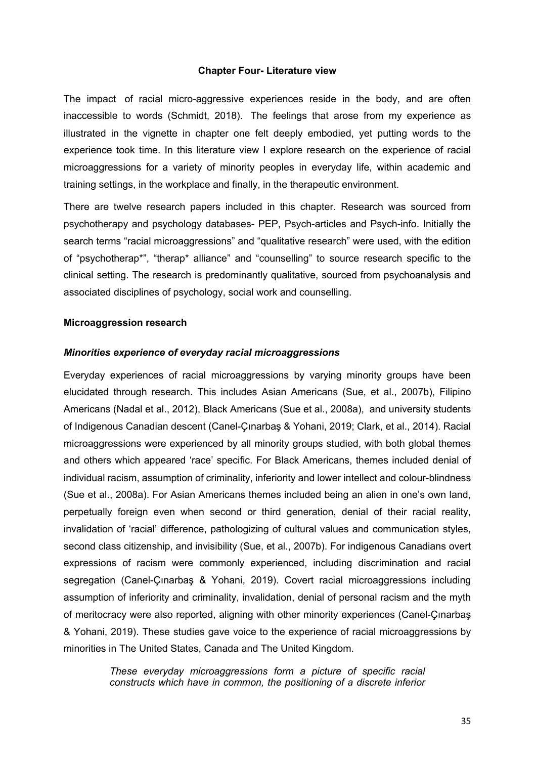#### **Chapter Four- Literature view**

The impact of racial micro-aggressive experiences reside in the body, and are often inaccessible to words (Schmidt, 2018). The feelings that arose from my experience as illustrated in the vignette in chapter one felt deeply embodied, yet putting words to the experience took time. In this literature view I explore research on the experience of racial microaggressions for a variety of minority peoples in everyday life, within academic and training settings, in the workplace and finally, in the therapeutic environment.

There are twelve research papers included in this chapter. Research was sourced from psychotherapy and psychology databases- PEP, Psych-articles and Psych-info. Initially the search terms "racial microaggressions" and "qualitative research" were used, with the edition of "psychotherap\*", "therap\* alliance" and "counselling" to source research specific to the clinical setting. The research is predominantly qualitative, sourced from psychoanalysis and associated disciplines of psychology, social work and counselling.

#### **Microaggression research**

#### *Minorities experience of everyday racial microaggressions*

Everyday experiences of racial microaggressions by varying minority groups have been elucidated through research. This includes Asian Americans (Sue, et al., 2007b), Filipino Americans (Nadal et al., 2012), Black Americans (Sue et al., 2008a), and university students of Indigenous Canadian descent (Canel-Çınarbaş & Yohani, 2019; Clark, et al., 2014). Racial microaggressions were experienced by all minority groups studied, with both global themes and others which appeared 'race' specific. For Black Americans, themes included denial of individual racism, assumption of criminality, inferiority and lower intellect and colour-blindness (Sue et al., 2008a). For Asian Americans themes included being an alien in one's own land, perpetually foreign even when second or third generation, denial of their racial reality, invalidation of 'racial' difference, pathologizing of cultural values and communication styles, second class citizenship, and invisibility (Sue, et al., 2007b). For indigenous Canadians overt expressions of racism were commonly experienced, including discrimination and racial segregation (Canel-Çınarbaş & Yohani, 2019). Covert racial microaggressions including assumption of inferiority and criminality, invalidation, denial of personal racism and the myth of meritocracy were also reported, aligning with other minority experiences (Canel-Çınarbaş & Yohani, 2019). These studies gave voice to the experience of racial microaggressions by minorities in The United States, Canada and The United Kingdom.

> *These everyday microaggressions form a picture of specific racial constructs which have in common, the positioning of a discrete inferior*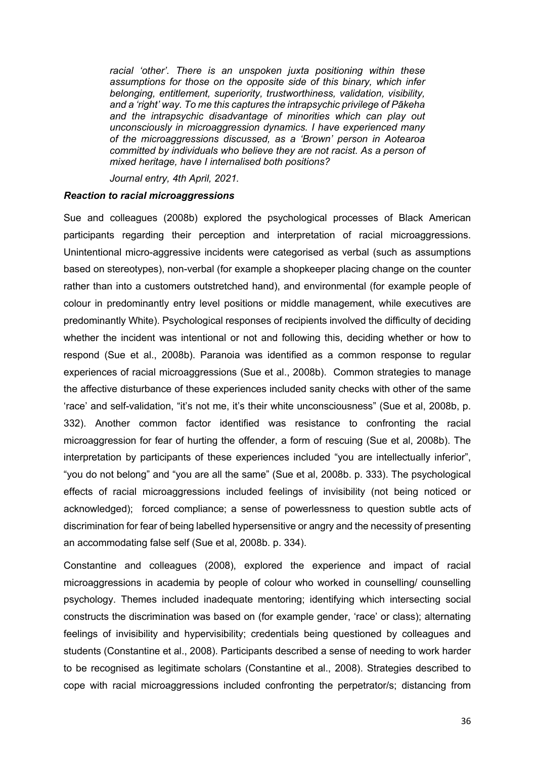*racial 'other'. There is an unspoken juxta positioning within these assumptions for those on the opposite side of this binary, which infer belonging, entitlement, superiority, trustworthiness, validation, visibility, and a 'right' way. To me this captures the intrapsychic privilege of Pākeha and the intrapsychic disadvantage of minorities which can play out unconsciously in microaggression dynamics. I have experienced many of the microaggressions discussed, as a 'Brown' person in Aotearoa committed by individuals who believe they are not racist. As a person of mixed heritage, have I internalised both positions?*

*Journal entry, 4th April, 2021.*

#### *Reaction to racial microaggressions*

Sue and colleagues (2008b) explored the psychological processes of Black American participants regarding their perception and interpretation of racial microaggressions. Unintentional micro-aggressive incidents were categorised as verbal (such as assumptions based on stereotypes), non-verbal (for example a shopkeeper placing change on the counter rather than into a customers outstretched hand), and environmental (for example people of colour in predominantly entry level positions or middle management, while executives are predominantly White). Psychological responses of recipients involved the difficulty of deciding whether the incident was intentional or not and following this, deciding whether or how to respond (Sue et al., 2008b). Paranoia was identified as a common response to regular experiences of racial microaggressions (Sue et al., 2008b). Common strategies to manage the affective disturbance of these experiences included sanity checks with other of the same 'race' and self-validation, "it's not me, it's their white unconsciousness" (Sue et al, 2008b, p. 332). Another common factor identified was resistance to confronting the racial microaggression for fear of hurting the offender, a form of rescuing (Sue et al, 2008b). The interpretation by participants of these experiences included "you are intellectually inferior", "you do not belong" and "you are all the same" (Sue et al, 2008b. p. 333). The psychological effects of racial microaggressions included feelings of invisibility (not being noticed or acknowledged); forced compliance; a sense of powerlessness to question subtle acts of discrimination for fear of being labelled hypersensitive or angry and the necessity of presenting an accommodating false self (Sue et al, 2008b. p. 334).

Constantine and colleagues (2008), explored the experience and impact of racial microaggressions in academia by people of colour who worked in counselling/ counselling psychology. Themes included inadequate mentoring; identifying which intersecting social constructs the discrimination was based on (for example gender, 'race' or class); alternating feelings of invisibility and hypervisibility; credentials being questioned by colleagues and students (Constantine et al., 2008). Participants described a sense of needing to work harder to be recognised as legitimate scholars (Constantine et al., 2008). Strategies described to cope with racial microaggressions included confronting the perpetrator/s; distancing from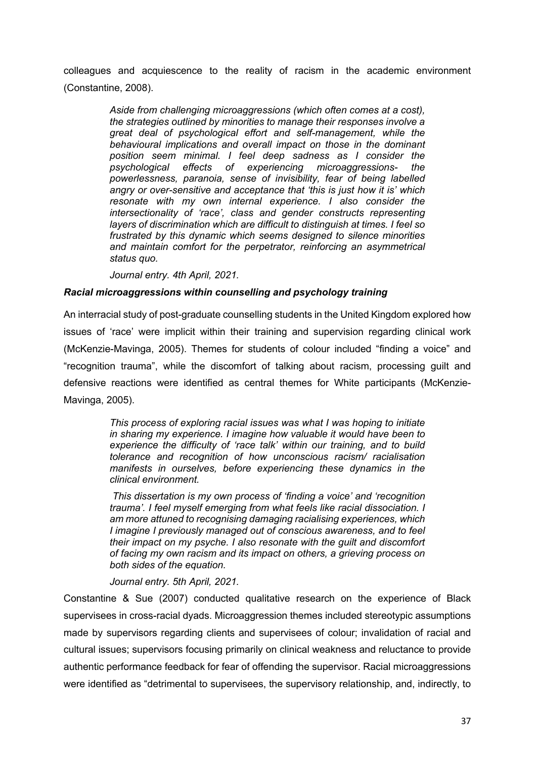colleagues and acquiescence to the reality of racism in the academic environment (Constantine, 2008).

> *Aside from challenging microaggressions (which often comes at a cost), the strategies outlined by minorities to manage their responses involve a great deal of psychological effort and self-management, while the behavioural implications and overall impact on those in the dominant position seem minimal. I feel deep sadness as I consider the psychological effects of experiencing microaggressions- the powerlessness, paranoia, sense of invisibility, fear of being labelled angry or over-sensitive and acceptance that 'this is just how it is' which resonate with my own internal experience. I also consider the intersectionality of 'race', class and gender constructs representing layers of discrimination which are difficult to distinguish at times. I feel so frustrated by this dynamic which seems designed to silence minorities and maintain comfort for the perpetrator, reinforcing an asymmetrical status quo.*

*Journal entry. 4th April, 2021.*

### *Racial microaggressions within counselling and psychology training*

An interracial study of post-graduate counselling students in the United Kingdom explored how issues of 'race' were implicit within their training and supervision regarding clinical work (McKenzie-Mavinga, 2005). Themes for students of colour included "finding a voice" and "recognition trauma", while the discomfort of talking about racism, processing guilt and defensive reactions were identified as central themes for White participants (McKenzie-Mavinga, 2005).

> *This process of exploring racial issues was what I was hoping to initiate in sharing my experience. I imagine how valuable it would have been to experience the difficulty of 'race talk' within our training, and to build tolerance and recognition of how unconscious racism/ racialisation manifests in ourselves, before experiencing these dynamics in the clinical environment.*

> *This dissertation is my own process of 'finding a voice' and 'recognition trauma'. I feel myself emerging from what feels like racial dissociation. I am more attuned to recognising damaging racialising experiences, which I imagine I previously managed out of conscious awareness, and to feel their impact on my psyche. I also resonate with the guilt and discomfort of facing my own racism and its impact on others, a grieving process on both sides of the equation.*

### *Journal entry. 5th April, 2021.*

Constantine & Sue (2007) conducted qualitative research on the experience of Black supervisees in cross-racial dyads. Microaggression themes included stereotypic assumptions made by supervisors regarding clients and supervisees of colour; invalidation of racial and cultural issues; supervisors focusing primarily on clinical weakness and reluctance to provide authentic performance feedback for fear of offending the supervisor. Racial microaggressions were identified as "detrimental to supervisees, the supervisory relationship, and, indirectly, to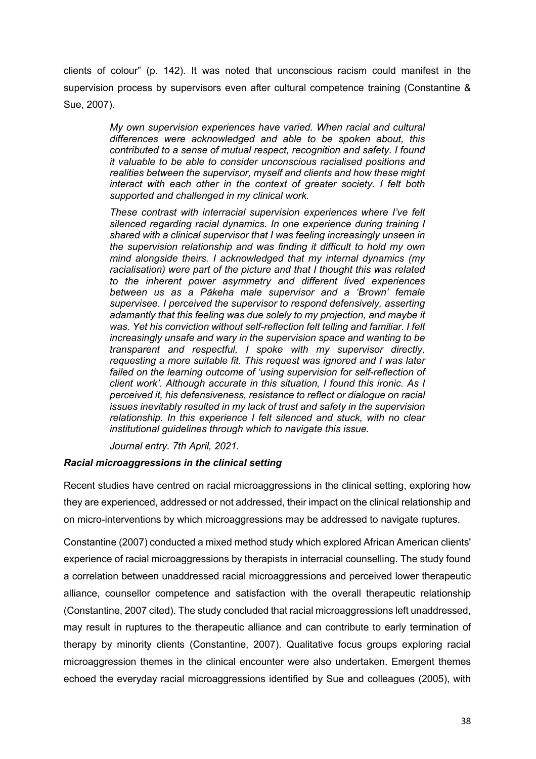clients of colour" (p. 142). It was noted that unconscious racism could manifest in the supervision process by supervisors even after cultural competence training (Constantine & Sue, 2007).

> *My own supervision experiences have varied. When racial and cultural differences were acknowledged and able to be spoken about, this contributed to a sense of mutual respect, recognition and safety. I found it valuable to be able to consider unconscious racialised positions and realities between the supervisor, myself and clients and how these might interact with each other in the context of greater society. I felt both supported and challenged in my clinical work.*

> *These contrast with interracial supervision experiences where I've felt silenced regarding racial dynamics. In one experience during training I shared with a clinical supervisor that I was feeling increasingly unseen in the supervision relationship and was finding it difficult to hold my own mind alongside theirs. I acknowledged that my internal dynamics (my racialisation) were part of the picture and that I thought this was related to the inherent power asymmetry and different lived experiences between us as a Pākeha male supervisor and a 'Brown' female supervisee. I perceived the supervisor to respond defensively, asserting adamantly that this feeling was due solely to my projection, and maybe it was. Yet his conviction without self-reflection felt telling and familiar. I felt increasingly unsafe and wary in the supervision space and wanting to be transparent and respectful, I spoke with my supervisor directly, requesting a more suitable fit. This request was ignored and I was later failed on the learning outcome of 'using supervision for self-reflection of client work'. Although accurate in this situation, I found this ironic. As I perceived it, his defensiveness, resistance to reflect or dialogue on racial issues inevitably resulted in my lack of trust and safety in the supervision relationship. In this experience I felt silenced and stuck, with no clear institutional guidelines through which to navigate this issue.*

*Journal entry. 7th April, 2021.*

# *Racial microaggressions in the clinical setting*

Recent studies have centred on racial microaggressions in the clinical setting, exploring how they are experienced, addressed or not addressed, their impact on the clinical relationship and on micro-interventions by which microaggressions may be addressed to navigate ruptures.

Constantine (2007) conducted a mixed method study which explored African American clients' experience of racial microaggressions by therapists in interracial counselling. The study found a correlation between unaddressed racial microaggressions and perceived lower therapeutic alliance, counsellor competence and satisfaction with the overall therapeutic relationship (Constantine, 2007 cited). The study concluded that racial microaggressions left unaddressed, may result in ruptures to the therapeutic alliance and can contribute to early termination of therapy by minority clients (Constantine, 2007). Qualitative focus groups exploring racial microaggression themes in the clinical encounter were also undertaken. Emergent themes echoed the everyday racial microaggressions identified by Sue and colleagues (2005), with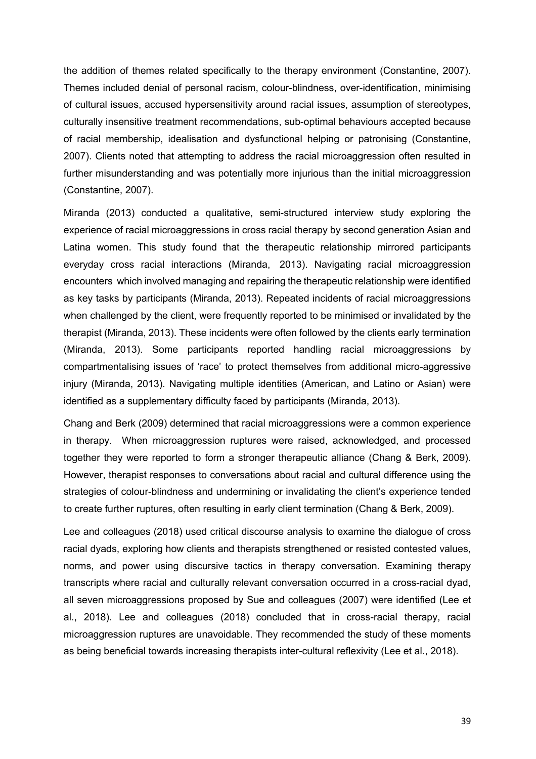the addition of themes related specifically to the therapy environment (Constantine, 2007). Themes included denial of personal racism, colour-blindness, over-identification, minimising of cultural issues, accused hypersensitivity around racial issues, assumption of stereotypes, culturally insensitive treatment recommendations, sub-optimal behaviours accepted because of racial membership, idealisation and dysfunctional helping or patronising (Constantine, 2007). Clients noted that attempting to address the racial microaggression often resulted in further misunderstanding and was potentially more injurious than the initial microaggression (Constantine, 2007).

Miranda (2013) conducted a qualitative, semi-structured interview study exploring the experience of racial microaggressions in cross racial therapy by second generation Asian and Latina women. This study found that the therapeutic relationship mirrored participants everyday cross racial interactions (Miranda, 2013). Navigating racial microaggression encounters which involved managing and repairing the therapeutic relationship were identified as key tasks by participants (Miranda, 2013). Repeated incidents of racial microaggressions when challenged by the client, were frequently reported to be minimised or invalidated by the therapist (Miranda, 2013). These incidents were often followed by the clients early termination (Miranda, 2013). Some participants reported handling racial microaggressions by compartmentalising issues of 'race' to protect themselves from additional micro-aggressive injury (Miranda, 2013). Navigating multiple identities (American, and Latino or Asian) were identified as a supplementary difficulty faced by participants (Miranda, 2013).

Chang and Berk (2009) determined that racial microaggressions were a common experience in therapy. When microaggression ruptures were raised, acknowledged, and processed together they were reported to form a stronger therapeutic alliance (Chang & Berk, 2009). However, therapist responses to conversations about racial and cultural difference using the strategies of colour-blindness and undermining or invalidating the client's experience tended to create further ruptures, often resulting in early client termination (Chang & Berk, 2009).

Lee and colleagues (2018) used critical discourse analysis to examine the dialogue of cross racial dyads, exploring how clients and therapists strengthened or resisted contested values, norms, and power using discursive tactics in therapy conversation. Examining therapy transcripts where racial and culturally relevant conversation occurred in a cross-racial dyad, all seven microaggressions proposed by Sue and colleagues (2007) were identified (Lee et al., 2018). Lee and colleagues (2018) concluded that in cross-racial therapy, racial microaggression ruptures are unavoidable. They recommended the study of these moments as being beneficial towards increasing therapists inter-cultural reflexivity (Lee et al., 2018).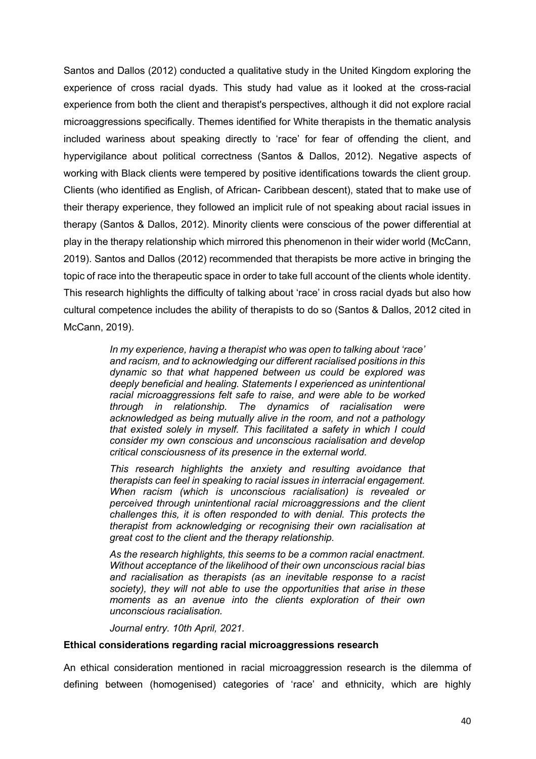Santos and Dallos (2012) conducted a qualitative study in the United Kingdom exploring the experience of cross racial dyads. This study had value as it looked at the cross-racial experience from both the client and therapist's perspectives, although it did not explore racial microaggressions specifically. Themes identified for White therapists in the thematic analysis included wariness about speaking directly to 'race' for fear of offending the client, and hypervigilance about political correctness (Santos & Dallos, 2012). Negative aspects of working with Black clients were tempered by positive identifications towards the client group. Clients (who identified as English, of African- Caribbean descent), stated that to make use of their therapy experience, they followed an implicit rule of not speaking about racial issues in therapy (Santos & Dallos, 2012). Minority clients were conscious of the power differential at play in the therapy relationship which mirrored this phenomenon in their wider world (McCann, 2019). Santos and Dallos (2012) recommended that therapists be more active in bringing the topic of race into the therapeutic space in order to take full account of the clients whole identity. This research highlights the difficulty of talking about 'race' in cross racial dyads but also how cultural competence includes the ability of therapists to do so (Santos & Dallos, 2012 cited in McCann, 2019).

> *In my experience, having a therapist who was open to talking about 'race' and racism, and to acknowledging our different racialised positions in this dynamic so that what happened between us could be explored was deeply beneficial and healing. Statements I experienced as unintentional racial microaggressions felt safe to raise, and were able to be worked through in relationship. The dynamics of racialisation were acknowledged as being mutually alive in the room, and not a pathology that existed solely in myself. This facilitated a safety in which I could consider my own conscious and unconscious racialisation and develop critical consciousness of its presence in the external world.*

> *This research highlights the anxiety and resulting avoidance that therapists can feel in speaking to racial issues in interracial engagement. When racism (which is unconscious racialisation) is revealed or perceived through unintentional racial microaggressions and the client challenges this, it is often responded to with denial. This protects the therapist from acknowledging or recognising their own racialisation at great cost to the client and the therapy relationship.*

> *As the research highlights, this seems to be a common racial enactment. Without acceptance of the likelihood of their own unconscious racial bias and racialisation as therapists (as an inevitable response to a racist society), they will not able to use the opportunities that arise in these moments as an avenue into the clients exploration of their own unconscious racialisation.*

*Journal entry. 10th April, 2021.*

### **Ethical considerations regarding racial microaggressions research**

An ethical consideration mentioned in racial microaggression research is the dilemma of defining between (homogenised) categories of 'race' and ethnicity, which are highly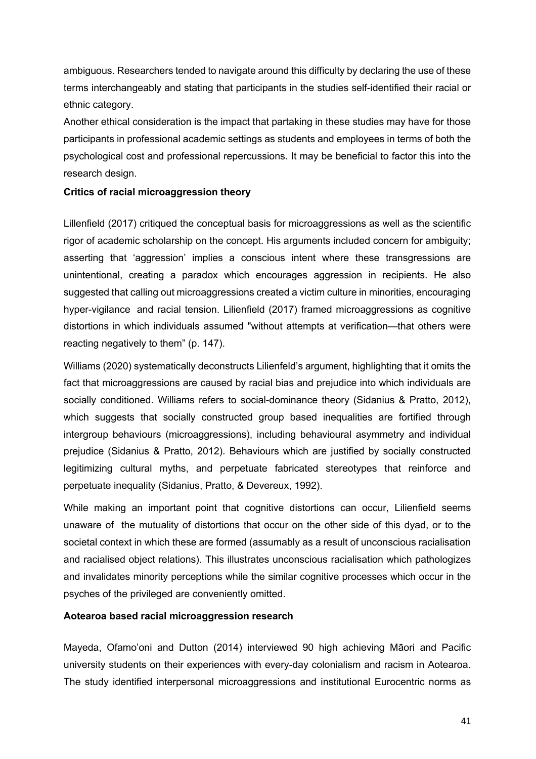ambiguous. Researchers tended to navigate around this difficulty by declaring the use of these terms interchangeably and stating that participants in the studies self-identified their racial or ethnic category.

Another ethical consideration is the impact that partaking in these studies may have for those participants in professional academic settings as students and employees in terms of both the psychological cost and professional repercussions. It may be beneficial to factor this into the research design.

# **Critics of racial microaggression theory**

Lillenfield (2017) critiqued the conceptual basis for microaggressions as well as the scientific rigor of academic scholarship on the concept. His arguments included concern for ambiguity; asserting that 'aggression' implies a conscious intent where these transgressions are unintentional, creating a paradox which encourages aggression in recipients. He also suggested that calling out microaggressions created a victim culture in minorities, encouraging hyper-vigilance and racial tension. Lilienfield (2017) framed microaggressions as cognitive distortions in which individuals assumed "without attempts at verification—that others were reacting negatively to them" (p. 147).

Williams (2020) systematically deconstructs Lilienfeld's argument, highlighting that it omits the fact that microaggressions are caused by racial bias and prejudice into which individuals are socially conditioned. Williams refers to social-dominance theory (Sidanius & Pratto, 2012), which suggests that socially constructed group based inequalities are fortified through intergroup behaviours (microaggressions), including behavioural asymmetry and individual prejudice (Sidanius & Pratto, 2012). Behaviours which are justified by socially constructed legitimizing cultural myths, and perpetuate fabricated stereotypes that reinforce and perpetuate inequality (Sidanius, Pratto, & Devereux, 1992).

While making an important point that cognitive distortions can occur, Lilienfield seems unaware of the mutuality of distortions that occur on the other side of this dyad, or to the societal context in which these are formed (assumably as a result of unconscious racialisation and racialised object relations). This illustrates unconscious racialisation which pathologizes and invalidates minority perceptions while the similar cognitive processes which occur in the psyches of the privileged are conveniently omitted.

### **Aotearoa based racial microaggression research**

Mayeda, Ofamo'oni and Dutton (2014) interviewed 90 high achieving Māori and Pacific university students on their experiences with every-day colonialism and racism in Aotearoa. The study identified interpersonal microaggressions and institutional Eurocentric norms as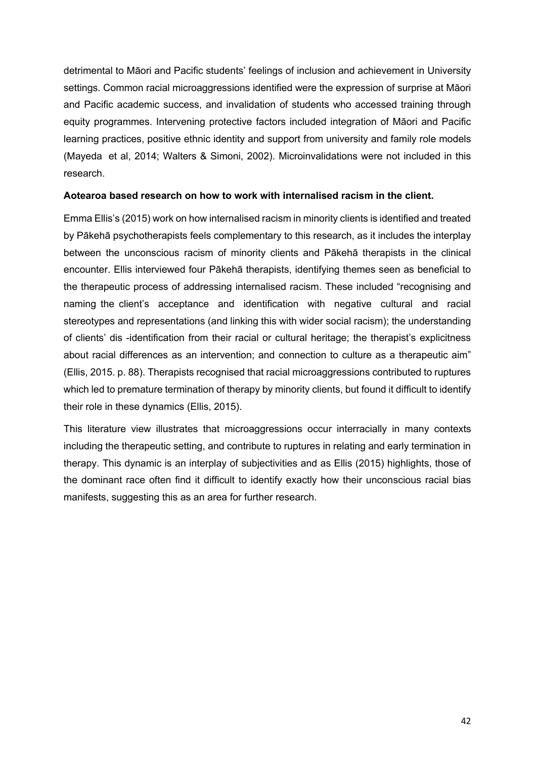detrimental to Māori and Pacific students' feelings of inclusion and achievement in University settings. Common racial microaggressions identified were the expression of surprise at Māori and Pacific academic success, and invalidation of students who accessed training through equity programmes. Intervening protective factors included integration of Māori and Pacific learning practices, positive ethnic identity and support from university and family role models (Mayeda et al, 2014; Walters & Simoni, 2002). Microinvalidations were not included in this research.

# **Aotearoa based research on how to work with internalised racism in the client.**

Emma Ellis's (2015) work on how internalised racism in minority clients is identified and treated by Pākehā psychotherapists feels complementary to this research, as it includes the interplay between the unconscious racism of minority clients and Pākehā therapists in the clinical encounter. Ellis interviewed four Pākehā therapists, identifying themes seen as beneficial to the therapeutic process of addressing internalised racism. These included "recognising and naming the client's acceptance and identification with negative cultural and racial stereotypes and representations (and linking this with wider social racism); the understanding of clients' dis -identification from their racial or cultural heritage; the therapist's explicitness about racial differences as an intervention; and connection to culture as a therapeutic aim" (Ellis, 2015. p. 88). Therapists recognised that racial microaggressions contributed to ruptures which led to premature termination of therapy by minority clients, but found it difficult to identify their role in these dynamics (Ellis, 2015).

This literature view illustrates that microaggressions occur interracially in many contexts including the therapeutic setting, and contribute to ruptures in relating and early termination in therapy. This dynamic is an interplay of subjectivities and as Ellis (2015) highlights, those of the dominant race often find it difficult to identify exactly how their unconscious racial bias manifests, suggesting this as an area for further research.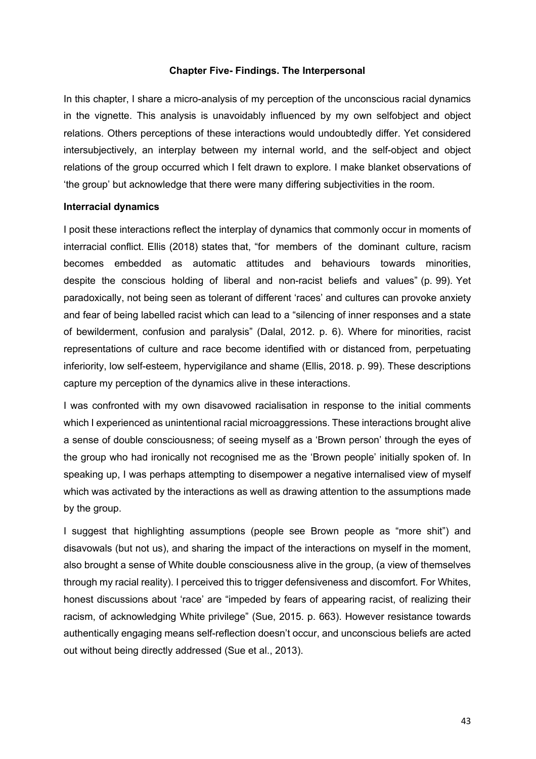### **Chapter Five- Findings. The Interpersonal**

In this chapter, I share a micro-analysis of my perception of the unconscious racial dynamics in the vignette. This analysis is unavoidably influenced by my own selfobject and object relations. Others perceptions of these interactions would undoubtedly differ. Yet considered intersubjectively, an interplay between my internal world, and the self-object and object relations of the group occurred which I felt drawn to explore. I make blanket observations of 'the group' but acknowledge that there were many differing subjectivities in the room.

#### **Interracial dynamics**

I posit these interactions reflect the interplay of dynamics that commonly occur in moments of interracial conflict. Ellis (2018) states that, "for members of the dominant culture, racism becomes embedded as automatic attitudes and behaviours towards minorities, despite the conscious holding of liberal and non-racist beliefs and values" (p. 99). Yet paradoxically, not being seen as tolerant of different 'races' and cultures can provoke anxiety and fear of being labelled racist which can lead to a "silencing of inner responses and a state of bewilderment, confusion and paralysis" (Dalal, 2012. p. 6). Where for minorities, racist representations of culture and race become identified with or distanced from, perpetuating inferiority, low self-esteem, hypervigilance and shame (Ellis, 2018. p. 99). These descriptions capture my perception of the dynamics alive in these interactions.

I was confronted with my own disavowed racialisation in response to the initial comments which I experienced as unintentional racial microaggressions. These interactions brought alive a sense of double consciousness; of seeing myself as a 'Brown person' through the eyes of the group who had ironically not recognised me as the 'Brown people' initially spoken of. In speaking up, I was perhaps attempting to disempower a negative internalised view of myself which was activated by the interactions as well as drawing attention to the assumptions made by the group.

I suggest that highlighting assumptions (people see Brown people as "more shit") and disavowals (but not us), and sharing the impact of the interactions on myself in the moment, also brought a sense of White double consciousness alive in the group, (a view of themselves through my racial reality). I perceived this to trigger defensiveness and discomfort. For Whites, honest discussions about 'race' are "impeded by fears of appearing racist, of realizing their racism, of acknowledging White privilege" (Sue, 2015. p. 663). However resistance towards authentically engaging means self-reflection doesn't occur, and unconscious beliefs are acted out without being directly addressed (Sue et al., 2013).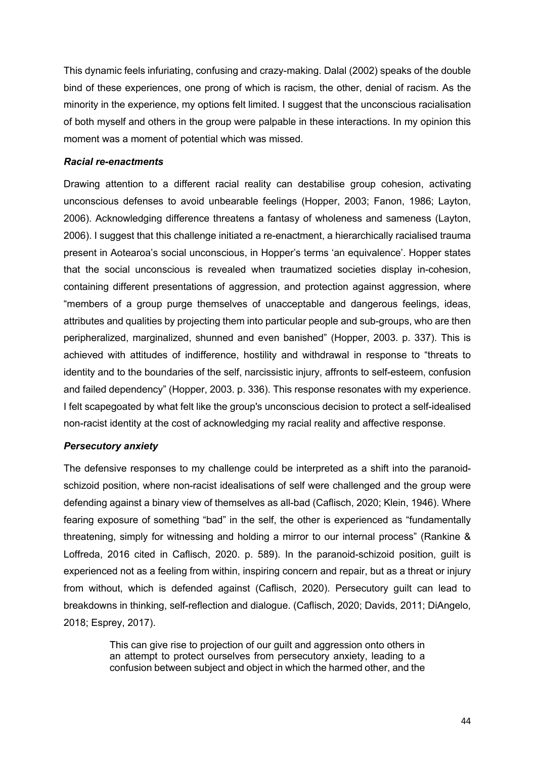This dynamic feels infuriating, confusing and crazy-making. Dalal (2002) speaks of the double bind of these experiences, one prong of which is racism, the other, denial of racism. As the minority in the experience, my options felt limited. I suggest that the unconscious racialisation of both myself and others in the group were palpable in these interactions. In my opinion this moment was a moment of potential which was missed.

## *Racial re-enactments*

Drawing attention to a different racial reality can destabilise group cohesion, activating unconscious defenses to avoid unbearable feelings (Hopper, 2003; Fanon, 1986; Layton, 2006). Acknowledging difference threatens a fantasy of wholeness and sameness (Layton, 2006). I suggest that this challenge initiated a re-enactment, a hierarchically racialised trauma present in Aotearoa's social unconscious, in Hopper's terms 'an equivalence'. Hopper states that the social unconscious is revealed when traumatized societies display in-cohesion, containing different presentations of aggression, and protection against aggression, where "members of a group purge themselves of unacceptable and dangerous feelings, ideas, attributes and qualities by projecting them into particular people and sub-groups, who are then peripheralized, marginalized, shunned and even banished" (Hopper, 2003. p. 337). This is achieved with attitudes of indifference, hostility and withdrawal in response to "threats to identity and to the boundaries of the self, narcissistic injury, affronts to self-esteem, confusion and failed dependency" (Hopper, 2003. p. 336). This response resonates with my experience. I felt scapegoated by what felt like the group's unconscious decision to protect a self-idealised non-racist identity at the cost of acknowledging my racial reality and affective response.

# *Persecutory anxiety*

The defensive responses to my challenge could be interpreted as a shift into the paranoidschizoid position, where non-racist idealisations of self were challenged and the group were defending against a binary view of themselves as all-bad (Caflisch, 2020; Klein, 1946). Where fearing exposure of something "bad" in the self, the other is experienced as "fundamentally threatening, simply for witnessing and holding a mirror to our internal process" (Rankine & Loffreda, 2016 cited in Caflisch, 2020. p. 589). In the paranoid-schizoid position, guilt is experienced not as a feeling from within, inspiring concern and repair, but as a threat or injury from without, which is defended against (Caflisch, 2020). Persecutory guilt can lead to breakdowns in thinking, self-reflection and dialogue. (Caflisch, 2020; Davids, 2011; DiAngelo, 2018; Esprey, 2017).

> This can give rise to projection of our guilt and aggression onto others in an attempt to protect ourselves from persecutory anxiety, leading to a confusion between subject and object in which the harmed other, and the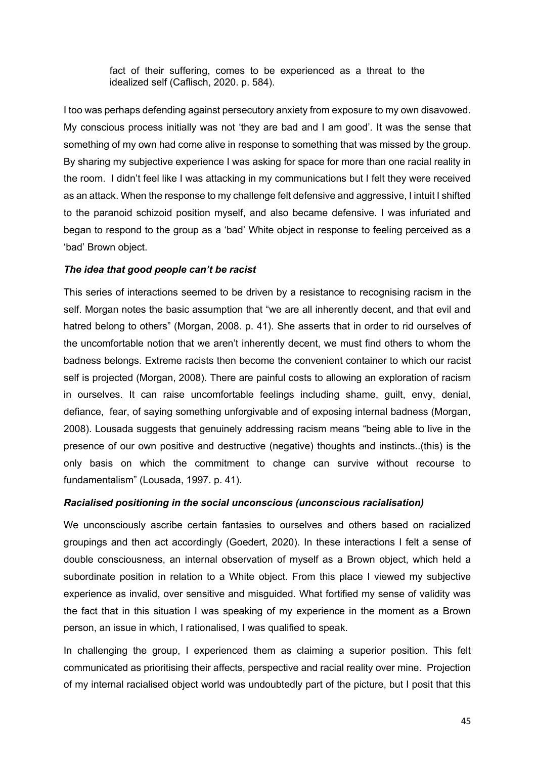fact of their suffering, comes to be experienced as a threat to the idealized self (Caflisch, 2020. p. 584).

I too was perhaps defending against persecutory anxiety from exposure to my own disavowed. My conscious process initially was not 'they are bad and I am good'. It was the sense that something of my own had come alive in response to something that was missed by the group. By sharing my subjective experience I was asking for space for more than one racial reality in the room. I didn't feel like I was attacking in my communications but I felt they were received as an attack. When the response to my challenge felt defensive and aggressive, I intuit I shifted to the paranoid schizoid position myself, and also became defensive. I was infuriated and began to respond to the group as a 'bad' White object in response to feeling perceived as a 'bad' Brown object.

# *The idea that good people can't be racist*

This series of interactions seemed to be driven by a resistance to recognising racism in the self. Morgan notes the basic assumption that "we are all inherently decent, and that evil and hatred belong to others" (Morgan, 2008. p. 41). She asserts that in order to rid ourselves of the uncomfortable notion that we aren't inherently decent, we must find others to whom the badness belongs. Extreme racists then become the convenient container to which our racist self is projected (Morgan, 2008). There are painful costs to allowing an exploration of racism in ourselves. It can raise uncomfortable feelings including shame, guilt, envy, denial, defiance, fear, of saying something unforgivable and of exposing internal badness (Morgan, 2008). Lousada suggests that genuinely addressing racism means "being able to live in the presence of our own positive and destructive (negative) thoughts and instincts..(this) is the only basis on which the commitment to change can survive without recourse to fundamentalism" (Lousada, 1997. p. 41).

# *Racialised positioning in the social unconscious (unconscious racialisation)*

We unconsciously ascribe certain fantasies to ourselves and others based on racialized groupings and then act accordingly (Goedert, 2020). In these interactions I felt a sense of double consciousness, an internal observation of myself as a Brown object, which held a subordinate position in relation to a White object. From this place I viewed my subjective experience as invalid, over sensitive and misguided. What fortified my sense of validity was the fact that in this situation I was speaking of my experience in the moment as a Brown person, an issue in which, I rationalised, I was qualified to speak.

In challenging the group, I experienced them as claiming a superior position. This felt communicated as prioritising their affects, perspective and racial reality over mine. Projection of my internal racialised object world was undoubtedly part of the picture, but I posit that this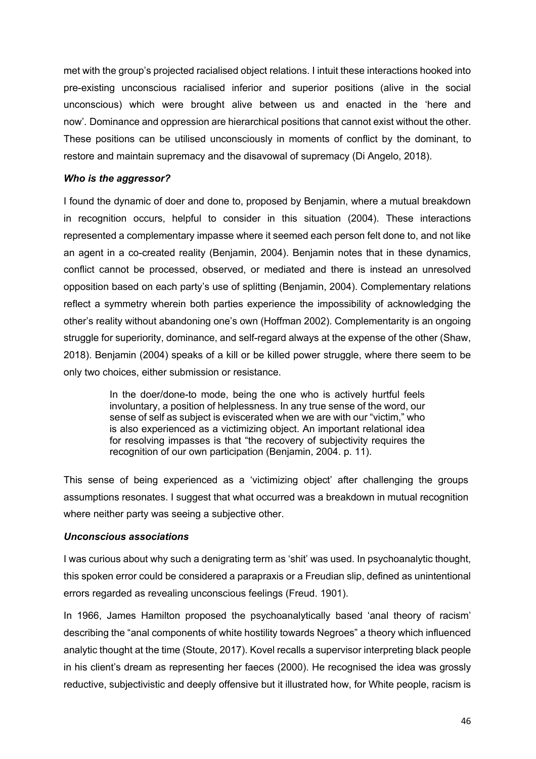met with the group's projected racialised object relations. I intuit these interactions hooked into pre-existing unconscious racialised inferior and superior positions (alive in the social unconscious) which were brought alive between us and enacted in the 'here and now'. Dominance and oppression are hierarchical positions that cannot exist without the other. These positions can be utilised unconsciously in moments of conflict by the dominant, to restore and maintain supremacy and the disavowal of supremacy (Di Angelo, 2018).

### *Who is the aggressor?*

I found the dynamic of doer and done to, proposed by Benjamin, where a mutual breakdown in recognition occurs, helpful to consider in this situation (2004). These interactions represented a complementary impasse where it seemed each person felt done to, and not like an agent in a co-created reality (Benjamin, 2004). Benjamin notes that in these dynamics, conflict cannot be processed, observed, or mediated and there is instead an unresolved opposition based on each party's use of splitting (Benjamin, 2004). Complementary relations reflect a symmetry wherein both parties experience the impossibility of acknowledging the other's reality without abandoning one's own (Hoffman 2002). Complementarity is an ongoing struggle for superiority, dominance, and self-regard always at the expense of the other (Shaw, 2018). Benjamin (2004) speaks of a kill or be killed power struggle, where there seem to be only two choices, either submission or resistance.

> In the doer/done-to mode, being the one who is actively hurtful feels involuntary, a position of helplessness. In any true sense of the word, our sense of self as subject is eviscerated when we are with our "victim," who is also experienced as a victimizing object. An important relational idea for resolving impasses is that "the recovery of subjectivity requires the recognition of our own participation (Benjamin, 2004. p. 11).

This sense of being experienced as a 'victimizing object' after challenging the groups assumptions resonates. I suggest that what occurred was a breakdown in mutual recognition where neither party was seeing a subjective other.

# *Unconscious associations*

I was curious about why such a denigrating term as 'shit' was used. In psychoanalytic thought, this spoken error could be considered a parapraxis or a Freudian slip, defined as unintentional errors regarded as revealing unconscious feelings (Freud. 1901).

In 1966, James Hamilton proposed the psychoanalytically based 'anal theory of racism' describing the "anal components of white hostility towards Negroes" a theory which influenced analytic thought at the time (Stoute, 2017). Kovel recalls a supervisor interpreting black people in his client's dream as representing her faeces (2000). He recognised the idea was grossly reductive, subjectivistic and deeply offensive but it illustrated how, for White people, racism is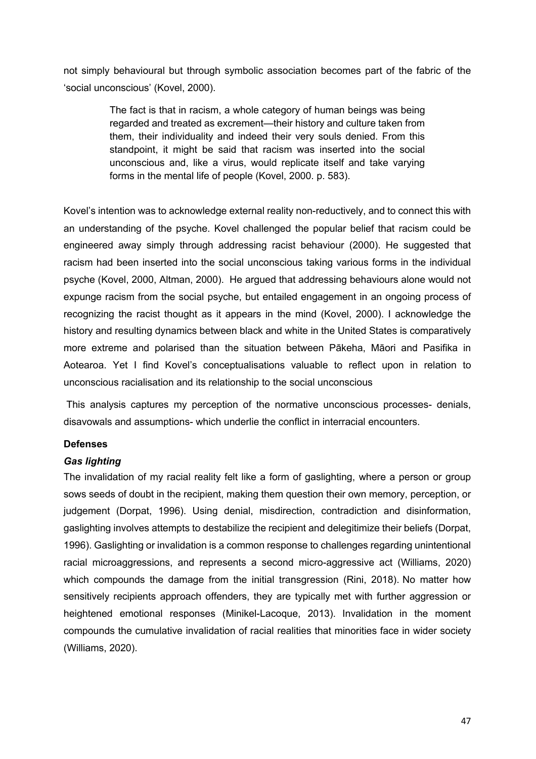not simply behavioural but through symbolic association becomes part of the fabric of the 'social unconscious' (Kovel, 2000).

> The fact is that in racism, a whole category of human beings was being regarded and treated as excrement—their history and culture taken from them, their individuality and indeed their very souls denied. From this standpoint, it might be said that racism was inserted into the social unconscious and, like a virus, would replicate itself and take varying forms in the mental life of people (Kovel, 2000. p. 583).

Kovel's intention was to acknowledge external reality non-reductively, and to connect this with an understanding of the psyche. Kovel challenged the popular belief that racism could be engineered away simply through addressing racist behaviour (2000). He suggested that racism had been inserted into the social unconscious taking various forms in the individual psyche (Kovel, 2000, Altman, 2000). He argued that addressing behaviours alone would not expunge racism from the social psyche, but entailed engagement in an ongoing process of recognizing the racist thought as it appears in the mind (Kovel, 2000). I acknowledge the history and resulting dynamics between black and white in the United States is comparatively more extreme and polarised than the situation between Pākeha, Māori and Pasifika in Aotearoa. Yet I find Kovel's conceptualisations valuable to reflect upon in relation to unconscious racialisation and its relationship to the social unconscious

This analysis captures my perception of the normative unconscious processes- denials, disavowals and assumptions- which underlie the conflict in interracial encounters.

### **Defenses**

### *Gas lighting*

The invalidation of my racial reality felt like a form of gaslighting, where a person or group sows seeds of doubt in the recipient, making them question their own memory, perception, or judgement (Dorpat, 1996). Using denial, misdirection, contradiction and disinformation, gaslighting involves attempts to destabilize the recipient and delegitimize their beliefs (Dorpat, 1996). Gaslighting or invalidation is a common response to challenges regarding unintentional racial microaggressions, and represents a second micro-aggressive act (Williams, 2020) which compounds the damage from the initial transgression (Rini, 2018). No matter how sensitively recipients approach offenders, they are typically met with further aggression or heightened emotional responses (Minikel-Lacoque, 2013). Invalidation in the moment compounds the cumulative invalidation of racial realities that minorities face in wider society (Williams, 2020).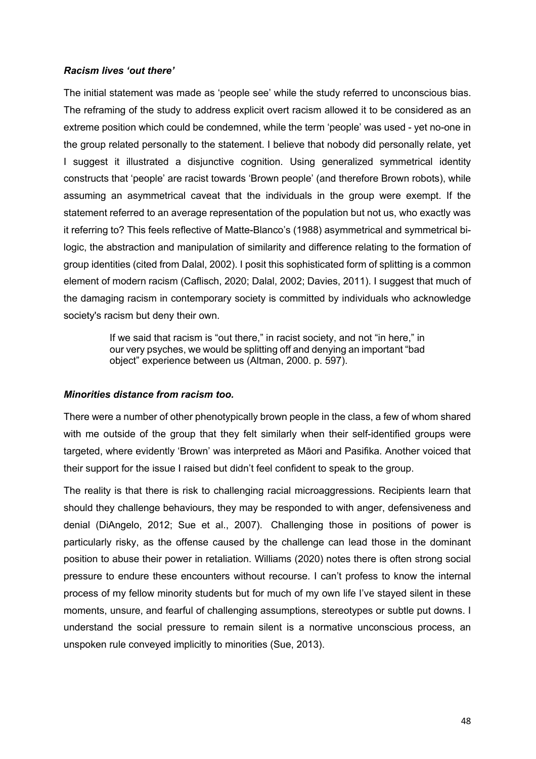## *Racism lives 'out there'*

The initial statement was made as 'people see' while the study referred to unconscious bias. The reframing of the study to address explicit overt racism allowed it to be considered as an extreme position which could be condemned, while the term 'people' was used - yet no-one in the group related personally to the statement. I believe that nobody did personally relate, yet I suggest it illustrated a disjunctive cognition. Using generalized symmetrical identity constructs that 'people' are racist towards 'Brown people' (and therefore Brown robots), while assuming an asymmetrical caveat that the individuals in the group were exempt. If the statement referred to an average representation of the population but not us, who exactly was it referring to? This feels reflective of Matte-Blanco's (1988) asymmetrical and symmetrical bilogic, the abstraction and manipulation of similarity and difference relating to the formation of group identities (cited from Dalal, 2002). I posit this sophisticated form of splitting is a common element of modern racism (Caflisch, 2020; Dalal, 2002; Davies, 2011). I suggest that much of the damaging racism in contemporary society is committed by individuals who acknowledge society's racism but deny their own.

> If we said that racism is "out there," in racist society, and not "in here," in our very psyches, we would be splitting off and denying an important "bad object" experience between us (Altman, 2000. p. 597).

### *Minorities distance from racism too.*

There were a number of other phenotypically brown people in the class, a few of whom shared with me outside of the group that they felt similarly when their self-identified groups were targeted, where evidently 'Brown' was interpreted as Māori and Pasifika. Another voiced that their support for the issue I raised but didn't feel confident to speak to the group.

The reality is that there is risk to challenging racial microaggressions. Recipients learn that should they challenge behaviours, they may be responded to with anger, defensiveness and denial (DiAngelo, 2012; Sue et al., 2007). Challenging those in positions of power is particularly risky, as the offense caused by the challenge can lead those in the dominant position to abuse their power in retaliation. Williams (2020) notes there is often strong social pressure to endure these encounters without recourse. I can't profess to know the internal process of my fellow minority students but for much of my own life I've stayed silent in these moments, unsure, and fearful of challenging assumptions, stereotypes or subtle put downs. I understand the social pressure to remain silent is a normative unconscious process, an unspoken rule conveyed implicitly to minorities (Sue, 2013).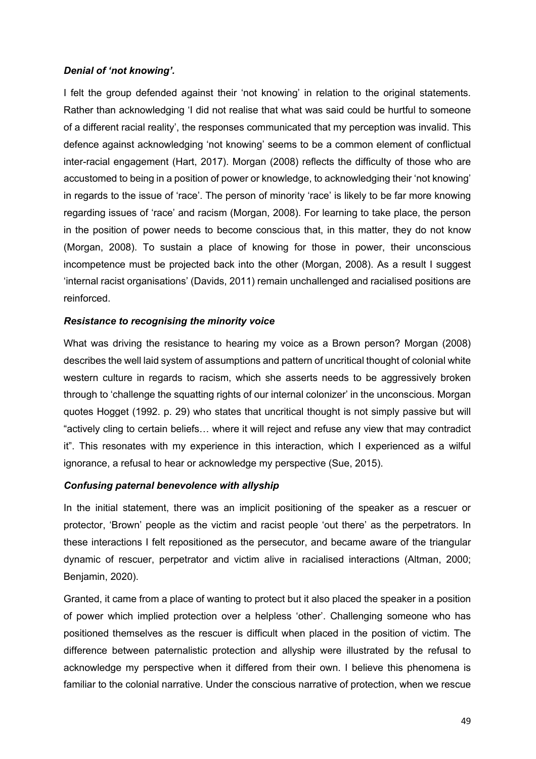# *Denial of 'not knowing'.*

I felt the group defended against their 'not knowing' in relation to the original statements. Rather than acknowledging 'I did not realise that what was said could be hurtful to someone of a different racial reality', the responses communicated that my perception was invalid. This defence against acknowledging 'not knowing' seems to be a common element of conflictual inter-racial engagement (Hart, 2017). Morgan (2008) reflects the difficulty of those who are accustomed to being in a position of power or knowledge, to acknowledging their 'not knowing' in regards to the issue of 'race'. The person of minority 'race' is likely to be far more knowing regarding issues of 'race' and racism (Morgan, 2008). For learning to take place, the person in the position of power needs to become conscious that, in this matter, they do not know (Morgan, 2008). To sustain a place of knowing for those in power, their unconscious incompetence must be projected back into the other (Morgan, 2008). As a result I suggest 'internal racist organisations' (Davids, 2011) remain unchallenged and racialised positions are reinforced.

# *Resistance to recognising the minority voice*

What was driving the resistance to hearing my voice as a Brown person? Morgan (2008) describes the well laid system of assumptions and pattern of uncritical thought of colonial white western culture in regards to racism, which she asserts needs to be aggressively broken through to 'challenge the squatting rights of our internal colonizer' in the unconscious. Morgan quotes Hogget (1992. p. 29) who states that uncritical thought is not simply passive but will "actively cling to certain beliefs… where it will reject and refuse any view that may contradict it". This resonates with my experience in this interaction, which I experienced as a wilful ignorance, a refusal to hear or acknowledge my perspective (Sue, 2015).

# *Confusing paternal benevolence with allyship*

In the initial statement, there was an implicit positioning of the speaker as a rescuer or protector, 'Brown' people as the victim and racist people 'out there' as the perpetrators. In these interactions I felt repositioned as the persecutor, and became aware of the triangular dynamic of rescuer, perpetrator and victim alive in racialised interactions (Altman, 2000; Benjamin, 2020).

Granted, it came from a place of wanting to protect but it also placed the speaker in a position of power which implied protection over a helpless 'other'. Challenging someone who has positioned themselves as the rescuer is difficult when placed in the position of victim. The difference between paternalistic protection and allyship were illustrated by the refusal to acknowledge my perspective when it differed from their own. I believe this phenomena is familiar to the colonial narrative. Under the conscious narrative of protection, when we rescue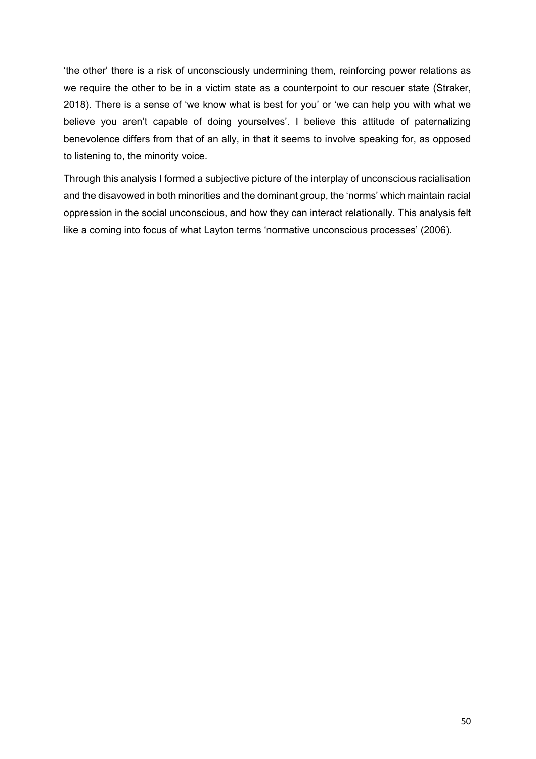'the other' there is a risk of unconsciously undermining them, reinforcing power relations as we require the other to be in a victim state as a counterpoint to our rescuer state (Straker, 2018). There is a sense of 'we know what is best for you' or 'we can help you with what we believe you aren't capable of doing yourselves'. I believe this attitude of paternalizing benevolence differs from that of an ally, in that it seems to involve speaking for, as opposed to listening to, the minority voice.

Through this analysis I formed a subjective picture of the interplay of unconscious racialisation and the disavowed in both minorities and the dominant group, the 'norms' which maintain racial oppression in the social unconscious, and how they can interact relationally. This analysis felt like a coming into focus of what Layton terms 'normative unconscious processes' (2006).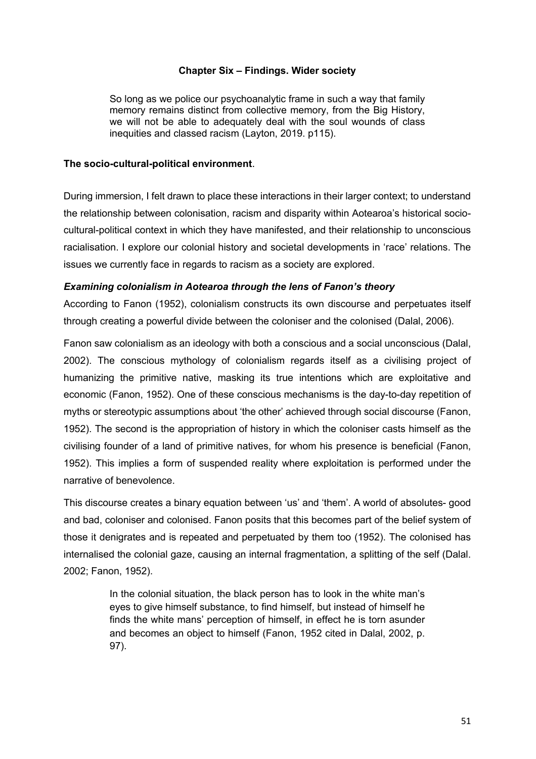# **Chapter Six – Findings. Wider society**

So long as we police our psychoanalytic frame in such a way that family memory remains distinct from collective memory, from the Big History, we will not be able to adequately deal with the soul wounds of class inequities and classed racism (Layton, 2019. p115).

# **The socio-cultural-political environment**.

During immersion, I felt drawn to place these interactions in their larger context; to understand the relationship between colonisation, racism and disparity within Aotearoa's historical sociocultural-political context in which they have manifested, and their relationship to unconscious racialisation. I explore our colonial history and societal developments in 'race' relations. The issues we currently face in regards to racism as a society are explored.

# *Examining colonialism in Aotearoa through the lens of Fanon's theory*

According to Fanon (1952), colonialism constructs its own discourse and perpetuates itself through creating a powerful divide between the coloniser and the colonised (Dalal, 2006).

Fanon saw colonialism as an ideology with both a conscious and a social unconscious (Dalal, 2002). The conscious mythology of colonialism regards itself as a civilising project of humanizing the primitive native, masking its true intentions which are exploitative and economic (Fanon, 1952). One of these conscious mechanisms is the day-to-day repetition of myths or stereotypic assumptions about 'the other' achieved through social discourse (Fanon, 1952). The second is the appropriation of history in which the coloniser casts himself as the civilising founder of a land of primitive natives, for whom his presence is beneficial (Fanon, 1952). This implies a form of suspended reality where exploitation is performed under the narrative of benevolence.

This discourse creates a binary equation between 'us' and 'them'. A world of absolutes- good and bad, coloniser and colonised. Fanon posits that this becomes part of the belief system of those it denigrates and is repeated and perpetuated by them too (1952). The colonised has internalised the colonial gaze, causing an internal fragmentation, a splitting of the self (Dalal. 2002; Fanon, 1952).

> In the colonial situation, the black person has to look in the white man's eyes to give himself substance, to find himself, but instead of himself he finds the white mans' perception of himself, in effect he is torn asunder and becomes an object to himself (Fanon, 1952 cited in Dalal, 2002, p. 97).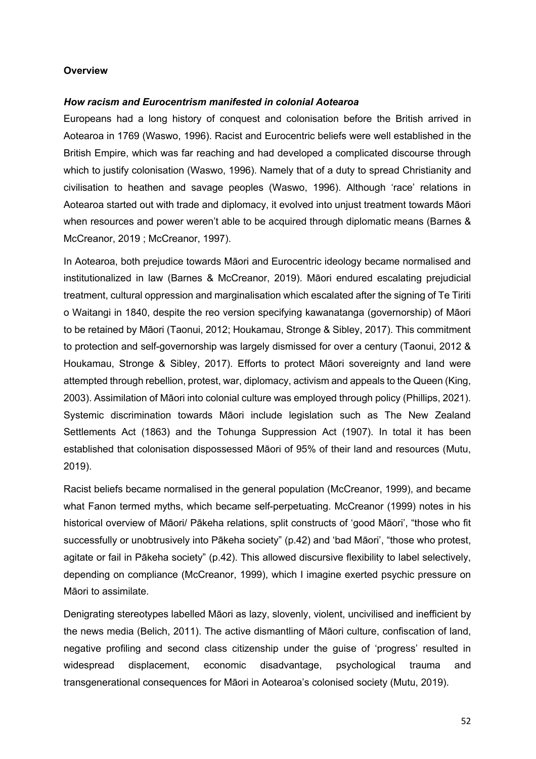### **Overview**

### *How racism and Eurocentrism manifested in colonial Aotearoa*

Europeans had a long history of conquest and colonisation before the British arrived in Aotearoa in 1769 (Waswo, 1996). Racist and Eurocentric beliefs were well established in the British Empire, which was far reaching and had developed a complicated discourse through which to justify colonisation (Waswo, 1996). Namely that of a duty to spread Christianity and civilisation to heathen and savage peoples (Waswo, 1996). Although 'race' relations in Aotearoa started out with trade and diplomacy, it evolved into unjust treatment towards Māori when resources and power weren't able to be acquired through diplomatic means (Barnes & McCreanor, 2019 ; McCreanor, 1997).

In Aotearoa, both prejudice towards Māori and Eurocentric ideology became normalised and institutionalized in law (Barnes & McCreanor, 2019). Māori endured escalating prejudicial treatment, cultural oppression and marginalisation which escalated after the signing of Te Tiriti o Waitangi in 1840, despite the reo version specifying kawanatanga (governorship) of Māori to be retained by Māori (Taonui, 2012; Houkamau, Stronge & Sibley, 2017). This commitment to protection and self-governorship was largely dismissed for over a century (Taonui, 2012 & Houkamau, Stronge & Sibley, 2017). Efforts to protect Māori sovereignty and land were attempted through rebellion, protest, war, diplomacy, activism and appeals to the Queen (King, 2003). Assimilation of Māori into colonial culture was employed through policy (Phillips, 2021). Systemic discrimination towards Māori include legislation such as The New Zealand Settlements Act (1863) and the Tohunga Suppression Act (1907). In total it has been established that colonisation dispossessed Māori of 95% of their land and resources (Mutu, 2019).

Racist beliefs became normalised in the general population (McCreanor, 1999), and became what Fanon termed myths, which became self-perpetuating. McCreanor (1999) notes in his historical overview of Māori/ Pākeha relations, split constructs of 'good Māori', "those who fit successfully or unobtrusively into Pākeha society" (p.42) and 'bad Māori', "those who protest, agitate or fail in Pākeha society" (p.42). This allowed discursive flexibility to label selectively, depending on compliance (McCreanor, 1999), which I imagine exerted psychic pressure on Māori to assimilate.

Denigrating stereotypes labelled Māori as lazy, slovenly, violent, uncivilised and inefficient by the news media (Belich, 2011). The active dismantling of Māori culture, confiscation of land, negative profiling and second class citizenship under the guise of 'progress' resulted in widespread displacement, economic disadvantage, psychological trauma and transgenerational consequences for Māori in Aotearoa's colonised society (Mutu, 2019).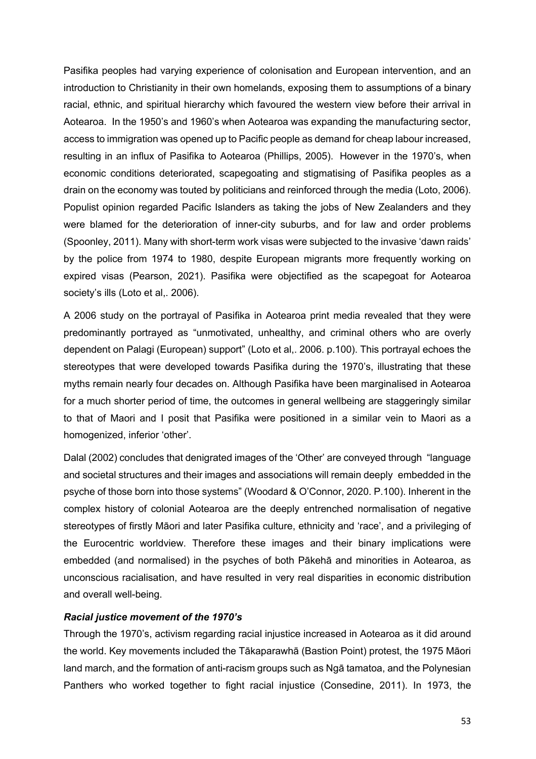Pasifika peoples had varying experience of colonisation and European intervention, and an introduction to Christianity in their own homelands, exposing them to assumptions of a binary racial, ethnic, and spiritual hierarchy which favoured the western view before their arrival in Aotearoa. In the 1950's and 1960's when Aotearoa was expanding the manufacturing sector, access to immigration was opened up to Pacific people as demand for cheap labour increased, resulting in an influx of Pasifika to Aotearoa (Phillips, 2005). However in the 1970's, when economic conditions deteriorated, scapegoating and stigmatising of Pasifika peoples as a drain on the economy was touted by politicians and reinforced through the media (Loto, 2006). Populist opinion regarded Pacific Islanders as taking the jobs of New Zealanders and they were blamed for the deterioration of inner-city suburbs, and for law and order problems (Spoonley, 2011). Many with short-term work visas were subjected to the invasive 'dawn raids' by the police from 1974 to 1980, despite European migrants more frequently working on expired visas (Pearson, 2021). Pasifika were objectified as the scapegoat for Aotearoa society's ills (Loto et al,. 2006).

A 2006 study on the portrayal of Pasifika in Aotearoa print media revealed that they were predominantly portrayed as "unmotivated, unhealthy, and criminal others who are overly dependent on Palagi (European) support" (Loto et al,. 2006. p.100). This portrayal echoes the stereotypes that were developed towards Pasifika during the 1970's, illustrating that these myths remain nearly four decades on. Although Pasifika have been marginalised in Aotearoa for a much shorter period of time, the outcomes in general wellbeing are staggeringly similar to that of Maori and I posit that Pasifika were positioned in a similar vein to Maori as a homogenized, inferior 'other'.

Dalal (2002) concludes that denigrated images of the 'Other' are conveyed through "language and societal structures and their images and associations will remain deeply embedded in the psyche of those born into those systems" (Woodard & O'Connor, 2020. P.100). Inherent in the complex history of colonial Aotearoa are the deeply entrenched normalisation of negative stereotypes of firstly Māori and later Pasifika culture, ethnicity and 'race', and a privileging of the Eurocentric worldview. Therefore these images and their binary implications were embedded (and normalised) in the psyches of both Pākehā and minorities in Aotearoa, as unconscious racialisation, and have resulted in very real disparities in economic distribution and overall well-being.

# *Racial justice movement of the 1970's*

Through the 1970's, activism regarding racial injustice increased in Aotearoa as it did around the world. Key movements included the Tākaparawhā (Bastion Point) protest, the 1975 Māori land march, and the formation of anti-racism groups such as Ngā tamatoa, and the Polynesian Panthers who worked together to fight racial injustice (Consedine, 2011). In 1973, the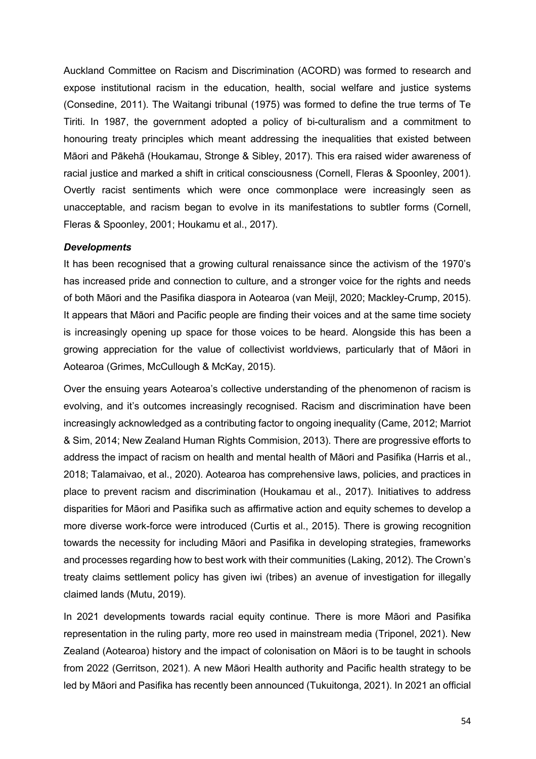Auckland Committee on Racism and Discrimination (ACORD) was formed to research and expose institutional racism in the education, health, social welfare and justice systems (Consedine, 2011). The Waitangi tribunal (1975) was formed to define the true terms of Te Tiriti. In 1987, the government adopted a policy of bi-culturalism and a commitment to honouring treaty principles which meant addressing the inequalities that existed between Māori and Pākehā (Houkamau, Stronge & Sibley, 2017). This era raised wider awareness of racial justice and marked a shift in critical consciousness (Cornell, Fleras & Spoonley, 2001). Overtly racist sentiments which were once commonplace were increasingly seen as unacceptable, and racism began to evolve in its manifestations to subtler forms (Cornell, Fleras & Spoonley, 2001; Houkamu et al., 2017).

#### *Developments*

It has been recognised that a growing cultural renaissance since the activism of the 1970's has increased pride and connection to culture, and a stronger voice for the rights and needs of both Māori and the Pasifika diaspora in Aotearoa (van Meijl, 2020; Mackley-Crump, 2015). It appears that Māori and Pacific people are finding their voices and at the same time society is increasingly opening up space for those voices to be heard. Alongside this has been a growing appreciation for the value of collectivist worldviews, particularly that of Māori in Aotearoa (Grimes, McCullough & McKay, 2015).

Over the ensuing years Aotearoa's collective understanding of the phenomenon of racism is evolving, and it's outcomes increasingly recognised. Racism and discrimination have been increasingly acknowledged as a contributing factor to ongoing inequality (Came, 2012; Marriot & Sim, 2014; New Zealand Human Rights Commision, 2013). There are progressive efforts to address the impact of racism on health and mental health of Māori and Pasifika (Harris et al., 2018; Talamaivao, et al., 2020). Aotearoa has comprehensive laws, policies, and practices in place to prevent racism and discrimination (Houkamau et al., 2017). Initiatives to address disparities for Māori and Pasifika such as affirmative action and equity schemes to develop a more diverse work-force were introduced (Curtis et al., 2015). There is growing recognition towards the necessity for including Māori and Pasifika in developing strategies, frameworks and processes regarding how to best work with their communities (Laking, 2012). The Crown's treaty claims settlement policy has given iwi (tribes) an avenue of investigation for illegally claimed lands (Mutu, 2019).

In 2021 developments towards racial equity continue. There is more Māori and Pasifika representation in the ruling party, more reo used in mainstream media (Triponel, 2021). New Zealand (Aotearoa) history and the impact of colonisation on Māori is to be taught in schools from 2022 (Gerritson, 2021). A new Māori Health authority and Pacific health strategy to be led by Māori and Pasifika has recently been announced (Tukuitonga, 2021). In 2021 an official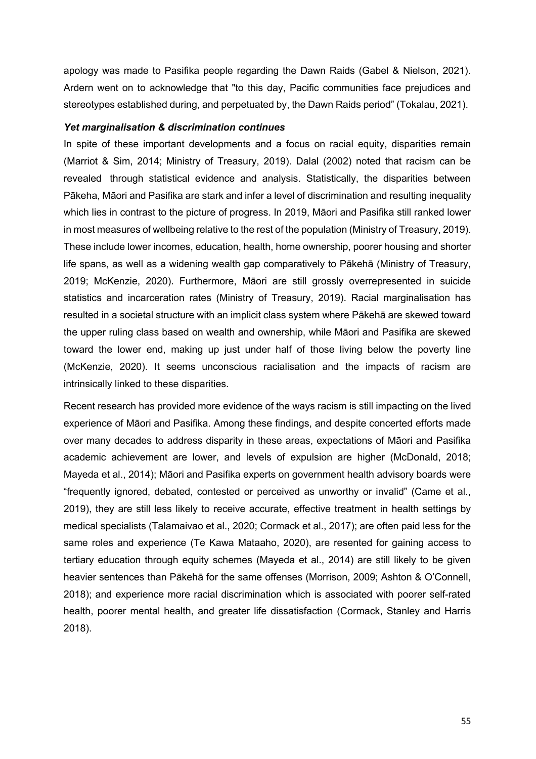apology was made to Pasifika people regarding the Dawn Raids (Gabel & Nielson, 2021). Ardern went on to acknowledge that "to this day, Pacific communities face prejudices and stereotypes established during, and perpetuated by, the Dawn Raids period" (Tokalau, 2021).

### *Yet marginalisation & discrimination continues*

In spite of these important developments and a focus on racial equity, disparities remain (Marriot & Sim, 2014; Ministry of Treasury, 2019). Dalal (2002) noted that racism can be revealed through statistical evidence and analysis. Statistically, the disparities between Pākeha, Māori and Pasifika are stark and infer a level of discrimination and resulting inequality which lies in contrast to the picture of progress. In 2019, Māori and Pasifika still ranked lower in most measures of wellbeing relative to the rest of the population (Ministry of Treasury, 2019). These include lower incomes, education, health, home ownership, poorer housing and shorter life spans, as well as a widening wealth gap comparatively to Pākehā (Ministry of Treasury, 2019; McKenzie, 2020). Furthermore, Māori are still grossly overrepresented in suicide statistics and incarceration rates (Ministry of Treasury, 2019). Racial marginalisation has resulted in a societal structure with an implicit class system where Pākehā are skewed toward the upper ruling class based on wealth and ownership, while Māori and Pasifika are skewed toward the lower end, making up just under half of those living below the poverty line (McKenzie, 2020). It seems unconscious racialisation and the impacts of racism are intrinsically linked to these disparities.

Recent research has provided more evidence of the ways racism is still impacting on the lived experience of Māori and Pasifika. Among these findings, and despite concerted efforts made over many decades to address disparity in these areas, expectations of Māori and Pasifika academic achievement are lower, and levels of expulsion are higher (McDonald, 2018; Mayeda et al., 2014); Māori and Pasifika experts on government health advisory boards were "frequently ignored, debated, contested or perceived as unworthy or invalid" (Came et al., 2019), they are still less likely to receive accurate, effective treatment in health settings by medical specialists (Talamaivao et al., 2020; Cormack et al., 2017); are often paid less for the same roles and experience (Te Kawa Mataaho, 2020), are resented for gaining access to tertiary education through equity schemes (Mayeda et al., 2014) are still likely to be given heavier sentences than Pākehā for the same offenses (Morrison, 2009; Ashton & O'Connell, 2018); and experience more racial discrimination which is associated with poorer self-rated health, poorer mental health, and greater life dissatisfaction (Cormack, Stanley and Harris 2018).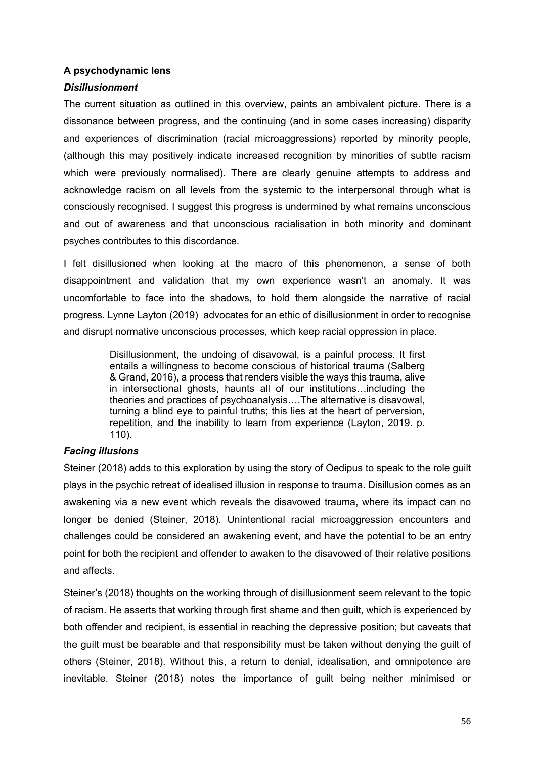# **A psychodynamic lens**

# *Disillusionment*

The current situation as outlined in this overview, paints an ambivalent picture. There is a dissonance between progress, and the continuing (and in some cases increasing) disparity and experiences of discrimination (racial microaggressions) reported by minority people, (although this may positively indicate increased recognition by minorities of subtle racism which were previously normalised). There are clearly genuine attempts to address and acknowledge racism on all levels from the systemic to the interpersonal through what is consciously recognised. I suggest this progress is undermined by what remains unconscious and out of awareness and that unconscious racialisation in both minority and dominant psyches contributes to this discordance.

I felt disillusioned when looking at the macro of this phenomenon, a sense of both disappointment and validation that my own experience wasn't an anomaly. It was uncomfortable to face into the shadows, to hold them alongside the narrative of racial progress. Lynne Layton (2019) advocates for an ethic of disillusionment in order to recognise and disrupt normative unconscious processes, which keep racial oppression in place.

> Disillusionment, the undoing of disavowal, is a painful process. It first entails a willingness to become conscious of historical trauma (Salberg & Grand, 2016), a process that renders visible the ways this trauma, alive in intersectional ghosts, haunts all of our institutions…including the theories and practices of psychoanalysis….The alternative is disavowal, turning a blind eye to painful truths; this lies at the heart of perversion, repetition, and the inability to learn from experience (Layton, 2019. p. 110).

# *Facing illusions*

Steiner (2018) adds to this exploration by using the story of Oedipus to speak to the role guilt plays in the psychic retreat of idealised illusion in response to trauma. Disillusion comes as an awakening via a new event which reveals the disavowed trauma, where its impact can no longer be denied (Steiner, 2018). Unintentional racial microaggression encounters and challenges could be considered an awakening event, and have the potential to be an entry point for both the recipient and offender to awaken to the disavowed of their relative positions and affects.

Steiner's (2018) thoughts on the working through of disillusionment seem relevant to the topic of racism. He asserts that working through first shame and then guilt, which is experienced by both offender and recipient, is essential in reaching the depressive position; but caveats that the guilt must be bearable and that responsibility must be taken without denying the guilt of others (Steiner, 2018). Without this, a return to denial, idealisation, and omnipotence are inevitable. Steiner (2018) notes the importance of guilt being neither minimised or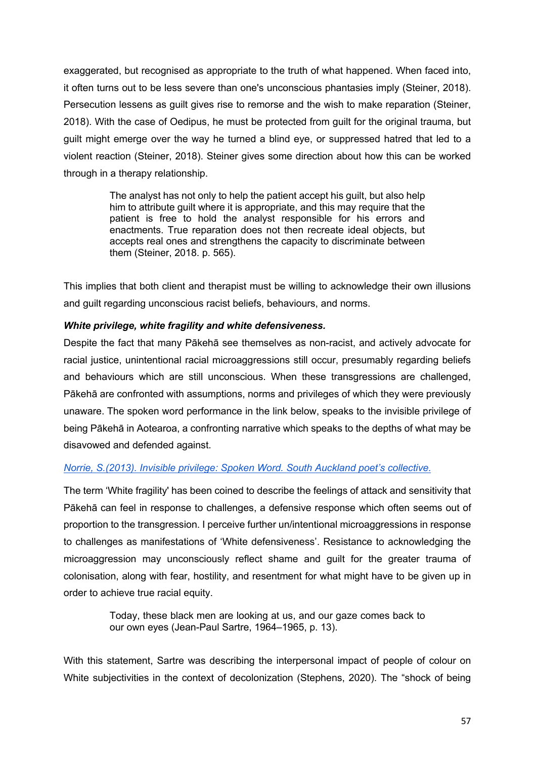exaggerated, but recognised as appropriate to the truth of what happened. When faced into, it often turns out to be less severe than one's unconscious phantasies imply (Steiner, 2018). Persecution lessens as guilt gives rise to remorse and the wish to make reparation (Steiner, 2018). With the case of Oedipus, he must be protected from guilt for the original trauma, but guilt might emerge over the way he turned a blind eye, or suppressed hatred that led to a violent reaction (Steiner, 2018). Steiner gives some direction about how this can be worked through in a therapy relationship.

> The analyst has not only to help the patient accept his guilt, but also help him to attribute guilt where it is appropriate, and this may require that the patient is free to hold the analyst responsible for his errors and enactments. True reparation does not then recreate ideal objects, but accepts real ones and strengthens the capacity to discriminate between them (Steiner, 2018. p. 565).

This implies that both client and therapist must be willing to acknowledge their own illusions and guilt regarding unconscious racist beliefs, behaviours, and norms.

# *White privilege, white fragility and white defensiveness.*

Despite the fact that many Pākehā see themselves as non-racist, and actively advocate for racial justice, unintentional racial microaggressions still occur, presumably regarding beliefs and behaviours which are still unconscious. When these transgressions are challenged, Pākehā are confronted with assumptions, norms and privileges of which they were previously unaware. The spoken word performance in the link below, speaks to the invisible privilege of being Pākehā in Aotearoa, a confronting narrative which speaks to the depths of what may be disavowed and defended against.

# *Norrie, S.(2013). Invisible privilege: Spoken Word. South Auckland poet's collective.*

The term 'White fragility' has been coined to describe the feelings of attack and sensitivity that Pākehā can feel in response to challenges, a defensive response which often seems out of proportion to the transgression. I perceive further un/intentional microaggressions in response to challenges as manifestations of 'White defensiveness'. Resistance to acknowledging the microaggression may unconsciously reflect shame and guilt for the greater trauma of colonisation, along with fear, hostility, and resentment for what might have to be given up in order to achieve true racial equity.

> Today, these black men are looking at us, and our gaze comes back to our own eyes (Jean-Paul Sartre, 1964–1965, p. 13).

With this statement, Sartre was describing the interpersonal impact of people of colour on White subjectivities in the context of decolonization (Stephens, 2020). The "shock of being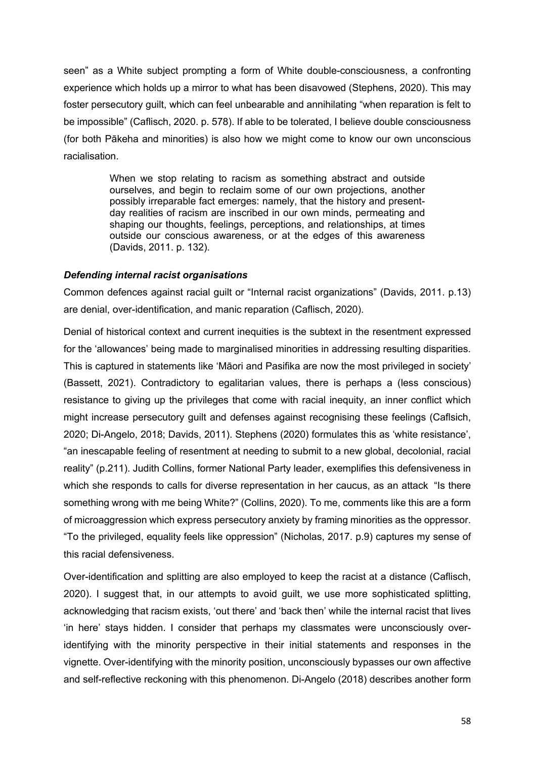seen" as a White subject prompting a form of White double-consciousness, a confronting experience which holds up a mirror to what has been disavowed (Stephens, 2020). This may foster persecutory guilt, which can feel unbearable and annihilating "when reparation is felt to be impossible" (Caflisch, 2020. p. 578). If able to be tolerated, I believe double consciousness (for both Pākeha and minorities) is also how we might come to know our own unconscious racialisation.

> When we stop relating to racism as something abstract and outside ourselves, and begin to reclaim some of our own projections, another possibly irreparable fact emerges: namely, that the history and presentday realities of racism are inscribed in our own minds, permeating and shaping our thoughts, feelings, perceptions, and relationships, at times outside our conscious awareness, or at the edges of this awareness (Davids, 2011. p. 132).

### *Defending internal racist organisations*

Common defences against racial guilt or "Internal racist organizations" (Davids, 2011. p.13) are denial, over-identification, and manic reparation (Caflisch, 2020).

Denial of historical context and current inequities is the subtext in the resentment expressed for the 'allowances' being made to marginalised minorities in addressing resulting disparities. This is captured in statements like 'Māori and Pasifika are now the most privileged in society' (Bassett, 2021). Contradictory to egalitarian values, there is perhaps a (less conscious) resistance to giving up the privileges that come with racial inequity, an inner conflict which might increase persecutory guilt and defenses against recognising these feelings (Caflsich, 2020; Di-Angelo, 2018; Davids, 2011). Stephens (2020) formulates this as 'white resistance', "an inescapable feeling of resentment at needing to submit to a new global, decolonial, racial reality" (p.211). Judith Collins, former National Party leader, exemplifies this defensiveness in which she responds to calls for diverse representation in her caucus, as an attack "Is there something wrong with me being White?" (Collins, 2020). To me, comments like this are a form of microaggression which express persecutory anxiety by framing minorities as the oppressor. "To the privileged, equality feels like oppression" (Nicholas, 2017. p.9) captures my sense of this racial defensiveness.

Over-identification and splitting are also employed to keep the racist at a distance (Caflisch, 2020). I suggest that, in our attempts to avoid guilt, we use more sophisticated splitting, acknowledging that racism exists, 'out there' and 'back then' while the internal racist that lives 'in here' stays hidden. I consider that perhaps my classmates were unconsciously overidentifying with the minority perspective in their initial statements and responses in the vignette. Over-identifying with the minority position, unconsciously bypasses our own affective and self-reflective reckoning with this phenomenon. Di-Angelo (2018) describes another form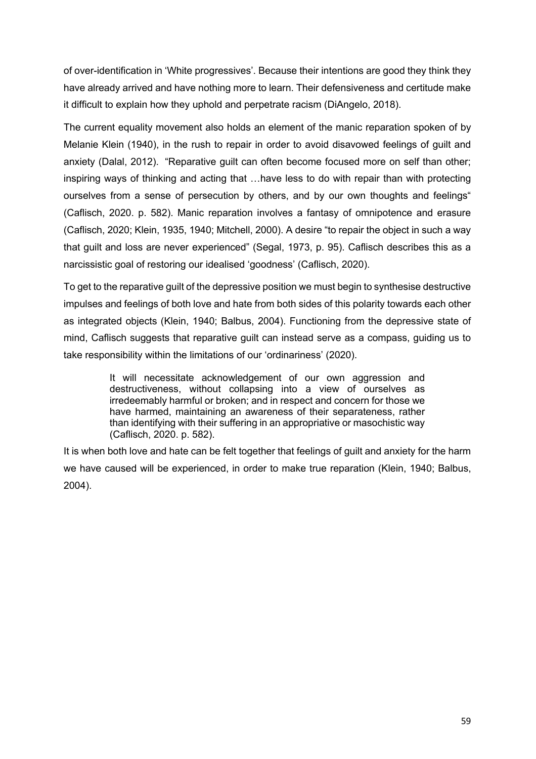of over-identification in 'White progressives'. Because their intentions are good they think they have already arrived and have nothing more to learn. Their defensiveness and certitude make it difficult to explain how they uphold and perpetrate racism (DiAngelo, 2018).

The current equality movement also holds an element of the manic reparation spoken of by Melanie Klein (1940), in the rush to repair in order to avoid disavowed feelings of guilt and anxiety (Dalal, 2012). "Reparative guilt can often become focused more on self than other; inspiring ways of thinking and acting that …have less to do with repair than with protecting ourselves from a sense of persecution by others, and by our own thoughts and feelings" (Caflisch, 2020. p. 582). Manic reparation involves a fantasy of omnipotence and erasure (Caflisch, 2020; Klein, 1935, 1940; Mitchell, 2000). A desire "to repair the object in such a way that guilt and loss are never experienced" (Segal, 1973, p. 95). Caflisch describes this as a narcissistic goal of restoring our idealised 'goodness' (Caflisch, 2020).

To get to the reparative guilt of the depressive position we must begin to synthesise destructive impulses and feelings of both love and hate from both sides of this polarity towards each other as integrated objects (Klein, 1940; Balbus, 2004). Functioning from the depressive state of mind, Caflisch suggests that reparative guilt can instead serve as a compass, guiding us to take responsibility within the limitations of our 'ordinariness' (2020).

> It will necessitate acknowledgement of our own aggression and destructiveness, without collapsing into a view of ourselves as irredeemably harmful or broken; and in respect and concern for those we have harmed, maintaining an awareness of their separateness, rather than identifying with their suffering in an appropriative or masochistic way (Caflisch, 2020. p. 582).

It is when both love and hate can be felt together that feelings of guilt and anxiety for the harm we have caused will be experienced, in order to make true reparation (Klein, 1940; Balbus, 2004).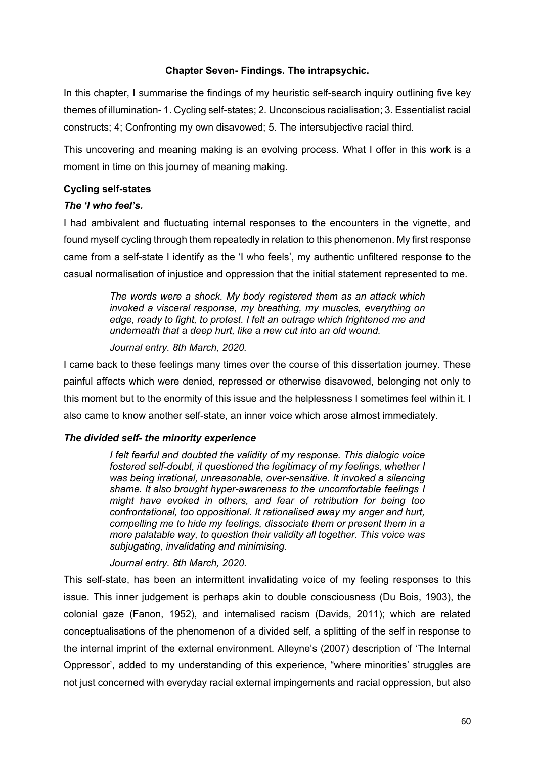# **Chapter Seven- Findings. The intrapsychic.**

In this chapter, I summarise the findings of my heuristic self-search inquiry outlining five key themes of illumination- 1. Cycling self-states; 2. Unconscious racialisation; 3. Essentialist racial constructs; 4; Confronting my own disavowed; 5. The intersubjective racial third.

This uncovering and meaning making is an evolving process. What I offer in this work is a moment in time on this journey of meaning making.

# **Cycling self-states**

# *The 'I who feel's.*

I had ambivalent and fluctuating internal responses to the encounters in the vignette, and found myself cycling through them repeatedly in relation to this phenomenon. My first response came from a self-state I identify as the 'I who feels', my authentic unfiltered response to the casual normalisation of injustice and oppression that the initial statement represented to me.

> *The words were a shock. My body registered them as an attack which invoked a visceral response, my breathing, my muscles, everything on edge, ready to fight, to protest. I felt an outrage which frightened me and underneath that a deep hurt, like a new cut into an old wound.*

*Journal entry. 8th March, 2020.*

I came back to these feelings many times over the course of this dissertation journey. These painful affects which were denied, repressed or otherwise disavowed, belonging not only to this moment but to the enormity of this issue and the helplessness I sometimes feel within it. I also came to know another self-state, an inner voice which arose almost immediately.

# *The divided self- the minority experience*

*I felt fearful and doubted the validity of my response. This dialogic voice fostered self-doubt, it questioned the legitimacy of my feelings, whether I was being irrational, unreasonable, over-sensitive. It invoked a silencing shame. It also brought hyper-awareness to the uncomfortable feelings I might have evoked in others, and fear of retribution for being too confrontational, too oppositional. It rationalised away my anger and hurt, compelling me to hide my feelings, dissociate them or present them in a more palatable way, to question their validity all together. This voice was subjugating, invalidating and minimising.*

*Journal entry. 8th March, 2020.*

This self-state, has been an intermittent invalidating voice of my feeling responses to this issue. This inner judgement is perhaps akin to double consciousness (Du Bois, 1903), the colonial gaze (Fanon, 1952), and internalised racism (Davids, 2011); which are related conceptualisations of the phenomenon of a divided self, a splitting of the self in response to the internal imprint of the external environment. Alleyne's (2007) description of 'The Internal Oppressor', added to my understanding of this experience, "where minorities' struggles are not just concerned with everyday racial external impingements and racial oppression, but also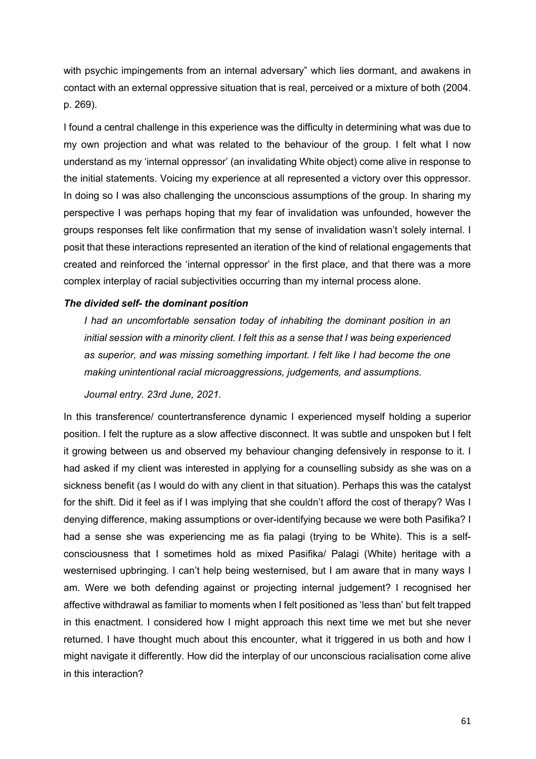with psychic impingements from an internal adversary" which lies dormant, and awakens in contact with an external oppressive situation that is real, perceived or a mixture of both (2004. p. 269).

I found a central challenge in this experience was the difficulty in determining what was due to my own projection and what was related to the behaviour of the group. I felt what I now understand as my 'internal oppressor' (an invalidating White object) come alive in response to the initial statements. Voicing my experience at all represented a victory over this oppressor. In doing so I was also challenging the unconscious assumptions of the group. In sharing my perspective I was perhaps hoping that my fear of invalidation was unfounded, however the groups responses felt like confirmation that my sense of invalidation wasn't solely internal. I posit that these interactions represented an iteration of the kind of relational engagements that created and reinforced the 'internal oppressor' in the first place, and that there was a more complex interplay of racial subjectivities occurring than my internal process alone.

### *The divided self- the dominant position*

*I had an uncomfortable sensation today of inhabiting the dominant position in an initial session with a minority client. I felt this as a sense that I was being experienced as superior, and was missing something important. I felt like I had become the one making unintentional racial microaggressions, judgements, and assumptions.* 

*Journal entry. 23rd June, 2021.*

In this transference/ countertransference dynamic I experienced myself holding a superior position. I felt the rupture as a slow affective disconnect. It was subtle and unspoken but I felt it growing between us and observed my behaviour changing defensively in response to it. I had asked if my client was interested in applying for a counselling subsidy as she was on a sickness benefit (as I would do with any client in that situation). Perhaps this was the catalyst for the shift. Did it feel as if I was implying that she couldn't afford the cost of therapy? Was I denying difference, making assumptions or over-identifying because we were both Pasifika? I had a sense she was experiencing me as fia palagi (trying to be White). This is a selfconsciousness that I sometimes hold as mixed Pasifika/ Palagi (White) heritage with a westernised upbringing. I can't help being westernised, but I am aware that in many ways I am. Were we both defending against or projecting internal judgement? I recognised her affective withdrawal as familiar to moments when I felt positioned as 'less than' but felt trapped in this enactment. I considered how I might approach this next time we met but she never returned. I have thought much about this encounter, what it triggered in us both and how I might navigate it differently. How did the interplay of our unconscious racialisation come alive in this interaction?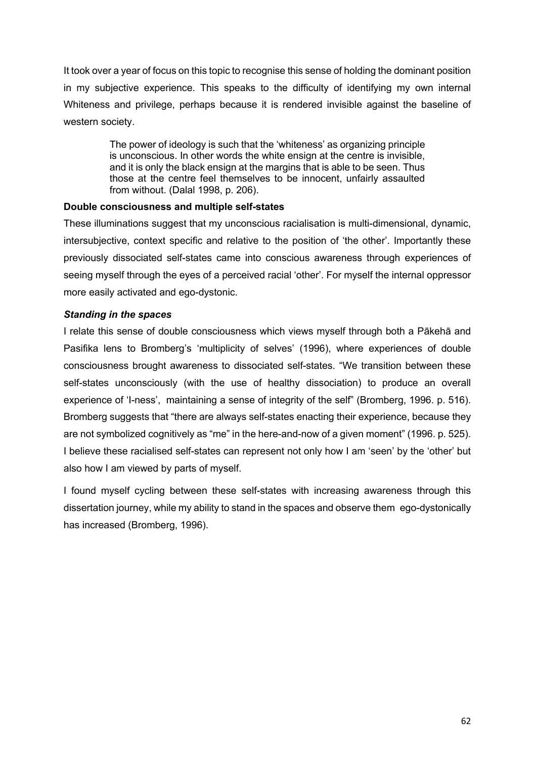It took over a year of focus on this topic to recognise this sense of holding the dominant position in my subjective experience. This speaks to the difficulty of identifying my own internal Whiteness and privilege, perhaps because it is rendered invisible against the baseline of western society.

> The power of ideology is such that the 'whiteness' as organizing principle is unconscious. In other words the white ensign at the centre is invisible, and it is only the black ensign at the margins that is able to be seen. Thus those at the centre feel themselves to be innocent, unfairly assaulted from without. (Dalal 1998, p. 206).

# **Double consciousness and multiple self-states**

These illuminations suggest that my unconscious racialisation is multi-dimensional, dynamic, intersubjective, context specific and relative to the position of 'the other'. Importantly these previously dissociated self-states came into conscious awareness through experiences of seeing myself through the eyes of a perceived racial 'other'. For myself the internal oppressor more easily activated and ego-dystonic.

# *Standing in the spaces*

I relate this sense of double consciousness which views myself through both a Pākehā and Pasifika lens to Bromberg's 'multiplicity of selves' (1996), where experiences of double consciousness brought awareness to dissociated self-states. "We transition between these self-states unconsciously (with the use of healthy dissociation) to produce an overall experience of 'I-ness', maintaining a sense of integrity of the self" (Bromberg, 1996. p. 516). Bromberg suggests that "there are always self-states enacting their experience, because they are not symbolized cognitively as "me" in the here-and-now of a given moment" (1996. p. 525). I believe these racialised self-states can represent not only how I am 'seen' by the 'other' but also how I am viewed by parts of myself.

I found myself cycling between these self-states with increasing awareness through this dissertation journey, while my ability to stand in the spaces and observe them ego-dystonically has increased (Bromberg, 1996).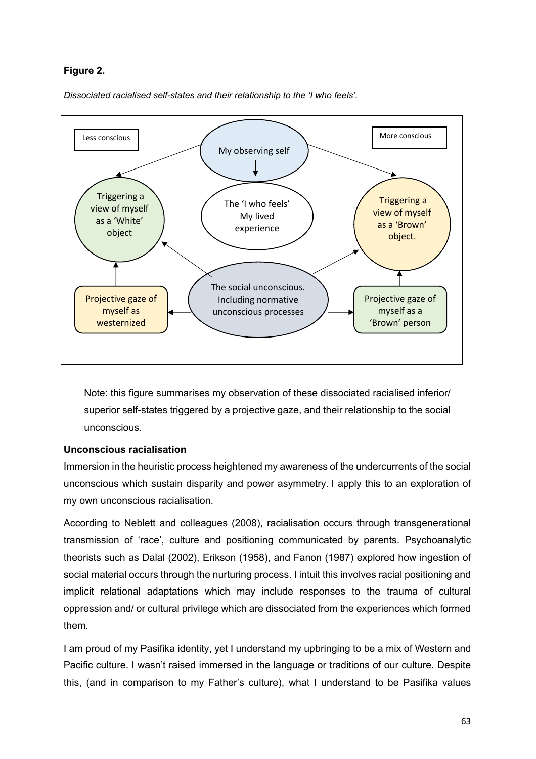# **Figure 2.**

*Dissociated racialised self-states and their relationship to the 'I who feels'.*



Note: this figure summarises my observation of these dissociated racialised inferior/ superior self-states triggered by a projective gaze, and their relationship to the social unconscious.

# **Unconscious racialisation**

Immersion in the heuristic process heightened my awareness of the undercurrents of the social unconscious which sustain disparity and power asymmetry. I apply this to an exploration of my own unconscious racialisation.

According to Neblett and colleagues (2008), racialisation occurs through transgenerational transmission of 'race', culture and positioning communicated by parents. Psychoanalytic theorists such as Dalal (2002), Erikson (1958), and Fanon (1987) explored how ingestion of social material occurs through the nurturing process. I intuit this involves racial positioning and implicit relational adaptations which may include responses to the trauma of cultural oppression and/ or cultural privilege which are dissociated from the experiences which formed them.

I am proud of my Pasifika identity, yet I understand my upbringing to be a mix of Western and Pacific culture. I wasn't raised immersed in the language or traditions of our culture. Despite this, (and in comparison to my Father's culture), what I understand to be Pasifika values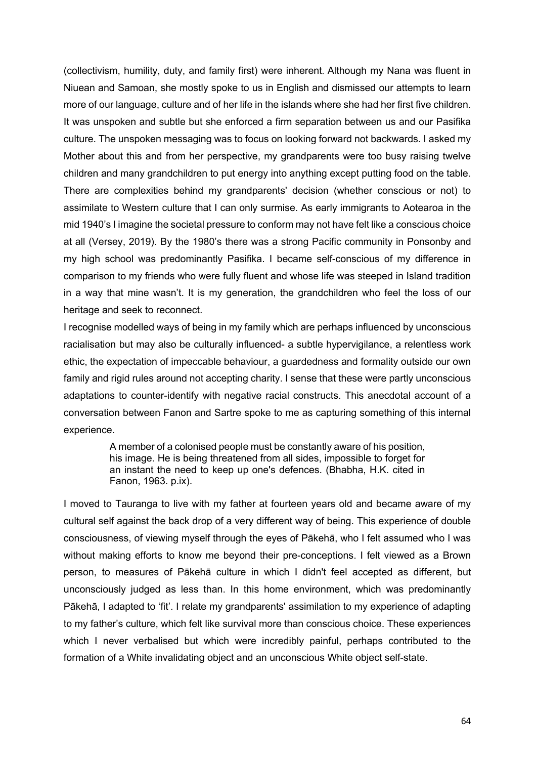(collectivism, humility, duty, and family first) were inherent. Although my Nana was fluent in Niuean and Samoan, she mostly spoke to us in English and dismissed our attempts to learn more of our language, culture and of her life in the islands where she had her first five children. It was unspoken and subtle but she enforced a firm separation between us and our Pasifika culture. The unspoken messaging was to focus on looking forward not backwards. I asked my Mother about this and from her perspective, my grandparents were too busy raising twelve children and many grandchildren to put energy into anything except putting food on the table. There are complexities behind my grandparents' decision (whether conscious or not) to assimilate to Western culture that I can only surmise. As early immigrants to Aotearoa in the mid 1940's I imagine the societal pressure to conform may not have felt like a conscious choice at all (Versey, 2019). By the 1980's there was a strong Pacific community in Ponsonby and my high school was predominantly Pasifika. I became self-conscious of my difference in comparison to my friends who were fully fluent and whose life was steeped in Island tradition in a way that mine wasn't. It is my generation, the grandchildren who feel the loss of our heritage and seek to reconnect.

I recognise modelled ways of being in my family which are perhaps influenced by unconscious racialisation but may also be culturally influenced- a subtle hypervigilance, a relentless work ethic, the expectation of impeccable behaviour, a guardedness and formality outside our own family and rigid rules around not accepting charity. I sense that these were partly unconscious adaptations to counter-identify with negative racial constructs. This anecdotal account of a conversation between Fanon and Sartre spoke to me as capturing something of this internal experience.

> A member of a colonised people must be constantly aware of his position, his image. He is being threatened from all sides, impossible to forget for an instant the need to keep up one's defences. (Bhabha, H.K. cited in Fanon, 1963. p.ix).

I moved to Tauranga to live with my father at fourteen years old and became aware of my cultural self against the back drop of a very different way of being. This experience of double consciousness, of viewing myself through the eyes of Pākehā, who I felt assumed who I was without making efforts to know me beyond their pre-conceptions. I felt viewed as a Brown person, to measures of Pākehā culture in which I didn't feel accepted as different, but unconsciously judged as less than. In this home environment, which was predominantly Pākehā, I adapted to 'fit'. I relate my grandparents' assimilation to my experience of adapting to my father's culture, which felt like survival more than conscious choice. These experiences which I never verbalised but which were incredibly painful, perhaps contributed to the formation of a White invalidating object and an unconscious White object self-state.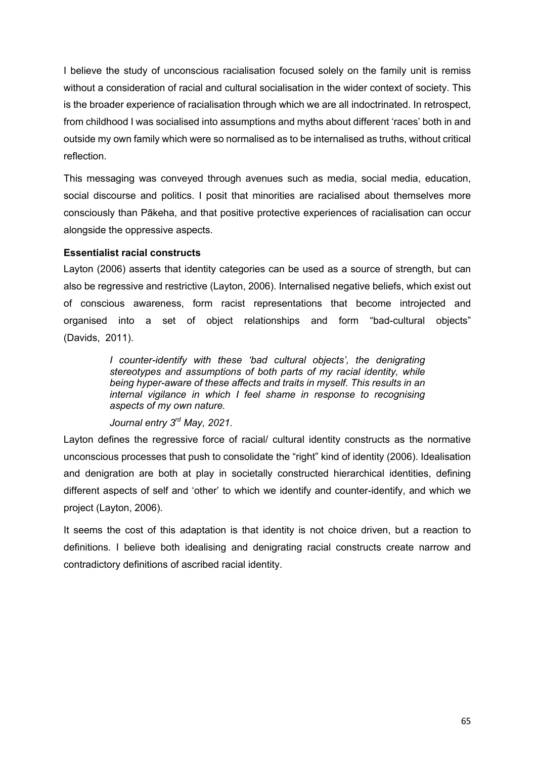I believe the study of unconscious racialisation focused solely on the family unit is remiss without a consideration of racial and cultural socialisation in the wider context of society. This is the broader experience of racialisation through which we are all indoctrinated. In retrospect, from childhood I was socialised into assumptions and myths about different 'races' both in and outside my own family which were so normalised as to be internalised as truths, without critical reflection.

This messaging was conveyed through avenues such as media, social media, education, social discourse and politics. I posit that minorities are racialised about themselves more consciously than Pākeha, and that positive protective experiences of racialisation can occur alongside the oppressive aspects.

# **Essentialist racial constructs**

Layton (2006) asserts that identity categories can be used as a source of strength, but can also be regressive and restrictive (Layton, 2006). Internalised negative beliefs, which exist out of conscious awareness, form racist representations that become introjected and organised into a set of object relationships and form "bad-cultural objects" (Davids, 2011).

> *I counter-identify with these 'bad cultural objects', the denigrating stereotypes and assumptions of both parts of my racial identity, while being hyper-aware of these affects and traits in myself. This results in an internal vigilance in which I feel shame in response to recognising aspects of my own nature.*

*Journal entry 3rd May, 2021.*

Layton defines the regressive force of racial/ cultural identity constructs as the normative unconscious processes that push to consolidate the "right" kind of identity (2006). Idealisation and denigration are both at play in societally constructed hierarchical identities, defining different aspects of self and 'other' to which we identify and counter-identify, and which we project (Layton, 2006).

It seems the cost of this adaptation is that identity is not choice driven, but a reaction to definitions. I believe both idealising and denigrating racial constructs create narrow and contradictory definitions of ascribed racial identity.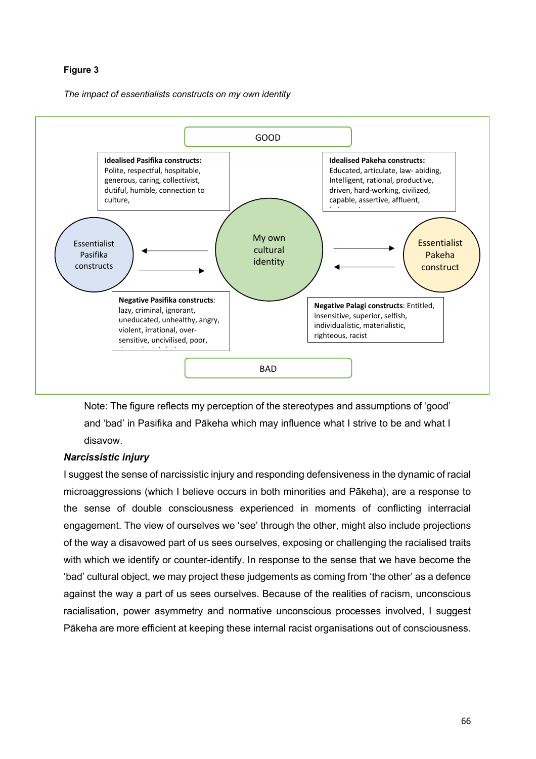### **Figure 3**

*The impact of essentialists constructs on my own identity*



Note: The figure reflects my perception of the stereotypes and assumptions of 'good' and 'bad' in Pasifika and Pākeha which may influence what I strive to be and what I disavow.

### *Narcissistic injury*

I suggest the sense of narcissistic injury and responding defensiveness in the dynamic of racial microaggressions (which I believe occurs in both minorities and Pākeha), are a response to the sense of double consciousness experienced in moments of conflicting interracial engagement. The view of ourselves we 'see' through the other, might also include projections of the way a disavowed part of us sees ourselves, exposing or challenging the racialised traits with which we identify or counter-identify. In response to the sense that we have become the 'bad' cultural object, we may project these judgements as coming from 'the other' as a defence against the way a part of us sees ourselves. Because of the realities of racism, unconscious racialisation, power asymmetry and normative unconscious processes involved, I suggest Pākeha are more efficient at keeping these internal racist organisations out of consciousness.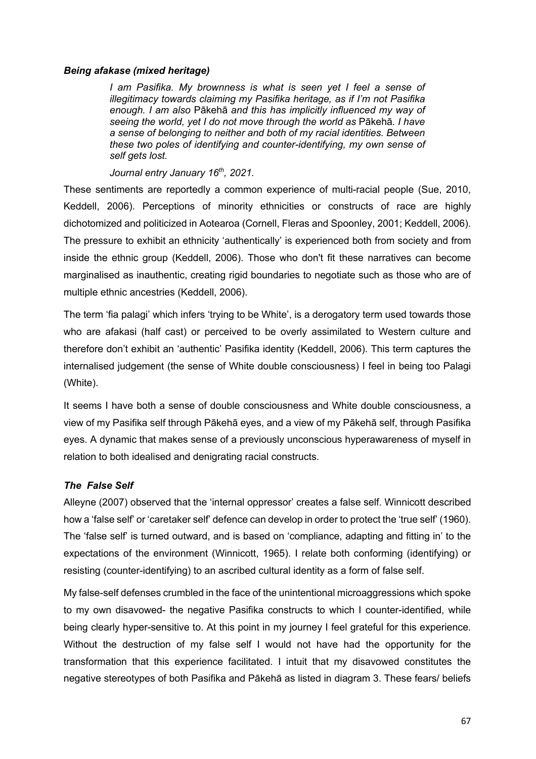## *Being afakase (mixed heritage)*

*I am Pasifika. My brownness is what is seen yet I feel a sense of illegitimacy towards claiming my Pasifika heritage, as if I'm not Pasifika enough. I am also* Pākehā *and this has implicitly influenced my way of seeing the world, yet I do not move through the world as* Pākehā*. I have a sense of belonging to neither and both of my racial identities. Between these two poles of identifying and counter-identifying, my own sense of self gets lost.*

*Journal entry January 16th, 2021.*

These sentiments are reportedly a common experience of multi-racial people (Sue, 2010, Keddell, 2006). Perceptions of minority ethnicities or constructs of race are highly dichotomized and politicized in Aotearoa (Cornell, Fleras and Spoonley, 2001; Keddell, 2006). The pressure to exhibit an ethnicity 'authentically' is experienced both from society and from inside the ethnic group (Keddell, 2006). Those who don't fit these narratives can become marginalised as inauthentic, creating rigid boundaries to negotiate such as those who are of multiple ethnic ancestries (Keddell, 2006).

The term 'fia palagi' which infers 'trying to be White', is a derogatory term used towards those who are afakasi (half cast) or perceived to be overly assimilated to Western culture and therefore don't exhibit an 'authentic' Pasifika identity (Keddell, 2006). This term captures the internalised judgement (the sense of White double consciousness) I feel in being too Palagi (White).

It seems I have both a sense of double consciousness and White double consciousness, a view of my Pasifika self through Pākehā eyes, and a view of my Pākehā self, through Pasifika eyes. A dynamic that makes sense of a previously unconscious hyperawareness of myself in relation to both idealised and denigrating racial constructs.

# *The False Self*

Alleyne (2007) observed that the 'internal oppressor' creates a false self. Winnicott described how a 'false self' or 'caretaker self' defence can develop in order to protect the 'true self' (1960). The 'false self' is turned outward, and is based on 'compliance, adapting and fitting in' to the expectations of the environment (Winnicott, 1965). I relate both conforming (identifying) or resisting (counter-identifying) to an ascribed cultural identity as a form of false self.

My false-self defenses crumbled in the face of the unintentional microaggressions which spoke to my own disavowed- the negative Pasifika constructs to which I counter-identified, while being clearly hyper-sensitive to. At this point in my journey I feel grateful for this experience. Without the destruction of my false self I would not have had the opportunity for the transformation that this experience facilitated. I intuit that my disavowed constitutes the negative stereotypes of both Pasifika and Pākehā as listed in diagram 3. These fears/ beliefs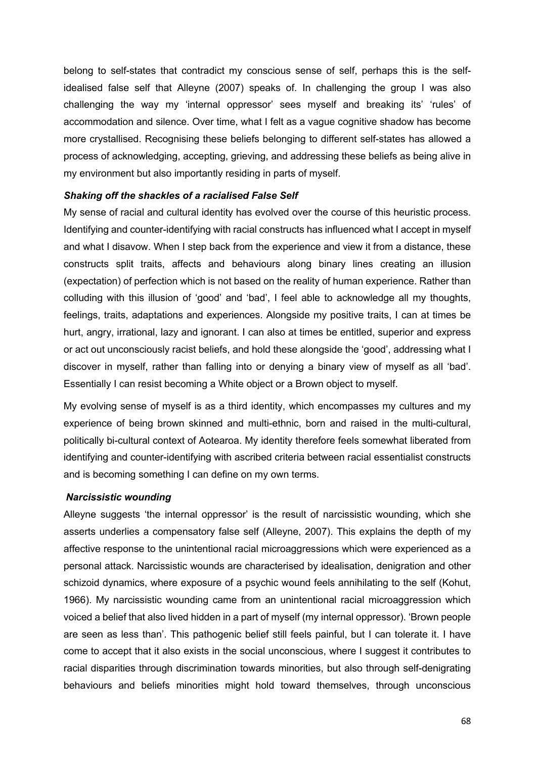belong to self-states that contradict my conscious sense of self, perhaps this is the selfidealised false self that Alleyne (2007) speaks of. In challenging the group I was also challenging the way my 'internal oppressor' sees myself and breaking its' 'rules' of accommodation and silence. Over time, what I felt as a vague cognitive shadow has become more crystallised. Recognising these beliefs belonging to different self-states has allowed a process of acknowledging, accepting, grieving, and addressing these beliefs as being alive in my environment but also importantly residing in parts of myself.

### *Shaking off the shackles of a racialised False Self*

My sense of racial and cultural identity has evolved over the course of this heuristic process. Identifying and counter-identifying with racial constructs has influenced what I accept in myself and what I disavow. When I step back from the experience and view it from a distance, these constructs split traits, affects and behaviours along binary lines creating an illusion (expectation) of perfection which is not based on the reality of human experience. Rather than colluding with this illusion of 'good' and 'bad', I feel able to acknowledge all my thoughts, feelings, traits, adaptations and experiences. Alongside my positive traits, I can at times be hurt, angry, irrational, lazy and ignorant. I can also at times be entitled, superior and express or act out unconsciously racist beliefs, and hold these alongside the 'good', addressing what I discover in myself, rather than falling into or denying a binary view of myself as all 'bad'. Essentially I can resist becoming a White object or a Brown object to myself.

My evolving sense of myself is as a third identity, which encompasses my cultures and my experience of being brown skinned and multi-ethnic, born and raised in the multi-cultural, politically bi-cultural context of Aotearoa. My identity therefore feels somewhat liberated from identifying and counter-identifying with ascribed criteria between racial essentialist constructs and is becoming something I can define on my own terms.

### *Narcissistic wounding*

Alleyne suggests 'the internal oppressor' is the result of narcissistic wounding, which she asserts underlies a compensatory false self (Alleyne, 2007). This explains the depth of my affective response to the unintentional racial microaggressions which were experienced as a personal attack. Narcissistic wounds are characterised by idealisation, denigration and other schizoid dynamics, where exposure of a psychic wound feels annihilating to the self (Kohut, 1966). My narcissistic wounding came from an unintentional racial microaggression which voiced a belief that also lived hidden in a part of myself (my internal oppressor). 'Brown people are seen as less than'. This pathogenic belief still feels painful, but I can tolerate it. I have come to accept that it also exists in the social unconscious, where I suggest it contributes to racial disparities through discrimination towards minorities, but also through self-denigrating behaviours and beliefs minorities might hold toward themselves, through unconscious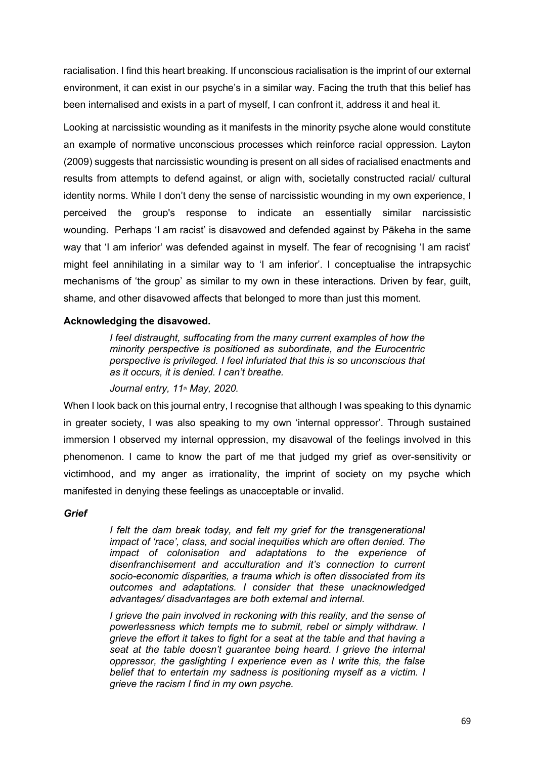racialisation. I find this heart breaking. If unconscious racialisation is the imprint of our external environment, it can exist in our psyche's in a similar way. Facing the truth that this belief has been internalised and exists in a part of myself, I can confront it, address it and heal it.

Looking at narcissistic wounding as it manifests in the minority psyche alone would constitute an example of normative unconscious processes which reinforce racial oppression. Layton (2009) suggests that narcissistic wounding is present on all sides of racialised enactments and results from attempts to defend against, or align with, societally constructed racial/ cultural identity norms. While I don't deny the sense of narcissistic wounding in my own experience, I perceived the group's response to indicate an essentially similar narcissistic wounding. Perhaps 'I am racist' is disavowed and defended against by Pākeha in the same way that 'I am inferior' was defended against in myself. The fear of recognising 'I am racist' might feel annihilating in a similar way to 'I am inferior'. I conceptualise the intrapsychic mechanisms of 'the group' as similar to my own in these interactions. Driven by fear, guilt, shame, and other disavowed affects that belonged to more than just this moment.

### **Acknowledging the disavowed.**

*I feel distraught, suffocating from the many current examples of how the minority perspective is positioned as subordinate, and the Eurocentric perspective is privileged. I feel infuriated that this is so unconscious that as it occurs, it is denied. I can't breathe.*

*Journal entry, 11<sup>th</sup> May, 2020.* 

When I look back on this journal entry, I recognise that although I was speaking to this dynamic in greater society, I was also speaking to my own 'internal oppressor'. Through sustained immersion I observed my internal oppression, my disavowal of the feelings involved in this phenomenon. I came to know the part of me that judged my grief as over-sensitivity or victimhood, and my anger as irrationality, the imprint of society on my psyche which manifested in denying these feelings as unacceptable or invalid.

*Grief*

*I felt the dam break today, and felt my grief for the transgenerational impact of 'race', class, and social inequities which are often denied. The impact of colonisation and adaptations to the experience of disenfranchisement and acculturation and it's connection to current socio-economic disparities, a trauma which is often dissociated from its outcomes and adaptations. I consider that these unacknowledged advantages/ disadvantages are both external and internal.*

*I grieve the pain involved in reckoning with this reality, and the sense of powerlessness which tempts me to submit, rebel or simply withdraw. I grieve the effort it takes to fight for a seat at the table and that having a seat at the table doesn't guarantee being heard. I grieve the internal oppressor, the gaslighting I experience even as I write this, the false belief that to entertain my sadness is positioning myself as a victim. I grieve the racism I find in my own psyche.*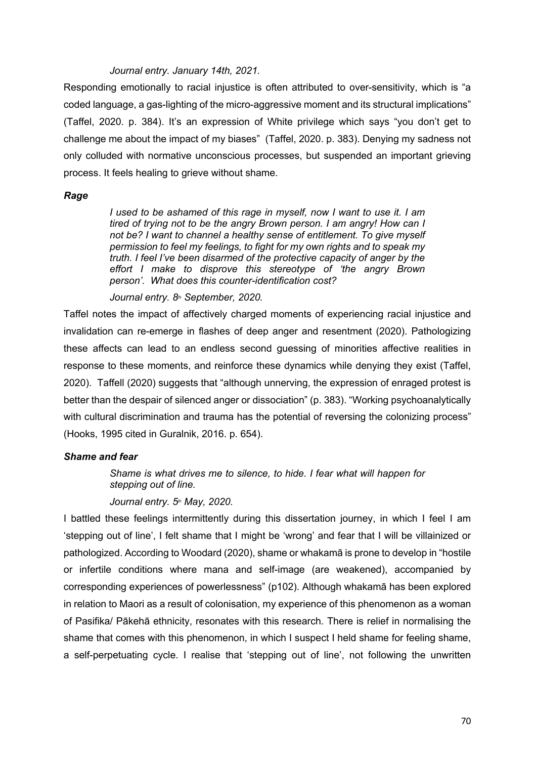### *Journal entry. January 14th, 2021.*

Responding emotionally to racial injustice is often attributed to over-sensitivity, which is "a coded language, a gas-lighting of the micro-aggressive moment and its structural implications" (Taffel, 2020. p. 384). It's an expression of White privilege which says "you don't get to challenge me about the impact of my biases" (Taffel, 2020. p. 383). Denying my sadness not only colluded with normative unconscious processes, but suspended an important grieving process. It feels healing to grieve without shame.

#### *Rage*

*I used to be ashamed of this rage in myself, now I want to use it. I am tired of trying not to be the angry Brown person. I am angry! How can I not be? I want to channel a healthy sense of entitlement. To give myself permission to feel my feelings, to fight for my own rights and to speak my truth. I feel I've been disarmed of the protective capacity of anger by the effort I make to disprove this stereotype of 'the angry Brown person'. What does this counter-identification cost?*

*Journal entry.*  $8<sup>th</sup>$  *September, 2020.* 

Taffel notes the impact of affectively charged moments of experiencing racial injustice and invalidation can re-emerge in flashes of deep anger and resentment (2020). Pathologizing these affects can lead to an endless second guessing of minorities affective realities in response to these moments, and reinforce these dynamics while denying they exist (Taffel, 2020). Taffell (2020) suggests that "although unnerving, the expression of enraged protest is better than the despair of silenced anger or dissociation" (p. 383). "Working psychoanalytically with cultural discrimination and trauma has the potential of reversing the colonizing process" (Hooks, 1995 cited in Guralnik, 2016. p. 654).

### *Shame and fear*

*Shame is what drives me to silence, to hide. I fear what will happen for stepping out of line.*

### *Journal entry. 5th May, 2020.*

I battled these feelings intermittently during this dissertation journey, in which I feel I am 'stepping out of line', I felt shame that I might be 'wrong' and fear that I will be villainized or pathologized. According to Woodard (2020), shame or whakamā is prone to develop in "hostile or infertile conditions where mana and self-image (are weakened), accompanied by corresponding experiences of powerlessness" (p102). Although whakamā has been explored in relation to Maori as a result of colonisation, my experience of this phenomenon as a woman of Pasifika/ Pākehā ethnicity, resonates with this research. There is relief in normalising the shame that comes with this phenomenon, in which I suspect I held shame for feeling shame, a self-perpetuating cycle. I realise that 'stepping out of line', not following the unwritten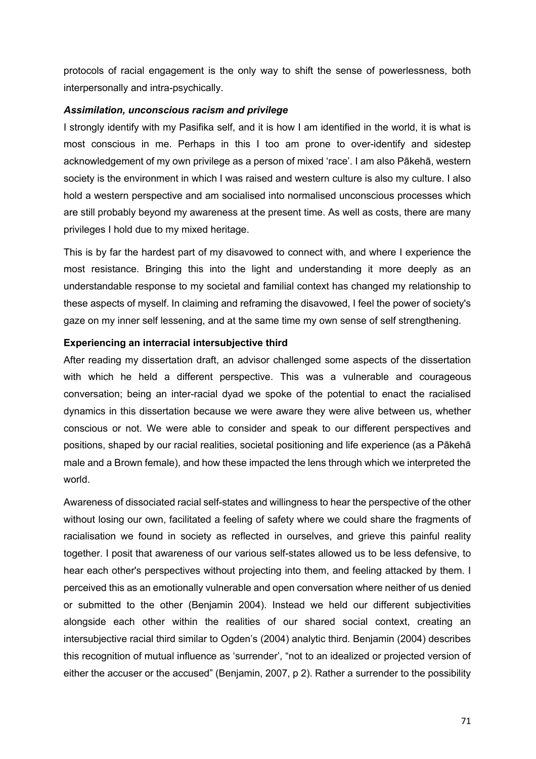protocols of racial engagement is the only way to shift the sense of powerlessness, both interpersonally and intra-psychically.

### *Assimilation, unconscious racism and privilege*

I strongly identify with my Pasifika self, and it is how I am identified in the world, it is what is most conscious in me. Perhaps in this I too am prone to over-identify and sidestep acknowledgement of my own privilege as a person of mixed 'race'. I am also Pākehā, western society is the environment in which I was raised and western culture is also my culture. I also hold a western perspective and am socialised into normalised unconscious processes which are still probably beyond my awareness at the present time. As well as costs, there are many privileges I hold due to my mixed heritage.

This is by far the hardest part of my disavowed to connect with, and where I experience the most resistance. Bringing this into the light and understanding it more deeply as an understandable response to my societal and familial context has changed my relationship to these aspects of myself. In claiming and reframing the disavowed, I feel the power of society's gaze on my inner self lessening, and at the same time my own sense of self strengthening.

### **Experiencing an interracial intersubjective third**

After reading my dissertation draft, an advisor challenged some aspects of the dissertation with which he held a different perspective. This was a vulnerable and courageous conversation; being an inter-racial dyad we spoke of the potential to enact the racialised dynamics in this dissertation because we were aware they were alive between us, whether conscious or not. We were able to consider and speak to our different perspectives and positions, shaped by our racial realities, societal positioning and life experience (as a Pākehā male and a Brown female), and how these impacted the lens through which we interpreted the world.

Awareness of dissociated racial self-states and willingness to hear the perspective of the other without losing our own, facilitated a feeling of safety where we could share the fragments of racialisation we found in society as reflected in ourselves, and grieve this painful reality together. I posit that awareness of our various self-states allowed us to be less defensive, to hear each other's perspectives without projecting into them, and feeling attacked by them. I perceived this as an emotionally vulnerable and open conversation where neither of us denied or submitted to the other (Benjamin 2004). Instead we held our different subjectivities alongside each other within the realities of our shared social context, creating an intersubjective racial third similar to Ogden's (2004) analytic third. Benjamin (2004) describes this recognition of mutual influence as 'surrender', "not to an idealized or projected version of either the accuser or the accused" (Benjamin, 2007, p 2). Rather a surrender to the possibility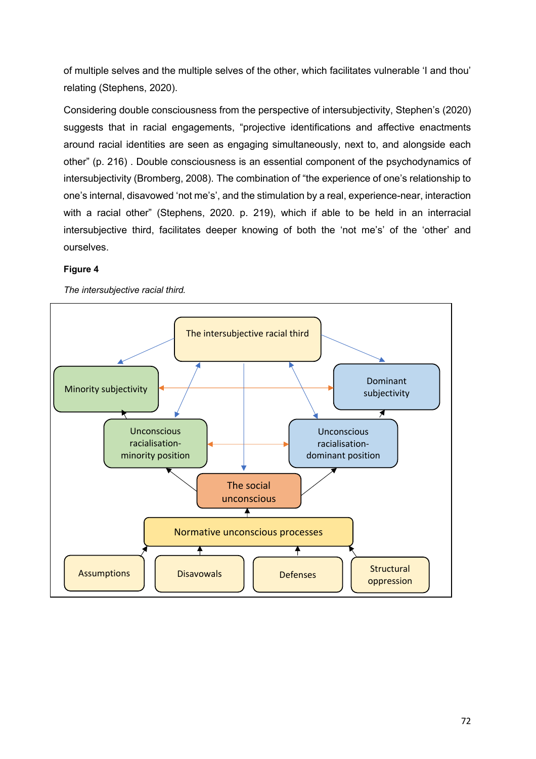of multiple selves and the multiple selves of the other, which facilitates vulnerable 'I and thou' relating (Stephens, 2020).

Considering double consciousness from the perspective of intersubjectivity, Stephen's (2020) suggests that in racial engagements, "projective identifications and affective enactments around racial identities are seen as engaging simultaneously, next to, and alongside each other" (p. 216) . Double consciousness is an essential component of the psychodynamics of intersubjectivity (Bromberg, 2008). The combination of "the experience of one's relationship to one's internal, disavowed 'not me's', and the stimulation by a real, experience-near, interaction with a racial other" (Stephens, 2020. p. 219), which if able to be held in an interracial intersubjective third, facilitates deeper knowing of both the 'not me's' of the 'other' and ourselves.

### **Figure 4**



*The intersubjective racial third.*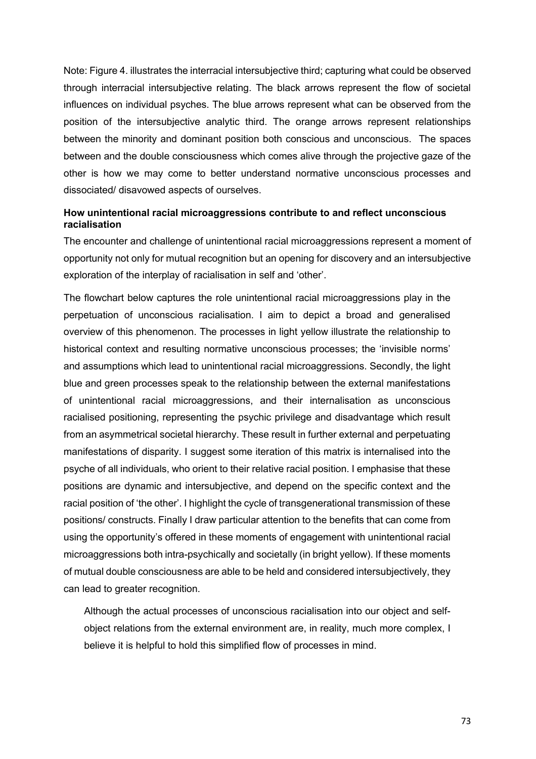Note: Figure 4. illustrates the interracial intersubjective third; capturing what could be observed through interracial intersubjective relating. The black arrows represent the flow of societal influences on individual psyches. The blue arrows represent what can be observed from the position of the intersubjective analytic third. The orange arrows represent relationships between the minority and dominant position both conscious and unconscious. The spaces between and the double consciousness which comes alive through the projective gaze of the other is how we may come to better understand normative unconscious processes and dissociated/ disavowed aspects of ourselves.

# **How unintentional racial microaggressions contribute to and reflect unconscious racialisation**

The encounter and challenge of unintentional racial microaggressions represent a moment of opportunity not only for mutual recognition but an opening for discovery and an intersubjective exploration of the interplay of racialisation in self and 'other'.

The flowchart below captures the role unintentional racial microaggressions play in the perpetuation of unconscious racialisation. I aim to depict a broad and generalised overview of this phenomenon. The processes in light yellow illustrate the relationship to historical context and resulting normative unconscious processes; the 'invisible norms' and assumptions which lead to unintentional racial microaggressions. Secondly, the light blue and green processes speak to the relationship between the external manifestations of unintentional racial microaggressions, and their internalisation as unconscious racialised positioning, representing the psychic privilege and disadvantage which result from an asymmetrical societal hierarchy. These result in further external and perpetuating manifestations of disparity. I suggest some iteration of this matrix is internalised into the psyche of all individuals, who orient to their relative racial position. I emphasise that these positions are dynamic and intersubjective, and depend on the specific context and the racial position of 'the other'. I highlight the cycle of transgenerational transmission of these positions/ constructs. Finally I draw particular attention to the benefits that can come from using the opportunity's offered in these moments of engagement with unintentional racial microaggressions both intra-psychically and societally (in bright yellow). If these moments of mutual double consciousness are able to be held and considered intersubjectively, they can lead to greater recognition.

Although the actual processes of unconscious racialisation into our object and selfobject relations from the external environment are, in reality, much more complex, I believe it is helpful to hold this simplified flow of processes in mind.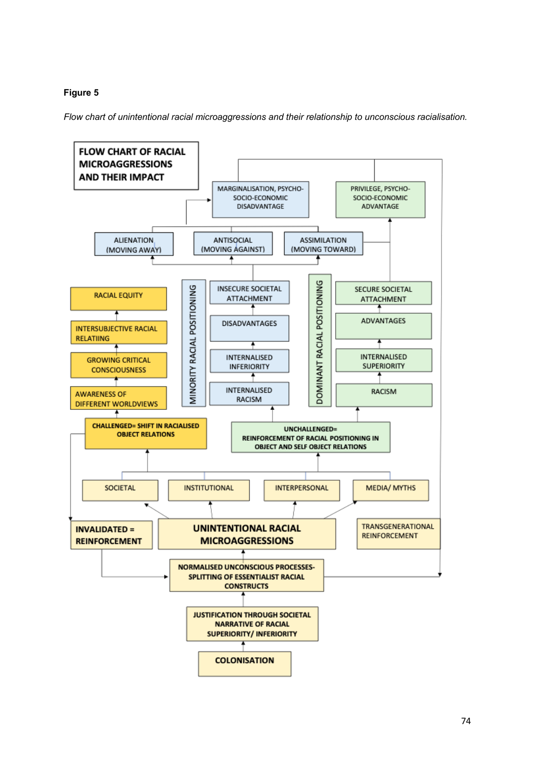# **Figure 5**

*Flow chart of unintentional racial microaggressions and their relationship to unconscious racialisation.* 

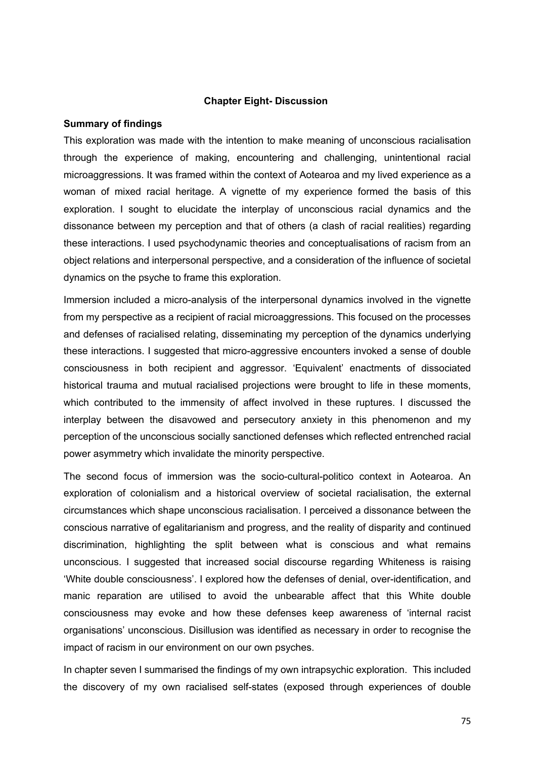### **Chapter Eight- Discussion**

## **Summary of findings**

This exploration was made with the intention to make meaning of unconscious racialisation through the experience of making, encountering and challenging, unintentional racial microaggressions. It was framed within the context of Aotearoa and my lived experience as a woman of mixed racial heritage. A vignette of my experience formed the basis of this exploration. I sought to elucidate the interplay of unconscious racial dynamics and the dissonance between my perception and that of others (a clash of racial realities) regarding these interactions. I used psychodynamic theories and conceptualisations of racism from an object relations and interpersonal perspective, and a consideration of the influence of societal dynamics on the psyche to frame this exploration.

Immersion included a micro-analysis of the interpersonal dynamics involved in the vignette from my perspective as a recipient of racial microaggressions. This focused on the processes and defenses of racialised relating, disseminating my perception of the dynamics underlying these interactions. I suggested that micro-aggressive encounters invoked a sense of double consciousness in both recipient and aggressor. 'Equivalent' enactments of dissociated historical trauma and mutual racialised projections were brought to life in these moments, which contributed to the immensity of affect involved in these ruptures. I discussed the interplay between the disavowed and persecutory anxiety in this phenomenon and my perception of the unconscious socially sanctioned defenses which reflected entrenched racial power asymmetry which invalidate the minority perspective.

The second focus of immersion was the socio-cultural-politico context in Aotearoa. An exploration of colonialism and a historical overview of societal racialisation, the external circumstances which shape unconscious racialisation. I perceived a dissonance between the conscious narrative of egalitarianism and progress, and the reality of disparity and continued discrimination, highlighting the split between what is conscious and what remains unconscious. I suggested that increased social discourse regarding Whiteness is raising 'White double consciousness'. I explored how the defenses of denial, over-identification, and manic reparation are utilised to avoid the unbearable affect that this White double consciousness may evoke and how these defenses keep awareness of 'internal racist organisations' unconscious. Disillusion was identified as necessary in order to recognise the impact of racism in our environment on our own psyches.

In chapter seven I summarised the findings of my own intrapsychic exploration. This included the discovery of my own racialised self-states (exposed through experiences of double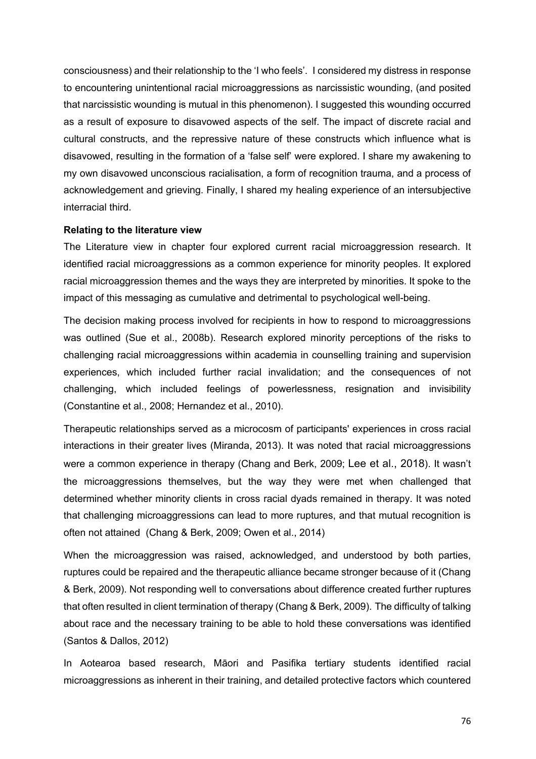consciousness) and their relationship to the 'I who feels'. I considered my distress in response to encountering unintentional racial microaggressions as narcissistic wounding, (and posited that narcissistic wounding is mutual in this phenomenon). I suggested this wounding occurred as a result of exposure to disavowed aspects of the self. The impact of discrete racial and cultural constructs, and the repressive nature of these constructs which influence what is disavowed, resulting in the formation of a 'false self' were explored. I share my awakening to my own disavowed unconscious racialisation, a form of recognition trauma, and a process of acknowledgement and grieving. Finally, I shared my healing experience of an intersubjective interracial third.

### **Relating to the literature view**

The Literature view in chapter four explored current racial microaggression research. It identified racial microaggressions as a common experience for minority peoples. It explored racial microaggression themes and the ways they are interpreted by minorities. It spoke to the impact of this messaging as cumulative and detrimental to psychological well-being.

The decision making process involved for recipients in how to respond to microaggressions was outlined (Sue et al., 2008b). Research explored minority perceptions of the risks to challenging racial microaggressions within academia in counselling training and supervision experiences, which included further racial invalidation; and the consequences of not challenging, which included feelings of powerlessness, resignation and invisibility (Constantine et al., 2008; Hernandez et al., 2010).

Therapeutic relationships served as a microcosm of participants' experiences in cross racial interactions in their greater lives (Miranda, 2013). It was noted that racial microaggressions were a common experience in therapy (Chang and Berk, 2009; Lee et al., 2018). It wasn't the microaggressions themselves, but the way they were met when challenged that determined whether minority clients in cross racial dyads remained in therapy. It was noted that challenging microaggressions can lead to more ruptures, and that mutual recognition is often not attained (Chang & Berk, 2009; Owen et al., 2014)

When the microaggression was raised, acknowledged, and understood by both parties, ruptures could be repaired and the therapeutic alliance became stronger because of it (Chang & Berk, 2009). Not responding well to conversations about difference created further ruptures that often resulted in client termination of therapy (Chang & Berk, 2009). The difficulty of talking about race and the necessary training to be able to hold these conversations was identified (Santos & Dallos, 2012)

In Aotearoa based research, Māori and Pasifika tertiary students identified racial microaggressions as inherent in their training, and detailed protective factors which countered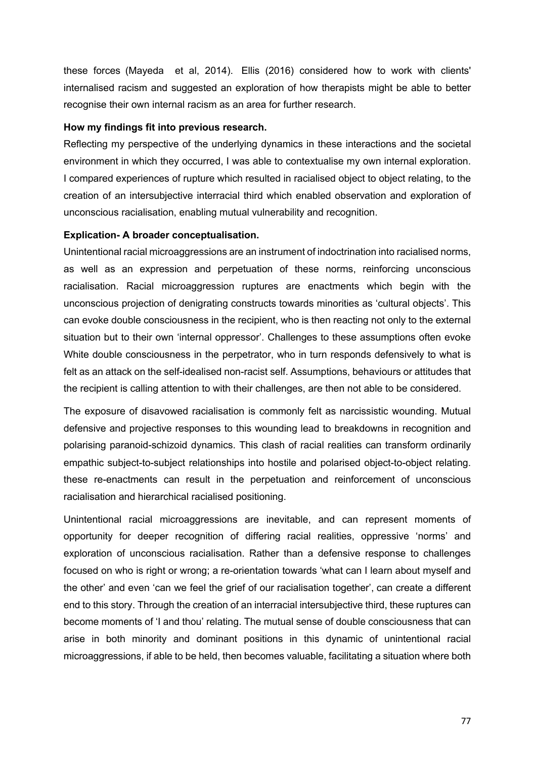these forces (Mayeda et al, 2014). Ellis (2016) considered how to work with clients' internalised racism and suggested an exploration of how therapists might be able to better recognise their own internal racism as an area for further research.

## **How my findings fit into previous research.**

Reflecting my perspective of the underlying dynamics in these interactions and the societal environment in which they occurred, I was able to contextualise my own internal exploration. I compared experiences of rupture which resulted in racialised object to object relating, to the creation of an intersubjective interracial third which enabled observation and exploration of unconscious racialisation, enabling mutual vulnerability and recognition.

## **Explication- A broader conceptualisation.**

Unintentional racial microaggressions are an instrument of indoctrination into racialised norms, as well as an expression and perpetuation of these norms, reinforcing unconscious racialisation. Racial microaggression ruptures are enactments which begin with the unconscious projection of denigrating constructs towards minorities as 'cultural objects'. This can evoke double consciousness in the recipient, who is then reacting not only to the external situation but to their own 'internal oppressor'. Challenges to these assumptions often evoke White double consciousness in the perpetrator, who in turn responds defensively to what is felt as an attack on the self-idealised non-racist self. Assumptions, behaviours or attitudes that the recipient is calling attention to with their challenges, are then not able to be considered.

The exposure of disavowed racialisation is commonly felt as narcissistic wounding. Mutual defensive and projective responses to this wounding lead to breakdowns in recognition and polarising paranoid-schizoid dynamics. This clash of racial realities can transform ordinarily empathic subject-to-subject relationships into hostile and polarised object-to-object relating. these re-enactments can result in the perpetuation and reinforcement of unconscious racialisation and hierarchical racialised positioning.

Unintentional racial microaggressions are inevitable, and can represent moments of opportunity for deeper recognition of differing racial realities, oppressive 'norms' and exploration of unconscious racialisation. Rather than a defensive response to challenges focused on who is right or wrong; a re-orientation towards 'what can I learn about myself and the other' and even 'can we feel the grief of our racialisation together', can create a different end to this story. Through the creation of an interracial intersubjective third, these ruptures can become moments of 'I and thou' relating. The mutual sense of double consciousness that can arise in both minority and dominant positions in this dynamic of unintentional racial microaggressions, if able to be held, then becomes valuable, facilitating a situation where both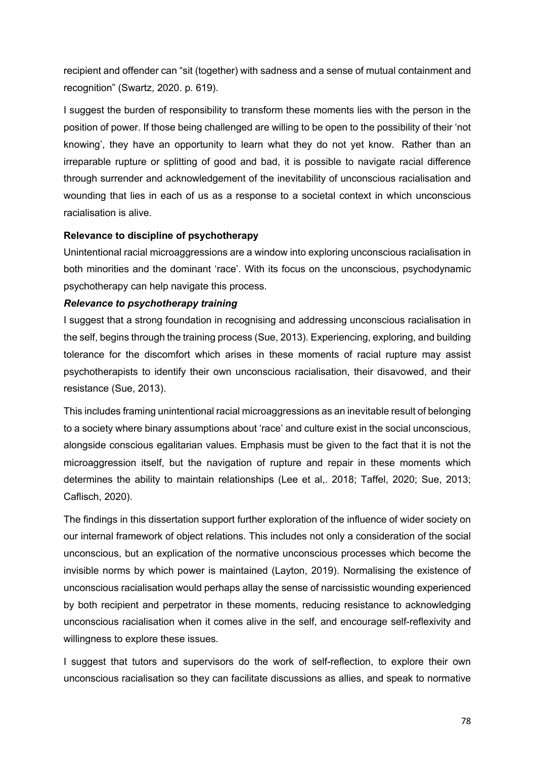recipient and offender can "sit (together) with sadness and a sense of mutual containment and recognition" (Swartz, 2020. p. 619).

I suggest the burden of responsibility to transform these moments lies with the person in the position of power. If those being challenged are willing to be open to the possibility of their 'not knowing', they have an opportunity to learn what they do not yet know. Rather than an irreparable rupture or splitting of good and bad, it is possible to navigate racial difference through surrender and acknowledgement of the inevitability of unconscious racialisation and wounding that lies in each of us as a response to a societal context in which unconscious racialisation is alive.

# **Relevance to discipline of psychotherapy**

Unintentional racial microaggressions are a window into exploring unconscious racialisation in both minorities and the dominant 'race'. With its focus on the unconscious, psychodynamic psychotherapy can help navigate this process.

## *Relevance to psychotherapy training*

I suggest that a strong foundation in recognising and addressing unconscious racialisation in the self, begins through the training process (Sue, 2013). Experiencing, exploring, and building tolerance for the discomfort which arises in these moments of racial rupture may assist psychotherapists to identify their own unconscious racialisation, their disavowed, and their resistance (Sue, 2013).

This includes framing unintentional racial microaggressions as an inevitable result of belonging to a society where binary assumptions about 'race' and culture exist in the social unconscious, alongside conscious egalitarian values. Emphasis must be given to the fact that it is not the microaggression itself, but the navigation of rupture and repair in these moments which determines the ability to maintain relationships (Lee et al,. 2018; Taffel, 2020; Sue, 2013; Caflisch, 2020).

The findings in this dissertation support further exploration of the influence of wider society on our internal framework of object relations. This includes not only a consideration of the social unconscious, but an explication of the normative unconscious processes which become the invisible norms by which power is maintained (Layton, 2019). Normalising the existence of unconscious racialisation would perhaps allay the sense of narcissistic wounding experienced by both recipient and perpetrator in these moments, reducing resistance to acknowledging unconscious racialisation when it comes alive in the self, and encourage self-reflexivity and willingness to explore these issues.

I suggest that tutors and supervisors do the work of self-reflection, to explore their own unconscious racialisation so they can facilitate discussions as allies, and speak to normative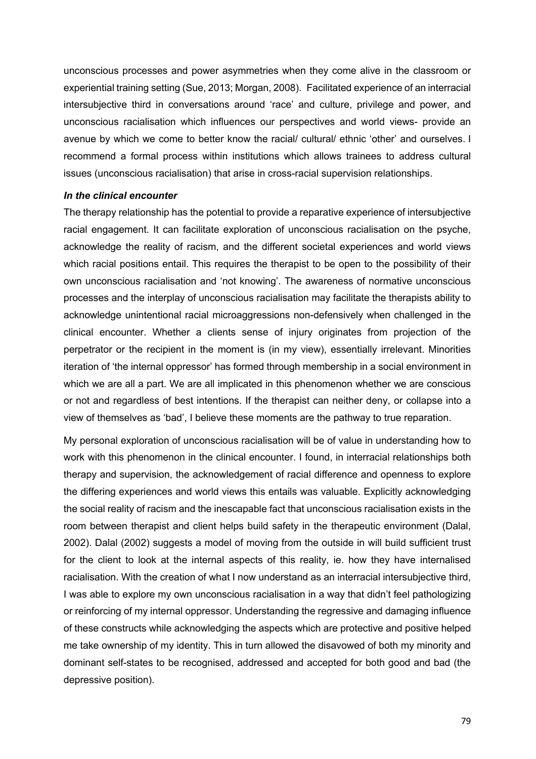unconscious processes and power asymmetries when they come alive in the classroom or experiential training setting (Sue, 2013; Morgan, 2008). Facilitated experience of an interracial intersubjective third in conversations around 'race' and culture, privilege and power, and unconscious racialisation which influences our perspectives and world views- provide an avenue by which we come to better know the racial/ cultural/ ethnic 'other' and ourselves. I recommend a formal process within institutions which allows trainees to address cultural issues (unconscious racialisation) that arise in cross-racial supervision relationships.

### *In the clinical encounter*

The therapy relationship has the potential to provide a reparative experience of intersubjective racial engagement. It can facilitate exploration of unconscious racialisation on the psyche, acknowledge the reality of racism, and the different societal experiences and world views which racial positions entail. This requires the therapist to be open to the possibility of their own unconscious racialisation and 'not knowing'. The awareness of normative unconscious processes and the interplay of unconscious racialisation may facilitate the therapists ability to acknowledge unintentional racial microaggressions non-defensively when challenged in the clinical encounter. Whether a clients sense of injury originates from projection of the perpetrator or the recipient in the moment is (in my view), essentially irrelevant. Minorities iteration of 'the internal oppressor' has formed through membership in a social environment in which we are all a part. We are all implicated in this phenomenon whether we are conscious or not and regardless of best intentions. If the therapist can neither deny, or collapse into a view of themselves as 'bad', I believe these moments are the pathway to true reparation.

My personal exploration of unconscious racialisation will be of value in understanding how to work with this phenomenon in the clinical encounter. I found, in interracial relationships both therapy and supervision, the acknowledgement of racial difference and openness to explore the differing experiences and world views this entails was valuable. Explicitly acknowledging the social reality of racism and the inescapable fact that unconscious racialisation exists in the room between therapist and client helps build safety in the therapeutic environment (Dalal, 2002). Dalal (2002) suggests a model of moving from the outside in will build sufficient trust for the client to look at the internal aspects of this reality, ie. how they have internalised racialisation. With the creation of what I now understand as an interracial intersubjective third, I was able to explore my own unconscious racialisation in a way that didn't feel pathologizing or reinforcing of my internal oppressor. Understanding the regressive and damaging influence of these constructs while acknowledging the aspects which are protective and positive helped me take ownership of my identity. This in turn allowed the disavowed of both my minority and dominant self-states to be recognised, addressed and accepted for both good and bad (the depressive position).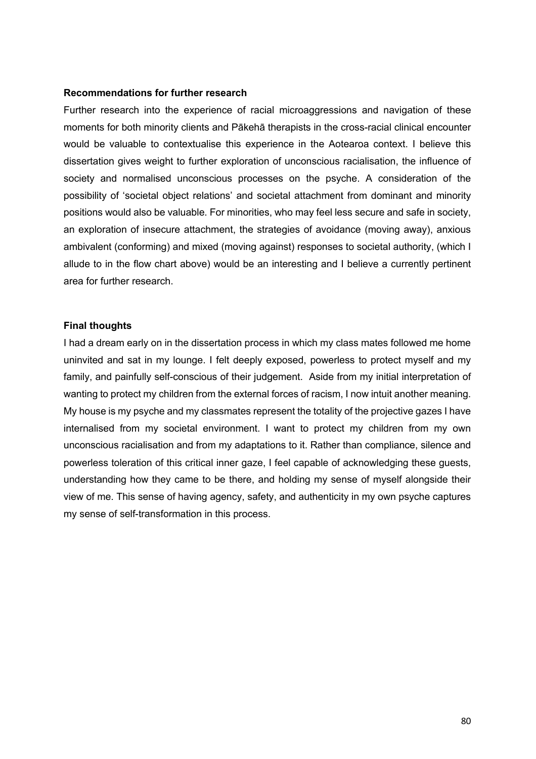### **Recommendations for further research**

Further research into the experience of racial microaggressions and navigation of these moments for both minority clients and Pākehā therapists in the cross-racial clinical encounter would be valuable to contextualise this experience in the Aotearoa context. I believe this dissertation gives weight to further exploration of unconscious racialisation, the influence of society and normalised unconscious processes on the psyche. A consideration of the possibility of 'societal object relations' and societal attachment from dominant and minority positions would also be valuable. For minorities, who may feel less secure and safe in society, an exploration of insecure attachment, the strategies of avoidance (moving away), anxious ambivalent (conforming) and mixed (moving against) responses to societal authority, (which I allude to in the flow chart above) would be an interesting and I believe a currently pertinent area for further research.

### **Final thoughts**

I had a dream early on in the dissertation process in which my class mates followed me home uninvited and sat in my lounge. I felt deeply exposed, powerless to protect myself and my family, and painfully self-conscious of their judgement. Aside from my initial interpretation of wanting to protect my children from the external forces of racism, I now intuit another meaning. My house is my psyche and my classmates represent the totality of the projective gazes I have internalised from my societal environment. I want to protect my children from my own unconscious racialisation and from my adaptations to it. Rather than compliance, silence and powerless toleration of this critical inner gaze, I feel capable of acknowledging these guests, understanding how they came to be there, and holding my sense of myself alongside their view of me. This sense of having agency, safety, and authenticity in my own psyche captures my sense of self-transformation in this process.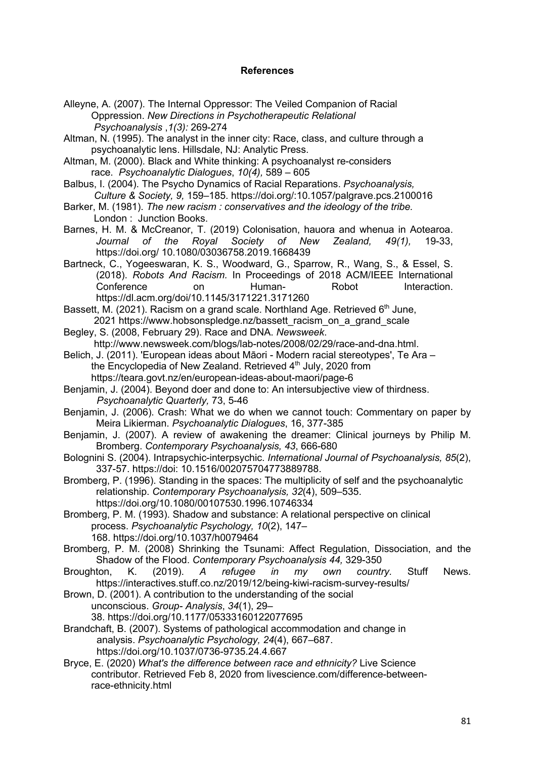## **References**

- Alleyne, A. (2007). The Internal Oppressor: The Veiled Companion of Racial Oppression. *New Directions in Psychotherapeutic Relational Psychoanalysis* ,*1(3):* 269-274
- Altman, N. (1995). The analyst in the inner city: Race, class, and culture through a psychoanalytic lens. Hillsdale, NJ: Analytic Press.
- Altman, M. (2000). Black and White thinking: A psychoanalyst re-considers race. *Psychoanalytic Dialogues*, *10(4),* 589 – 605
- Balbus, I. (2004). The Psycho Dynamics of Racial Reparations. *Psychoanalysis, Culture & Society, 9,* 159–185. https://doi.org/:10.1057/palgrave.pcs.2100016
- Barker, M. (1981). *The new racism : conservatives and the ideology of the tribe.* London : Junction Books.
- Barnes, H. M. & McCreanor, T. (2019) Colonisation, hauora and whenua in Aotearoa. *Journal of the Royal Society of New Zealand, 49(1),* 19-33, https://doi.org/ 10.1080/03036758.2019.1668439
- Bartneck, C., Yogeeswaran, K. S., Woodward, G., Sparrow, R., Wang, S., & Essel, S. (2018). *Robots And Racism.* In Proceedings of 2018 ACM/IEEE International Conference on Human- Robot Interaction. https://dl.acm.org/doi/10.1145/3171221.3171260
- Bassett, M. (2021). Racism on a grand scale. Northland Age. Retrieved  $6<sup>th</sup>$  June, 2021 https://www.hobsonspledge.nz/bassett racism on a grand scale
- Begley, S. (2008, February 29). Race and DNA. *Newsweek*. http://www.newsweek.com/blogs/lab-notes/2008/02/29/race-and-dna.html.
- Belich, J. (2011). 'European ideas about Māori Modern racial stereotypes', Te Ara the Encyclopedia of New Zealand. Retrieved 4<sup>th</sup> July, 2020 from https://teara.govt.nz/en/european-ideas-about-maori/page-6
- Benjamin, J. (2004). Beyond doer and done to: An intersubjective view of thirdness. *Psychoanalytic Quarterly,* 73, 5-46
- Benjamin, J. (2006). Crash: What we do when we cannot touch: Commentary on paper by Meira Likierman. *Psychoanalytic Dialogues*, 16, 377-385
- Benjamin, J. (2007). A review of awakening the dreamer: Clinical journeys by Philip M. Bromberg. *Contemporary Psychoanalysis, 43*, 666-680
- Bolognini S. (2004). Intrapsychic-interpsychic. *International Journal of Psychoanalysis, 85*(2), 337-57. https://doi: 10.1516/002075704773889788.
- Bromberg, P. (1996). Standing in the spaces: The multiplicity of self and the psychoanalytic relationship. *Contemporary Psychoanalysis, 32*(4), 509–535. https://doi.org/10.1080/00107530.1996.10746334
- Bromberg, P. M. (1993). Shadow and substance: A relational perspective on clinical process. *Psychoanalytic Psychology, 10*(2), 147– 168. https://doi.org/10.1037/h0079464
- Bromberg, P. M. (2008) Shrinking the Tsunami: Affect Regulation, Dissociation, and the Shadow of the Flood. *Contemporary Psychoanalysis 44,* 329-350
- Broughton, K. (2019). *A refugee in my own country.* Stuff News. https://interactives.stuff.co.nz/2019/12/being-kiwi-racism-survey-results/

Brown, D. (2001). A contribution to the understanding of the social unconscious. *Group- Analysis*, *34*(1), 29–

- 38. https://doi.org/10.1177/05333160122077695
- Brandchaft, B. (2007). Systems of pathological accommodation and change in analysis. *Psychoanalytic Psychology, 24*(4), 667–687. https://doi.org/10.1037/0736-9735.24.4.667
- Bryce, E. (2020) *What's the difference between race and ethnicity?* Live Science contributor. Retrieved Feb 8, 2020 from livescience.com/difference-between race-ethnicity.html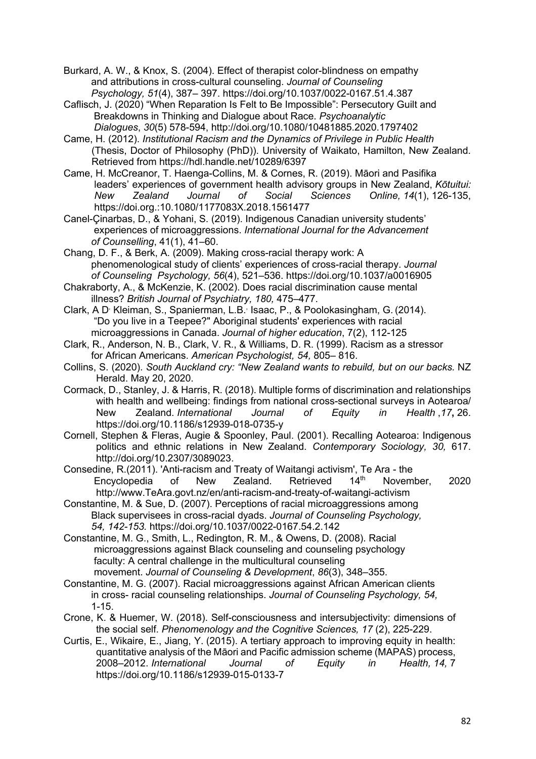Burkard, A. W., & Knox, S. (2004). Effect of therapist color-blindness on empathy and attributions in cross-cultural counseling. *Journal of Counseling Psychology, 51*(4), 387– 397. https://doi.org/10.1037/0022-0167.51.4.387

Caflisch, J. (2020) "When Reparation Is Felt to Be Impossible": Persecutory Guilt and Breakdowns in Thinking and Dialogue about Race. *Psychoanalytic* 

 *Dialogues*, *30*(5) 578-594, http://doi.org/10.1080/10481885.2020.1797402

Came, H. (2012). *Institutional Racism and the Dynamics of Privilege in Public Health* (Thesis, Doctor of Philosophy (PhD)). University of Waikato, Hamilton, New Zealand. Retrieved from https://hdl.handle.net/10289/6397

Came, H. McCreanor, T. Haenga-Collins, M. & Cornes, R. (2019). Māori and Pasifika leaders' experiences of government health advisory groups in New Zealand, *Kōtuitui: New Zealand Journal of Social Sciences Online, 14*(1), 126-135, https://doi.org.:10.1080/1177083X.2018.1561477

Canel-Çinarbas, D., & Yohani, S. (2019). Indigenous Canadian university students' experiences of microaggressions. *International Journal for the Advancement of Counselling*, 41(1), 41–60.

Chang, D. F., & Berk, A. (2009). Making cross-racial therapy work: A phenomenological study of clients' experiences of cross-racial therapy. *Journal of Counseling Psychology, 56*(4), 521–536. https://doi.org/10.1037/a0016905

Chakraborty, A., & McKenzie, K. (2002). Does racial discrimination cause mental illness? *British Journal of Psychiatry, 180,* 475–477.

Clark, A D<sup>,</sup> Kleiman, S., Spanierman, L.B.<sup>,</sup> Isaac, P., & Poolokasingham, G. (2014). "Do you live in a Teepee?" Aboriginal students' experiences with racial microaggressions in Canada. *Journal of higher education*, 7(2), 112-125

Clark, R., Anderson, N. B., Clark, V. R., & Williams, D. R. (1999). Racism as a stressor for African Americans. *American Psychologist, 54,* 805– 816.

Collins, S. (2020). *South Auckland cry: "New Zealand wants to rebuild, but on our backs.* NZ Herald. May 20, 2020.

Cormack, D., Stanley, J. & Harris, R. (2018). Multiple forms of discrimination and relationships with health and wellbeing: findings from national cross-sectional surveys in Aotearoa/ New Zealand. *International Journal of Equity in Health* ,*17***,** 26. https://doi.org/10.1186/s12939-018-0735-y

Cornell, Stephen & Fleras, Augie & Spoonley, Paul. (2001). Recalling Aotearoa: Indigenous politics and ethnic relations in New Zealand. *Contemporary Sociology, 30,* 617. http://doi.org/10.2307/3089023.

Consedine, R.(2011). 'Anti-racism and Treaty of Waitangi activism', Te Ara - the Encyclopedia of New Zealand. Retrieved 14<sup>th</sup> November, 2020 http://www.TeAra.govt.nz/en/anti-racism-and-treaty-of-waitangi-activism

Constantine, M. & Sue, D. (2007). Perceptions of racial microaggressions among Black supervisees in cross-racial dyads. *Journal of Counseling Psychology, 54, 142-153.* https://doi.org/10.1037/0022-0167.54.2.142

Constantine, M. G., Smith, L., Redington, R. M., & Owens, D. (2008). Racial microaggressions against Black counseling and counseling psychology faculty: A central challenge in the multicultural counseling movement. *Journal of Counseling & Development*, *86*(3), 348–355.

Constantine, M. G. (2007). Racial microaggressions against African American clients in cross- racial counseling relationships. *Journal of Counseling Psychology, 54,* 1-15.

Crone, K. & Huemer, W. (2018). Self-consciousness and intersubjectivity: dimensions of the social self. *Phenomenology and the Cognitive Sciences, 17* (2), 225-229.

Curtis, E., Wikaire, E., Jiang, Y. (2015). A tertiary approach to improving equity in health: quantitative analysis of the Māori and Pacific admission scheme (MAPAS) process, 2008–2012. *International Journal of Equity in Health, 14,* 7 https://doi.org/10.1186/s12939-015-0133-7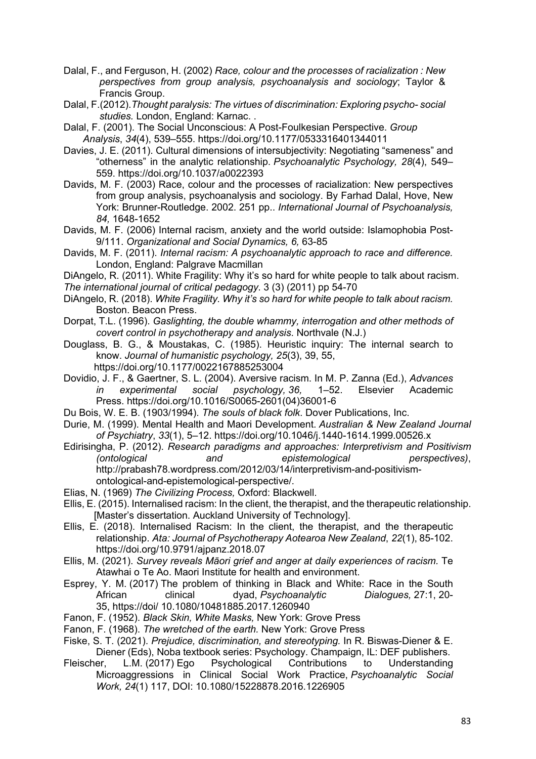- Dalal, F., and Ferguson, H. (2002) *Race, colour and the processes of racialization : New perspectives from group analysis, psychoanalysis and sociology*; Taylor & Francis Group.
- Dalal, F.(2012).*Thought paralysis: The virtues of discrimination: Exploring psycho- social studies.* London, England: Karnac. .
- Dalal, F. (2001). The Social Unconscious: A Post-Foulkesian Perspective. *Group Analysis*, *34*(4), 539–555. https://doi.org/10.1177/0533316401344011
- Davies, J. E. (2011). Cultural dimensions of intersubjectivity: Negotiating "sameness" and "otherness" in the analytic relationship. *Psychoanalytic Psychology, 28*(4), 549– 559. https://doi.org/10.1037/a0022393
- Davids, M. F. (2003) Race, colour and the processes of racialization: New perspectives from group analysis, psychoanalysis and sociology. By Farhad Dalal, Hove, New York: Brunner-Routledge. 2002. 251 pp.. *International Journal of Psychoanalysis, 84,* 1648-1652
- Davids, M. F. (2006) Internal racism, anxiety and the world outside: Islamophobia Post-9/111. *Organizational and Social Dynamics, 6,* 63-85
- Davids, M. F. (2011). *Internal racism: A psychoanalytic approach to race and difference.* London, England: Palgrave Macmillan
- DiAngelo, R. (2011). White Fragility: Why it's so hard for white people to talk about racism. *The international journal of critical pedagogy*. 3 (3) (2011) pp 54-70
- DiAngelo, R. (2018). *White Fragility. Why it's so hard for white people to talk about racism.* Boston. Beacon Press.
- Dorpat, T.L. (1996). *Gaslighting, the double whammy, interrogation and other methods of covert control in psychotherapy and analysis*. Northvale (N.J.)
- Douglass, B. G., & Moustakas, C. (1985). Heuristic inquiry: The internal search to know. *Journal of humanistic psychology, 25*(3), 39, 55, https://doi.org/10.1177/0022167885253004
- Dovidio, J. F., & Gaertner, S. L. (2004). Aversive racism. In M. P. Zanna (Ed.), *Advances in experimental social psychology, 36,* 1–52. Elsevier Academic Press. https://doi.org/10.1016/S0065-2601(04)36001-6
- Du Bois, W. E. B. (1903/1994). *The souls of black folk*. Dover Publications, Inc.
- Durie, M. (1999). Mental Health and Maori Development. *Australian & New Zealand Journal of Psychiatry*, *33*(1), 5–12. https://doi.org/10.1046/j.1440-1614.1999.00526.x
- Edirisingha, P. (2012). *Research paradigms and approaches: Interpretivism and Positivism (ontological and epistemological perspectives)*, http://prabash78.wordpress.com/2012/03/14/interpretivism-and-positivismontological-and-epistemological-perspective/.
- Elias, N. (1969) *The Civilizing Process,* Oxford: Blackwell.
- Ellis, E. (2015). Internalised racism: In the client, the therapist, and the therapeutic relationship. [Master's dissertation. Auckland University of Technology].
- Ellis, E. (2018). Internalised Racism: In the client, the therapist, and the therapeutic relationship. *Ata: Journal of Psychotherapy Aotearoa New Zealand*, *22*(1), 85-102. https://doi.org/10.9791/ajpanz.2018.07
- Ellis, M. (2021). *Survey reveals Māori grief and anger at daily experiences of racism.* Te Atawhai o Te Ao. Maori Institute for health and environment.
- Esprey, Y. M. (2017) The problem of thinking in Black and White: Race in the South African clinical dyad, *Psychoanalytic Dialogues,* 27:1, 20- 35, https://doi/ 10.1080/10481885.2017.1260940
- Fanon, F. (1952). *Black Skin, White Masks,* New York: Grove Press
- Fanon, F. (1968). *The wretched of the earth.* New York: Grove Press
- Fiske, S. T. (2021). *Prejudice, discrimination, and stereotyping.* In R. Biswas-Diener & E. Diener (Eds), Noba textbook series: Psychology. Champaign, IL: DEF publishers.
- Fleischer, L.M. (2017) Ego Psychological Contributions to Understanding Microaggressions in Clinical Social Work Practice, *Psychoanalytic Social Work, 24*(1) 117, DOI: 10.1080/15228878.2016.1226905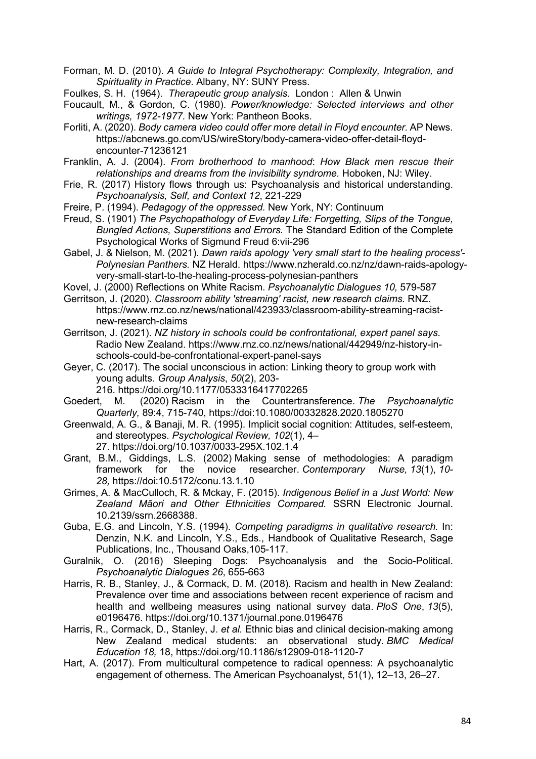Forman, M. D. (2010). *A Guide to Integral Psychotherapy: Complexity, Integration, and Spirituality in Practice*. Albany, NY: SUNY Press.

Foulkes, S. H. (1964). *Therapeutic group analysis*. London : Allen & Unwin

- Foucault, M., & Gordon, C. (1980). *Power/knowledge: Selected interviews and other writings, 1972-1977.* New York: Pantheon Books.
- Forliti, A. (2020). *Body camera video could offer more detail in Floyd encounter*. AP News. https://abcnews.go.com/US/wireStory/body-camera-video-offer-detail-floydencounter-71236121
- Franklin, A. J. (2004). *From brotherhood to manhood*: *How Black men rescue their relationships and dreams from the invisibility syndrome.* Hoboken, NJ: Wiley.
- Frie, R. (2017) History flows through us: Psychoanalysis and historical understanding. *Psychoanalysis, Self, and Context 12*, 221-229
- Freire, P. (1994). *Pedagogy of the oppressed.* New York, NY: Continuum
- Freud, S. (1901) *The Psychopathology of Everyday Life: Forgetting, Slips of the Tongue, Bungled Actions, Superstitions and Errors.* The Standard Edition of the Complete Psychological Works of Sigmund Freud 6:vii-296
- Gabel, J. & Nielson, M. (2021). *Dawn raids apology 'very small start to the healing process'- Polynesian Panthers.* NZ Herald. https://www.nzherald.co.nz/nz/dawn-raids-apologyvery-small-start-to-the-healing-process-polynesian-panthers
- Kovel, J. (2000) Reflections on White Racism. *Psychoanalytic Dialogues 10,* 579-587
- Gerritson, J. (2020). *Classroom ability 'streaming' racist, new research claims.* RNZ. https://www.rnz.co.nz/news/national/423933/classroom-ability-streaming-racistnew-research-claims
- Gerritson, J. (2021). *NZ history in schools could be confrontational, expert panel says.*  Radio New Zealand. https://www.rnz.co.nz/news/national/442949/nz-history-inschools-could-be-confrontational-expert-panel-says
- Geyer, C. (2017). The social unconscious in action: Linking theory to group work with young adults. *Group Analysis*, *50*(2), 203- 216. https://doi.org/10.1177/0533316417702265
- Goedert, M. (2020) Racism in the Countertransference. *The Psychoanalytic Quarterly,* 89:4, 715-740, https://doi:10.1080/00332828.2020.1805270
- Greenwald, A. G., & Banaji, M. R. (1995). Implicit social cognition: Attitudes, self-esteem, and stereotypes. *Psychological Review, 102*(1), 4– 27. https://doi.org/10.1037/0033-295X.102.1.4
- Grant, B.M., Giddings, L.S. (2002) Making sense of methodologies: A paradigm framework for the novice researcher. *Contemporary Nurse, 13*(1), *10- 28,* https://doi:10.5172/conu.13.1.10
- Grimes, A. & MacCulloch, R. & Mckay, F. (2015). *Indigenous Belief in a Just World: New Zealand Māori and Other Ethnicities Compared.* SSRN Electronic Journal. 10.2139/ssrn.2668388.
- Guba, E.G. and Lincoln, Y.S. (1994). *Competing paradigms in qualitative research.* In: Denzin, N.K. and Lincoln, Y.S., Eds., Handbook of Qualitative Research, Sage Publications, Inc., Thousand Oaks,105-117.
- Guralnik, O. (2016) Sleeping Dogs: Psychoanalysis and the Socio-Political. *Psychoanalytic Dialogues 26*, 655-663
- Harris, R. B., Stanley, J., & Cormack, D. M. (2018). Racism and health in New Zealand: Prevalence over time and associations between recent experience of racism and health and wellbeing measures using national survey data. *PloS One*, *13*(5), e0196476. https://doi.org/10.1371/journal.pone.0196476
- Harris, R., Cormack, D., Stanley, J. *et al.* Ethnic bias and clinical decision-making among New Zealand medical students: an observational study. *BMC Medical Education 18,* 18, https://doi.org/10.1186/s12909-018-1120-7
- Hart, A. (2017). From multicultural competence to radical openness: A psychoanalytic engagement of otherness. The American Psychoanalyst, 51(1), 12–13, 26–27.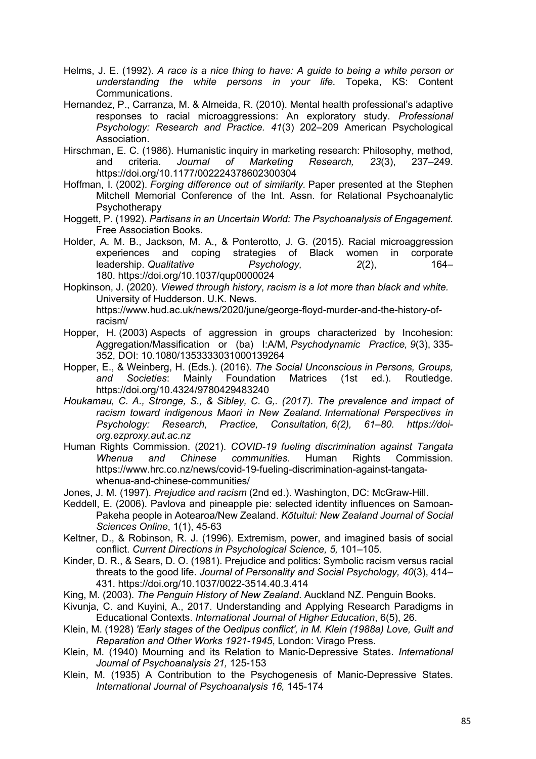- Helms, J. E. (1992). *A race is a nice thing to have: A guide to being a white person or understanding the white persons in your life.* Topeka, KS: Content Communications.
- Hernandez, P., Carranza, M. & Almeida, R. (2010). Mental health professional's adaptive responses to racial microaggressions: An exploratory study. *Professional Psychology: Research and Practice. 41*(3) 202–209 American Psychological Association.
- Hirschman, E. C. (1986). Humanistic inquiry in marketing research: Philosophy, method, and criteria. *Journal of Marketing Research, 23*(3), 237–249. https://doi.org/10.1177/002224378602300304
- Hoffman, I. (2002). *Forging difference out of similarity.* Paper presented at the Stephen Mitchell Memorial Conference of the Int. Assn. for Relational Psychoanalytic **Psychotherapy**
- Hoggett, P. (1992). *Partisans in an Uncertain World: The Psychoanalysis of Engagement.* Free Association Books.
- Holder, A. M. B., Jackson, M. A., & Ponterotto, J. G. (2015). Racial microaggression experiences and coping strategies of Black women in corporate leadership. *Qualitative Psychology, 2*(2), 164– 180. https://doi.org/10.1037/qup0000024
- Hopkinson, J. (2020). *Viewed through history*, *racism is a lot more than black and white.* University of Hudderson. U.K. News. https://www.hud.ac.uk/news/2020/june/george-floyd-murder-and-the-history-ofracism/
- Hopper, H. (2003) Aspects of aggression in groups characterized by Incohesion: Aggregation/Massification or (ba) I:A/M, *Psychodynamic Practice, 9*(3), 335- 352, DOI: 10.1080/1353333031000139264
- Hopper, E., & Weinberg, H. (Eds.). (2016). *The Social Unconscious in Persons, Groups, and Societies*: Mainly Foundation Matrices (1st ed.). Routledge. https://doi.org/10.4324/9780429483240
- *Houkamau, C. A., Stronge, S., & Sibley, C. G,. (2017). The prevalence and impact of racism toward indigenous Maori in New Zealand. International Perspectives in Psychology: Research, Practice, Consultation, 6(2), 61–80. https://doiorg.ezproxy.aut.ac.nz*
- Human Rights Commission. (2021). *COVID-19 fueling discrimination against Tangata Whenua and Chinese communities.* Human Rights Commission. https://www.hrc.co.nz/news/covid-19-fueling-discrimination-against-tangatawhenua-and-chinese-communities/
- Jones, J. M. (1997). *Prejudice and racism* (2nd ed.). Washington, DC: McGraw-Hill.
- Keddell, E. (2006). Pavlova and pineapple pie: selected identity influences on Samoan-Pakeha people in Aotearoa/New Zealand. *Kōtuitui: New Zealand Journal of Social Sciences Online*, 1(1), 45-63
- Keltner, D., & Robinson, R. J. (1996). Extremism, power, and imagined basis of social conflict. *Current Directions in Psychological Science, 5,* 101–105.
- Kinder, D. R., & Sears, D. O. (1981). Prejudice and politics: Symbolic racism versus racial threats to the good life. *Journal of Personality and Social Psychology, 40*(3), 414– 431. https://doi.org/10.1037/0022-3514.40.3.414
- King, M. (2003). *The Penguin History of New Zealand*. Auckland NZ. Penguin Books.
- Kivunja, C. and Kuyini, A., 2017. Understanding and Applying Research Paradigms in Educational Contexts. *International Journal of Higher Education*, 6(5), 26.
- Klein, M. (1928) *'Early stages of the Oedipus conflict', in M. Klein (1988a) Love, Guilt and Reparation and Other Works 1921-1945*, London: Virago Press.
- Klein, M. (1940) Mourning and its Relation to Manic-Depressive States. *International Journal of Psychoanalysis 21,* 125-153
- Klein, M. (1935) A Contribution to the Psychogenesis of Manic-Depressive States. *International Journal of Psychoanalysis 16,* 145-174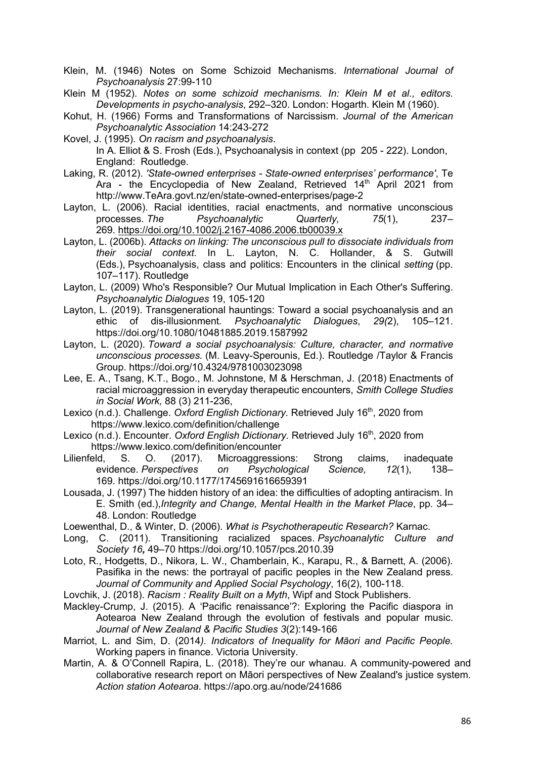- Klein, M. (1946) Notes on Some Schizoid Mechanisms. *International Journal of Psychoanalysis* 27:99-110
- Klein M (1952). *Notes on some schizoid mechanisms. In: Klein M et al., editors. Developments in psycho-analysis*, 292–320. London: Hogarth. Klein M (1960).
- Kohut, H. (1966) Forms and Transformations of Narcissism. *Journal of the American Psychoanalytic Association* 14:243-272
- Kovel, J. (1995). *On racism and psychoanalysis*.

- Laking, R. (2012). *'State-owned enterprises - State-owned enterprises' performance'*, Te Ara - the Encyclopedia of New Zealand, Retrieved 14<sup>th</sup> April 2021 from http://www.TeAra.govt.nz/en/state-owned-enterprises/page-2
- Layton, L. (2006). Racial identities, racial enactments, and normative unconscious processes. *The Psychoanalytic Quarterly, 75*(1), 237– 269. https://doi.org/10.1002/j.2167-4086.2006.tb00039.x
- Layton, L. (2006b). *Attacks on linking: The unconscious pull to dissociate individuals from their social context.* In L. Layton, N. C. Hollander, & S. Gutwill (Eds.), Psychoanalysis, class and politics: Encounters in the clinical *setting* (pp. 107–117). Routledge
- Layton, L. (2009) Who's Responsible? Our Mutual Implication in Each Other's Suffering. *Psychoanalytic Dialogues* 19, 105-120
- Layton, L. (2019). Transgenerational hauntings: Toward a social psychoanalysis and an ethic of dis-illusionment*. Psychoanalytic Dialogues*, *29(*2), 105–121. https://doi.org/10.1080/10481885.2019.1587992
- Layton, L. (2020). *Toward a social psychoanalysis: Culture, character, and normative unconscious processes.* (M. Leavy-Sperounis, Ed.). Routledge /Taylor & Francis Group. https://doi.org/10.4324/9781003023098
- Lee, E. A., Tsang, K.T., Bogo., M. Johnstone, M & Herschman, J. (2018) Enactments of racial microaggression in everyday therapeutic encounters, *Smith College Studies in Social Work,* 88 (3) 211-236,
- Lexico (n.d.). Challenge. Oxford English Dictionary. Retrieved July 16<sup>th</sup>, 2020 from https://www.lexico.com/definition/challenge
- Lexico (n.d.). Encounter. *Oxford English Dictionary*. Retrieved July 16<sup>th</sup>, 2020 from https://www.lexico.com/definition/encounter
- Lilienfeld, S. O. (2017). Microaggressions: Strong claims, inadequate evidence. *Perspectives on Psychological Science, 12*(1), 138– 169. https://doi.org/10.1177/1745691616659391
- Lousada, J. (1997) The hidden history of an idea: the difficulties of adopting antiracism. In E. Smith (ed.),*Integrity and Change, Mental Health in the Market Place*, pp. 34– 48. London: Routledge
- Loewenthal, D., & Winter, D. (2006). *What is Psychotherapeutic Research?* Karnac.
- Long, C. (2011). Transitioning racialized spaces. *Psychoanalytic Culture and Society 16,* 49–70 https://doi.org/10.1057/pcs.2010.39
- Loto, R., Hodgetts, D., Nikora, L. W., Chamberlain, K., Karapu, R., & Barnett, A. (2006). Pasifika in the news: the portrayal of pacific peoples in the New Zealand press. *Journal of Community and Applied Social Psychology*, 16(2), 100-118.
- Lovchik, J. (2018). *Racism : Reality Built on a Myth*, Wipf and Stock Publishers.
- Mackley-Crump, J. (2015). A 'Pacific renaissance'?: Exploring the Pacific diaspora in Aotearoa New Zealand through the evolution of festivals and popular music. *Journal of New Zealand & Pacific Studies 3*(2):149-166
- Marriot, L. and Sim, D. (2014*). Indicators of Inequality for Māori and Pacific People.* Working papers in finance. Victoria University.
- Martin, A. & O'Connell Rapira, L. (2018). They're our whanau. A community-powered and collaborative research report on Māori perspectives of New Zealand's justice system. *Action station Aotearoa*. https://apo.org.au/node/241686

In A. Elliot & S. Frosh (Eds.), Psychoanalysis in context (pp 205 - 222). London, England: Routledge.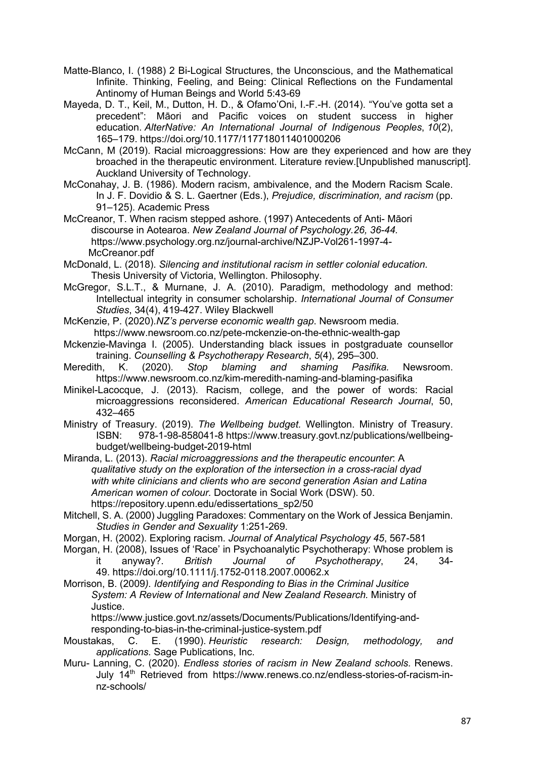- Matte-Blanco, I. (1988) 2 Bi-Logical Structures, the Unconscious, and the Mathematical Infinite. Thinking, Feeling, and Being: Clinical Reflections on the Fundamental Antinomy of Human Beings and World 5:43-69
- Mayeda, D. T., Keil, M., Dutton, H. D., & Ofamo'Oni, I.-F.-H. (2014). "You've gotta set a precedent": Māori and Pacific voices on student success in higher education. *AlterNative: An International Journal of Indigenous Peoples*, *10*(2), 165–179. https://doi.org/10.1177/117718011401000206
- McCann, M (2019). Racial microaggressions: How are they experienced and how are they broached in the therapeutic environment. Literature review.[Unpublished manuscript]. Auckland University of Technology.
- McConahay, J. B. (1986). Modern racism, ambivalence, and the Modern Racism Scale. In J. F. Dovidio & S. L. Gaertner (Eds.), *Prejudice, discrimination, and racism* (pp. 91–125). Academic Press
- McCreanor, T. When racism stepped ashore. (1997) Antecedents of Anti- Māori discourse in Aotearoa. *New Zealand Journal of Psychology.26, 36-44.*  https://www.psychology.org.nz/journal-archive/NZJP-Vol261-1997-4- McCreanor.pdf
- McDonald, L. (2018). *Silencing and institutional racism in settler colonial education.* Thesis University of Victoria, Wellington. Philosophy.
- McGregor, S.L.T., & Murnane, J. A. (2010). Paradigm, methodology and method: Intellectual integrity in consumer scholarship. *International Journal of Consumer Studies*, 34(4), 419-427. Wiley Blackwell
- McKenzie, P. (2020).*NZ's perverse economic wealth gap*. Newsroom media. https://www.newsroom.co.nz/pete-mckenzie-on-the-ethnic-wealth-gap
- Mckenzie-Mavinga I. (2005). Understanding black issues in postgraduate counsellor training. *Counselling & Psychotherapy Research*, *5*(4), 295–300.
- Meredith, K. (2020). *Stop blaming and shaming Pasifika.* Newsroom. https://www.newsroom.co.nz/kim-meredith-naming-and-blaming-pasifika
- Minikel-Lacocque, J. (2013). Racism, college, and the power of words: Racial microaggressions reconsidered. *American Educational Research Journal*, 50, 432–465
- Ministry of Treasury. (2019). *The Wellbeing budget.* Wellington. Ministry of Treasury. ISBN: 978-1-98-858041-8 https://www.treasury.govt.nz/publications/wellbeingbudget/wellbeing-budget-2019-html
- Miranda, L. (2013). *Racial microaggressions and the therapeutic encounter*: A *qualitative study on the exploration of the intersection in a cross-racial dyad with white clinicians and clients who are second generation Asian and Latina American women of colour.* Doctorate in Social Work (DSW). 50. https://repository.upenn.edu/edissertations\_sp2/50
- Mitchell, S. A. (2000) Juggling Paradoxes: Commentary on the Work of Jessica Benjamin. *Studies in Gender and Sexuality* 1:251-269.
- Morgan, H. (2002). Exploring racism. *Journal of Analytical Psychology 45*, 567-581
- Morgan, H. (2008), Issues of 'Race' in Psychoanalytic Psychotherapy: Whose problem is it anyway?. *British Journal of Psychotherapy*, 24, 34- 49. https://doi.org/10.1111/j.1752-0118.2007.00062.x
- Morrison, B. (2009*). Identifying and Responding to Bias in the Criminal Jusitice System: A Review of International and New Zealand Research.* Ministry of Justice.

 https://www.justice.govt.nz/assets/Documents/Publications/Identifying-and responding-to-bias-in-the-criminal-justice-system.pdf

- Moustakas, C. E. (1990). *Heuristic research: Design, methodology, and applications.* Sage Publications, Inc.
- Muru- Lanning, C. (2020). *Endless stories of racism in New Zealand schools.* Renews. July 14<sup>th</sup> Retrieved from https://www.renews.co.nz/endless-stories-of-racism-innz-schools/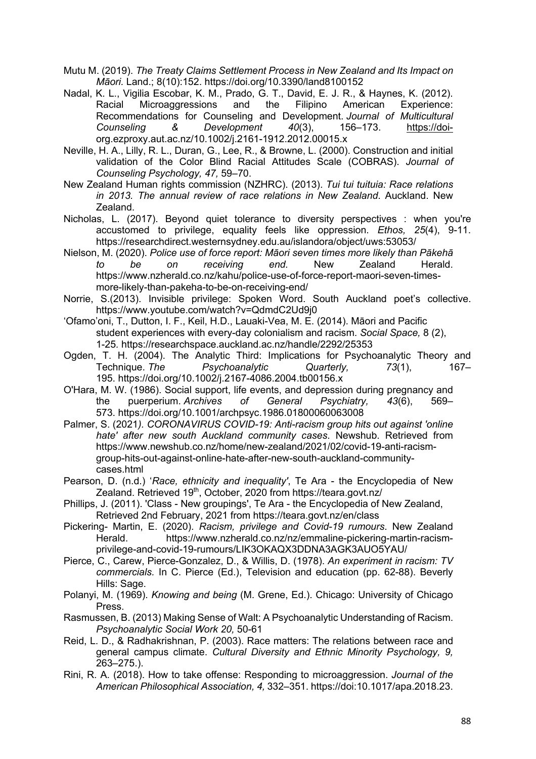- Mutu M. (2019). *The Treaty Claims Settlement Process in New Zealand and Its Impact on Māori.* Land.; 8(10):152. https://doi.org/10.3390/land8100152
- Nadal, K. L., Vigilia Escobar, K. M., Prado, G. T., David, E. J. R., & Haynes, K. (2012). Racial Microaggressions and the Filipino American Experience: Recommendations for Counseling and Development. *Journal of Multicultural Counseling & Development 40*(3), 156–173. https://doiorg.ezproxy.aut.ac.nz/10.1002/j.2161-1912.2012.00015.x
- Neville, H. A., Lilly, R. L., Duran, G., Lee, R., & Browne, L. (2000). Construction and initial validation of the Color Blind Racial Attitudes Scale (COBRAS). *Journal of Counseling Psychology, 47,* 59–70.
- New Zealand Human rights commission (NZHRC). (2013). *Tui tui tuituia: Race relations in 2013. The annual review of race relations in New Zealand*. Auckland. New Zealand.
- Nicholas, L. (2017). Beyond quiet tolerance to diversity perspectives : when you're accustomed to privilege, equality feels like oppression. *Ethos, 25*(4), 9-11. https://researchdirect.westernsydney.edu.au/islandora/object/uws:53053/
- Nielson, M. (2020). *Police use of force report: Māori seven times more likely than Pākehā to be on receiving end.* New Zealand Herald. https://www.nzherald.co.nz/kahu/police-use-of-force-report-maori-seven-timesmore-likely-than-pakeha-to-be-on-receiving-end/
- Norrie, S.(2013). Invisible privilege: Spoken Word. South Auckland poet's collective. https://www.youtube.com/watch?v=QdmdC2Ud9j0
- 'Ofamo'oni, T., Dutton, I. F., Keil, H.D., Lauaki-Vea, M. E. (2014). Māori and Pacific student experiences with every-day colonialism and racism. *Social Space,* 8 (2), 1-25*.* https://researchspace.auckland.ac.nz/handle/2292/25353
- Ogden, T. H. (2004). The Analytic Third: Implications for Psychoanalytic Theory and Technique. *The Psychoanalytic Quarterly, 73*(1), 167– 195. https://doi.org/10.1002/j.2167-4086.2004.tb00156.x
- O'Hara, M. W. (1986). Social support, life events, and depression during pregnancy and the puerperium. *Archives of General Psychiatry, 43*(6), 569– 573. https://doi.org/10.1001/archpsyc.1986.01800060063008
- Palmer, S. (2021*). CORONAVIRUS COVID-19: Anti-racism group hits out against 'online hate' after new south Auckland community cases*. Newshub. Retrieved from https://www.newshub.co.nz/home/new-zealand/2021/02/covid-19-anti-racismgroup-hits-out-against-online-hate-after-new-south-auckland-communitycases.html
- Pearson, D. (n.d.) '*Race, ethnicity and inequality'*, Te Ara the Encyclopedia of New Zealand. Retrieved 19<sup>th</sup>, October, 2020 from https://teara.govt.nz/
- Phillips, J. (2011). 'Class New groupings', Te Ara the Encyclopedia of New Zealand, Retrieved 2nd February, 2021 from https://teara.govt.nz/en/class
- Pickering- Martin, E. (2020). *Racism, privilege and Covid-19 rumours*. New Zealand Herald. https://www.nzherald.co.nz/nz/emmaline-pickering-martin-racismprivilege-and-covid-19-rumours/LIK3OKAQX3DDNA3AGK3AUO5YAU/
- Pierce, C., Carew, Pierce-Gonzalez, D., & Willis, D. (1978). *An experiment in racism: TV commercials.* In C. Pierce (Ed.), Television and education (pp. 62-88). Beverly Hills: Sage.
- Polanyi, M. (1969). *Knowing and being* (M. Grene, Ed.). Chicago: University of Chicago Press.
- Rasmussen, B. (2013) Making Sense of Walt: A Psychoanalytic Understanding of Racism. *Psychoanalytic Social Work 20,* 50-61
- Reid, L. D., & Radhakrishnan, P. (2003). Race matters: The relations between race and general campus climate. *Cultural Diversity and Ethnic Minority Psychology, 9,*  263–275.).
- Rini, R. A. (2018). How to take offense: Responding to microaggression. *Journal of the American Philosophical Association, 4,* 332–351. https://doi:10.1017/apa.2018.23.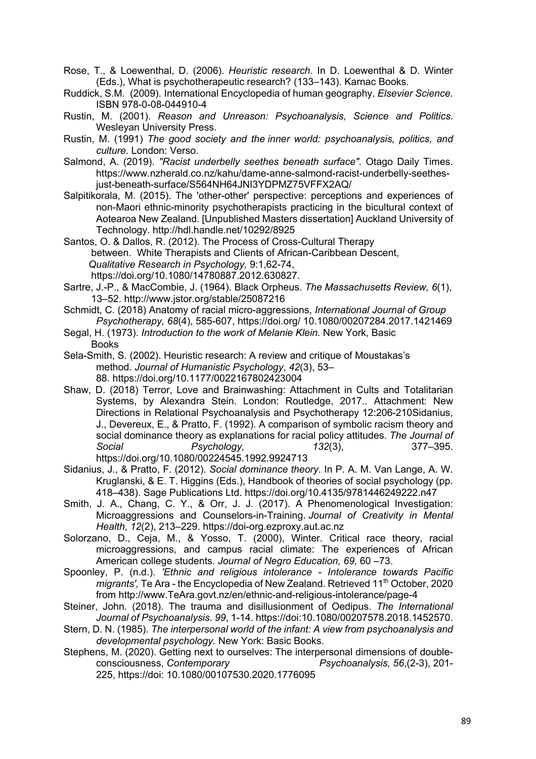- Rose, T., & Loewenthal, D. (2006). *Heuristic research.* In D. Loewenthal & D. Winter (Eds.), What is psychotherapeutic research? (133–143). Karnac Books.
- Ruddick, S.M. (2009). International Encyclopedia of human geography. *Elsevier Science.* ISBN 978-0-08-044910-4
- Rustin, M. (2001). *Reason and Unreason: Psychoanalysis, Science and Politics*. Wesleyan University Press.
- Rustin, M. (1991) *The good society and the inner world: psychoanalysis, politics, and culture.* London: Verso.
- Salmond, A. (2019). *"Racist underbelly seethes beneath surface".* Otago Daily Times. https://www.nzherald.co.nz/kahu/dame-anne-salmond-racist-underbelly-seethesjust-beneath-surface/S564NH64JNI3YDPMZ75VFFX2AQ/
- Salpitikorala, M. (2015). The 'other-other' perspective: perceptions and experiences of non-Maori ethnic-minority psychotherapists practicing in the bicultural context of Aotearoa New Zealand. [Unpublished Masters dissertation] Auckland University of Technology. http://hdl.handle.net/10292/8925

Santos, O. & Dallos, R. (2012). The Process of Cross-Cultural Therapy between. White Therapists and Clients of African-Caribbean Descent, *Qualitative Research in Psychology,* 9:1,62-74, https://doi.org/10.1080/14780887.2012.630827.

- Sartre, J.-P., & MacCombie, J. (1964). Black Orpheus. *The Massachusetts Review, 6*(1), 13–52. http://www.jstor.org/stable/25087216
- Schmidt, C. (2018) Anatomy of racial micro-aggressions, *International Journal of Group Psychotherapy, 68*(4), 585-607, https://doi.org/ 10.1080/00207284.2017.1421469
- Segal, H. (1973). *Introduction to the work of Melanie Klein.* New York, Basic Books
- Sela-Smith, S. (2002). Heuristic research: A review and critique of Moustakas's method. *Journal of Humanistic Psychology*, *42*(3), 53– 88. https://doi.org/10.1177/0022167802423004
- Shaw, D. (2018) Terror, Love and Brainwashing: Attachment in Cults and Totalitarian Systems, by Alexandra Stein. London: Routledge, 2017.. Attachment: New Directions in Relational Psychoanalysis and Psychotherapy 12:206-210Sidanius, J., Devereux, E., & Pratto, F. (1992). A comparison of symbolic racism theory and social dominance theory as explanations for racial policy attitudes. *The Journal of Social Psychology, 132*(3), 377–395. https://doi.org/10.1080/00224545.1992.9924713
- Sidanius, J., & Pratto, F. (2012). *Social dominance theory.* In P. A. M. Van Lange, A. W. Kruglanski, & E. T. Higgins (Eds.), Handbook of theories of social psychology (pp. 418–438). Sage Publications Ltd. https://doi.org/10.4135/9781446249222.n47
- Smith, J. A., Chang, C. Y., & Orr, J. J. (2017). A Phenomenological Investigation: Microaggressions and Counselors-in-Training. *Journal of Creativity in Mental Health*, *12*(2), 213–229. https://doi-org.ezproxy.aut.ac.nz
- Solorzano, D., Ceja, M., & Yosso, T. (2000), Winter. Critical race theory, racial microaggressions, and campus racial climate: The experiences of African American college students. *Journal of Negro Education, 69,* 60 –73.
- Spoonley, P. (n.d.). *'Ethnic and religious intolerance - Intolerance towards Pacific migrants'*, Te Ara - the Encyclopedia of New Zealand. Retrieved 11<sup>th</sup> October, 2020 from http://www.TeAra.govt.nz/en/ethnic-and-religious-intolerance/page-4
- Steiner, John. (2018). The trauma and disillusionment of Oedipus. *The International Journal of Psychoanalysis. 99*, 1-14. https://doi:10.1080/00207578.2018.1452570.
- Stern, D. N. (1985). *The interpersonal world of the infant: A view from psychoanalysis and developmental psychology.* New York: Basic Books.
- Stephens, M. (2020). Getting next to ourselves: The interpersonal dimensions of doubleconsciousness, *Contemporary Psychoanalysis, 56*,(2-3), 201- 225, https://doi: 10.1080/00107530.2020.1776095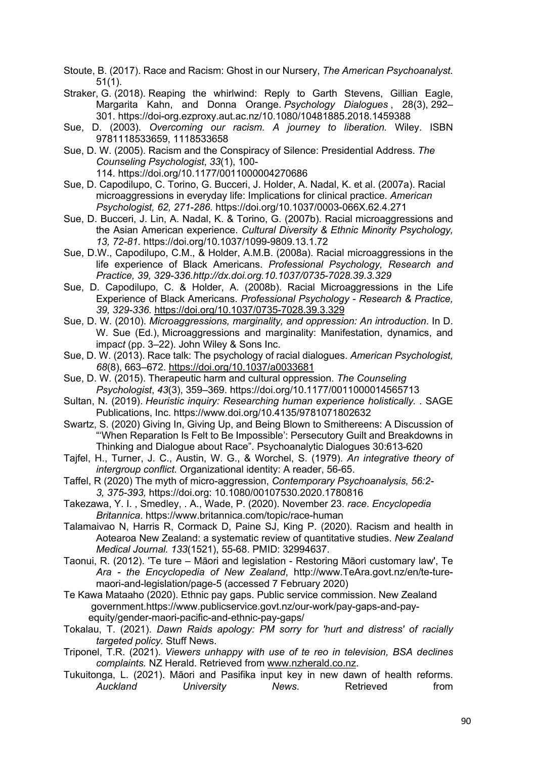- Stoute, B. (2017). Race and Racism: Ghost in our Nursery, *The American Psychoanalyst.* 51(1).
- Straker, G. (2018). Reaping the whirlwind: Reply to Garth Stevens, Gillian Eagle, Margarita Kahn, and Donna Orange. *Psychology Dialogues* , 28(3), 292– 301. https://doi-org.ezproxy.aut.ac.nz/10.1080/10481885.2018.1459388
- Sue, D. (2003). *Overcoming our racism. A journey to liberation.* Wiley. ISBN 9781118533659, 1118533658
- Sue, D. W. (2005). Racism and the Conspiracy of Silence: Presidential Address. *The Counseling Psychologist*, *33*(1), 100- 114. https://doi.org/10.1177/0011000004270686
- Sue, D. Capodilupo, C. Torino, G. Bucceri, J. Holder, A. Nadal, K. et al. (2007a). Racial microaggressions in everyday life: Implications for clinical practice. *American Psychologist, 62, 271-286.* https://doi.org/10.1037/0003-066X.62.4.271
- Sue, D. Bucceri, J. Lin, A. Nadal, K. & Torino, G. (2007b). Racial microaggressions and the Asian American experience. *Cultural Diversity & Ethnic Minority Psychology, 13, 72-81.* https://doi.org/10.1037/1099-9809.13.1.72
- Sue, D.W., Capodilupo, C.M., & Holder, A.M.B. (2008a). Racial microaggressions in the life experience of Black Americans. *Professional Psychology, Research and Practice, 39, 329-336.http://dx.doi.org.10.1037/0735-7028.39.3.329*
- Sue, D. Capodilupo, C. & Holder, A. (2008b). Racial Microaggressions in the Life Experience of Black Americans. *Professional Psychology - Research & Practice, 39, 329-336.* https://doi.org/10.1037/0735-7028.39.3.329
- Sue, D. W. (2010). *Microaggressions, marginality, and oppression: An introduction*. In D. W. Sue (Ed.), Microaggressions and marginality: Manifestation, dynamics, and impac*t* (pp. 3–22). John Wiley & Sons Inc.
- Sue, D. W. (2013). Race talk: The psychology of racial dialogues. *American Psychologist, 68*(8), 663–672. https://doi.org/10.1037/a0033681
- Sue, D. W. (2015). Therapeutic harm and cultural oppression. *The Counseling Psychologist*, *43*(3), 359–369. https://doi.org/10.1177/0011000014565713
- Sultan, N. (2019). *Heuristic inquiry: Researching human experience holistically.* . SAGE Publications, Inc. https://www.doi.org/10.4135/9781071802632
- Swartz, S. (2020) Giving In, Giving Up, and Being Blown to Smithereens: A Discussion of "'When Reparation Is Felt to Be Impossible': Persecutory Guilt and Breakdowns in Thinking and Dialogue about Race". Psychoanalytic Dialogues 30:613-620
- Tajfel, H., Turner, J. C., Austin, W. G., & Worchel, S. (1979). *An integrative theory of intergroup conflict.* Organizational identity: A reader, 56-65.
- Taffel, R (2020) The myth of micro-aggression, *Contemporary Psychoanalysis, 56:2- 3, 375-393,* https://doi.org: 10.1080/00107530.2020.1780816
- Takezawa, Y. I. , Smedley, . A., Wade, P. (2020). November 23. *race*. *Encyclopedia Britannica*. https://www.britannica.com/topic/race-human
- Talamaivao N, Harris R, Cormack D, Paine SJ, King P. (2020). Racism and health in Aotearoa New Zealand: a systematic review of quantitative studies. *New Zealand Medical Journal. 133*(1521), 55-68. PMID: 32994637.
- Taonui, R. (2012). 'Te ture Māori and legislation Restoring Māori customary law', Te *Ara - the Encyclopedia of New Zealand*, http://www.TeAra.govt.nz/en/te-turemaori-and-legislation/page-5 (accessed 7 February 2020)
- Te Kawa Mataaho (2020). Ethnic pay gaps. Public service commission. New Zealand government.https://www.publicservice.govt.nz/our-work/pay-gaps-and-pay equity/gender-maori-pacific-and-ethnic-pay-gaps/
- Tokalau, T. (2021). *Dawn Raids apology: PM sorry for 'hurt and distress' of racially targeted policy.* Stuff News.
- Triponel, T.R. (2021). *Viewers unhappy with use of te reo in television, BSA declines complaints.* NZ Herald. Retrieved from www.nzherald.co.nz.
- Tukuitonga, L. (2021). Māori and Pasifika input key in new dawn of health reforms. Auckland University News. Retrieved from